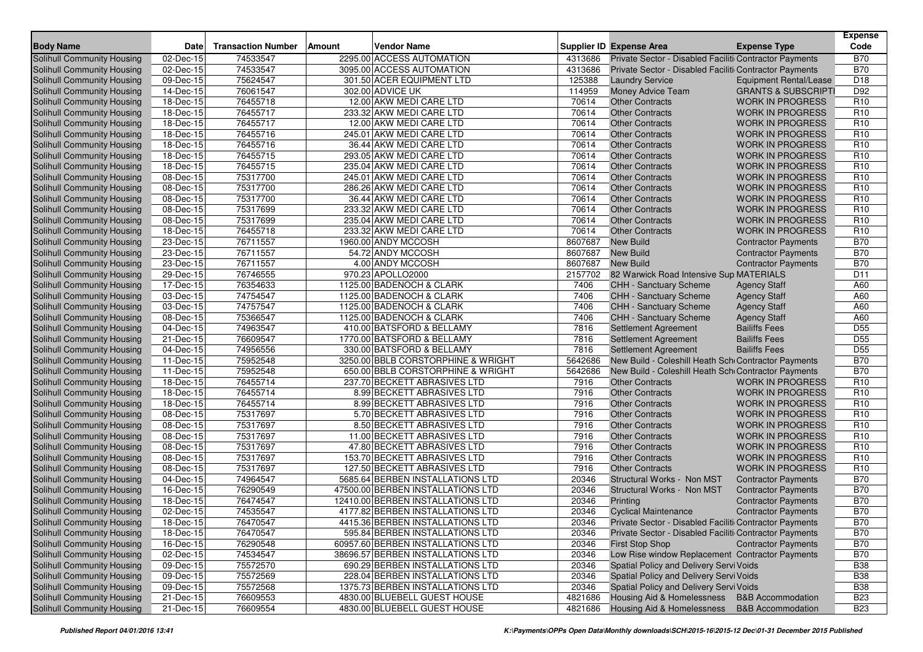| <b>Body Name</b>                  | Date                   | <b>Transaction Number</b> | Amount | <b>Vendor Name</b>                                           |                    | <b>Supplier ID Expense Area</b>                                     | <b>Expense Type</b>                                          | Expense<br>Code          |
|-----------------------------------|------------------------|---------------------------|--------|--------------------------------------------------------------|--------------------|---------------------------------------------------------------------|--------------------------------------------------------------|--------------------------|
| Solihull Community Housing        | 02-Dec-15              | 74533547                  |        | 2295.00 ACCESS AUTOMATION                                    | 4313686            | Private Sector - Disabled Faciliti Contractor Payments              |                                                              | <b>B70</b>               |
| Solihull Community Housing        | 02-Dec-15              | 74533547                  |        | 3095.00 ACCESS AUTOMATION                                    | 4313686            | Private Sector - Disabled Faciliti Contractor Payments              |                                                              | <b>B70</b>               |
| Solihull Community Housing        | 09-Dec-15              | 75624547                  |        | 301.50 ACER EQUIPMENT LTD                                    | 125388             | <b>Laundry Service</b>                                              | <b>Equipment Rental/Lease</b>                                | D <sub>18</sub>          |
| Solihull Community Housing        | 14-Dec-15              | 76061547                  |        | 302.00 ADVICE UK                                             | 114959             | Money Advice Team                                                   | <b>GRANTS &amp; SUBSCRIPTI</b>                               | D92                      |
| Solihull Community Housing        | 18-Dec-15              | 76455718                  |        | 12.00 AKW MEDI CARE LTD                                      | 70614              | <b>Other Contracts</b>                                              | <b>WORK IN PROGRESS</b>                                      | R <sub>10</sub>          |
| Solihull Community Housing        | 18-Dec-15              | 76455717                  |        | 233.32 AKW MEDI CARE LTD                                     | 70614              | <b>Other Contracts</b>                                              | <b>WORK IN PROGRESS</b>                                      | R <sub>10</sub>          |
| <b>Solihull Community Housing</b> | 18-Dec-15              | 76455717                  |        | 12.00 AKW MEDI CARE LTD                                      | 70614              | <b>Other Contracts</b>                                              | <b>WORK IN PROGRESS</b>                                      | R <sub>10</sub>          |
| Solihull Community Housing        | 18-Dec-15              | 76455716                  |        | 245.01 AKW MEDI CARE LTD                                     | 70614              | <b>Other Contracts</b>                                              | <b>WORK IN PROGRESS</b>                                      | R <sub>10</sub>          |
| Solihull Community Housing        | 18-Dec-15              | 76455716                  |        | 36.44 AKW MEDI CARE LTD                                      | 70614              | <b>Other Contracts</b>                                              | <b>WORK IN PROGRESS</b>                                      | R <sub>10</sub>          |
| Solihull Community Housing        | 18-Dec-15              | 76455715                  |        | 293.05 AKW MEDI CARE LTD                                     | 70614              | <b>Other Contracts</b>                                              | <b>WORK IN PROGRESS</b>                                      | R <sub>10</sub>          |
| Solihull Community Housing        | 18-Dec-15              | 76455715                  |        | 235.04 AKW MEDI CARE LTD                                     | 70614              | <b>Other Contracts</b>                                              | <b>WORK IN PROGRESS</b>                                      | R <sub>10</sub>          |
| Solihull Community Housing        | 08-Dec-15              | 75317700                  |        | 245.01 AKW MEDI CARE LTD                                     | 70614              | <b>Other Contracts</b>                                              | <b>WORK IN PROGRESS</b>                                      | R <sub>10</sub>          |
| Solihull Community Housing        | 08-Dec-15              | 75317700                  |        | 286.26 AKW MEDI CARE LTD                                     | 70614              | <b>Other Contracts</b>                                              | <b>WORK IN PROGRESS</b>                                      | R <sub>10</sub>          |
| Solihull Community Housing        | 08-Dec-15              | 75317700                  |        | 36.44 AKW MEDI CARE LTD                                      | 70614              | <b>Other Contracts</b>                                              | <b>WORK IN PROGRESS</b>                                      | R <sub>10</sub>          |
| Solihull Community Housing        | 08-Dec-15              | 75317699                  |        | 233.32 AKW MEDI CARE LTD                                     | 70614              | <b>Other Contracts</b>                                              | <b>WORK IN PROGRESS</b>                                      | R <sub>10</sub>          |
| Solihull Community Housing        | 08-Dec-15              | 75317699                  |        | 235.04 AKW MEDI CARE LTD                                     | 70614              | <b>Other Contracts</b>                                              | <b>WORK IN PROGRESS</b>                                      | R <sub>10</sub>          |
| Solihull Community Housing        | 18-Dec-15              | 76455718                  |        | 233.32 AKW MEDI CARE LTD                                     | 70614              | <b>Other Contracts</b>                                              | <b>WORK IN PROGRESS</b>                                      | R <sub>10</sub>          |
| Solihull Community Housing        | 23-Dec-15              | 76711557                  |        | 1960.00 ANDY MCCOSH                                          | 8607687            | <b>New Build</b>                                                    | <b>Contractor Payments</b>                                   | <b>B70</b>               |
| Solihull Community Housing        | 23-Dec-15              | 76711557                  |        | 54.72 ANDY MCCOSH                                            | 8607687            | <b>New Build</b>                                                    | <b>Contractor Payments</b>                                   | <b>B70</b>               |
| Solihull Community Housing        | 23-Dec-15              | 76711557                  |        | 4.00 ANDY MCCOSH                                             | 8607687            | <b>New Build</b>                                                    | <b>Contractor Payments</b>                                   | <b>B70</b>               |
| Solihull Community Housing        | 29-Dec-15              | 76746555                  |        | 970.23 APOLLO2000                                            | 2157702            | 82 Warwick Road Intensive Sup MATERIALS                             |                                                              | D <sub>11</sub>          |
| Solihull Community Housing        | 17-Dec-15              | 76354633                  |        | 1125.00 BADENOCH & CLARK                                     | 7406               | <b>CHH - Sanctuary Scheme</b>                                       | <b>Agency Staff</b>                                          | A60                      |
| Solihull Community Housing        | 03-Dec-15              | 74754547                  |        | 1125.00 BADENOCH & CLARK                                     | 7406               | CHH - Sanctuary Scheme                                              | <b>Agency Staff</b>                                          | A60                      |
| Solihull Community Housing        | 03-Dec-15              | 74757547                  |        | 1125.00 BADENOCH & CLARK                                     | 7406               | <b>CHH - Sanctuary Scheme</b>                                       | <b>Agency Staff</b>                                          | A60                      |
| Solihull Community Housing        | 08-Dec-15              | 75366547                  |        | 1125.00 BADENOCH & CLARK                                     | 7406               | CHH - Sanctuary Scheme                                              | <b>Agency Staff</b>                                          | A60                      |
| Solihull Community Housing        | 04-Dec-15              | 74963547                  |        | 410.00 BATSFORD & BELLAMY                                    | 7816               | <b>Settlement Agreement</b>                                         | <b>Bailiffs Fees</b>                                         | D <sub>55</sub>          |
| Solihull Community Housing        | 21-Dec-15              | 76609547                  |        | 1770.00 BATSFORD & BELLAMY                                   | 7816               | <b>Settlement Agreement</b>                                         | <b>Bailiffs Fees</b>                                         | D <sub>55</sub>          |
| Solihull Community Housing        | 04-Dec-15              | 74956556                  |        | 330.00 BATSFORD & BELLAMY                                    | 7816               | <b>Settlement Agreement</b>                                         | <b>Bailiffs Fees</b>                                         | D <sub>55</sub>          |
| Solihull Community Housing        | 11-Dec-15              | 75952548                  |        | 3250.00 BBLB CORSTORPHINE & WRIGHT                           | 5642686            | New Build - Coleshill Heath Sch Contractor Payments                 |                                                              | <b>B70</b>               |
| Solihull Community Housing        | 11-Dec-15              | 75952548                  |        | 650.00 BBLB CORSTORPHINE & WRIGHT                            | 5642686            | New Build - Coleshill Heath Sch Contractor Payments                 |                                                              | <b>B70</b>               |
| Solihull Community Housing        | 18-Dec-15              | 76455714                  |        | 237.70 BECKETT ABRASIVES LTD                                 | 7916               | <b>Other Contracts</b>                                              | <b>WORK IN PROGRESS</b>                                      | R <sub>10</sub>          |
| Solihull Community Housing        | 18-Dec-15              | 76455714                  |        | 8.99 BECKETT ABRASIVES LTD                                   | 7916               | <b>Other Contracts</b>                                              | <b>WORK IN PROGRESS</b>                                      | R <sub>10</sub>          |
| Solihull Community Housing        | 18-Dec-15              | 76455714                  |        | 8.99 BECKETT ABRASIVES LTD                                   | 7916               | <b>Other Contracts</b>                                              | <b>WORK IN PROGRESS</b>                                      | R <sub>10</sub>          |
| Solihull Community Housing        | 08-Dec-15              | 75317697                  |        | 5.70 BECKETT ABRASIVES LTD                                   | 7916               | <b>Other Contracts</b>                                              | <b>WORK IN PROGRESS</b>                                      | R <sub>10</sub>          |
| Solihull Community Housing        | 08-Dec-15              | 75317697                  |        | 8.50 BECKETT ABRASIVES LTD                                   | 7916               | <b>Other Contracts</b>                                              | <b>WORK IN PROGRESS</b>                                      | R <sub>10</sub>          |
| Solihull Community Housing        | 08-Dec-15              | 75317697                  |        | 11.00 BECKETT ABRASIVES LTD                                  | 7916               | <b>Other Contracts</b>                                              | <b>WORK IN PROGRESS</b>                                      | R <sub>10</sub>          |
| Solihull Community Housing        | 08-Dec-15              | 75317697                  |        | 47.80 BECKETT ABRASIVES LTD                                  | 7916               | <b>Other Contracts</b>                                              | <b>WORK IN PROGRESS</b>                                      | R <sub>10</sub>          |
| Solihull Community Housing        | 08-Dec-15              | 75317697                  |        | 153.70 BECKETT ABRASIVES LTD                                 | 7916               | <b>Other Contracts</b>                                              | <b>WORK IN PROGRESS</b>                                      | R <sub>10</sub>          |
| Solihull Community Housing        | 08-Dec-15              | 75317697                  |        | 127.50 BECKETT ABRASIVES LTD                                 | 7916               | <b>Other Contracts</b>                                              | <b>WORK IN PROGRESS</b>                                      | R <sub>10</sub>          |
| Solihull Community Housing        | 04-Dec-15              | 74964547                  |        | 5685.64 BERBEN INSTALLATIONS LTD                             | 20346              | Structural Works - Non MST                                          | <b>Contractor Payments</b>                                   | <b>B70</b>               |
| Solihull Community Housing        | 16-Dec-15              | 76290549                  |        | 47500.00 BERBEN INSTALLATIONS LTD                            | 20346              | Structural Works - Non MST                                          | <b>Contractor Payments</b>                                   | <b>B70</b>               |
| Solihull Community Housing        | 18-Dec-15              | 76474547                  |        | 12410.00 BERBEN INSTALLATIONS LTD                            | 20346              | Printing                                                            | <b>Contractor Payments</b>                                   | <b>B70</b>               |
| Solihull Community Housing        | 02-Dec-15              | 74535547                  |        | 4177.82 BERBEN INSTALLATIONS LTD                             | 20346              | <b>Cyclical Maintenance</b>                                         | <b>Contractor Payments</b>                                   | <b>B70</b>               |
| Solihull Community Housing        | 18-Dec-15              | 76470547                  |        | 4415.36 BERBEN INSTALLATIONS LTD                             | 20346              | Private Sector - Disabled Faciliti Contractor Payments              |                                                              | <b>B70</b>               |
| Solihull Community Housing        | 18-Dec-15              | 76470547                  |        | 595.84 BERBEN INSTALLATIONS LTD                              | 20346              | Private Sector - Disabled Faciliti Contractor Payments              |                                                              | <b>B70</b>               |
| Solihull Community Housing        | 16-Dec-15              | 76290548                  |        | 60957.60 BERBEN INSTALLATIONS LTD                            | 20346              | <b>First Stop Shop</b>                                              | <b>Contractor Payments</b>                                   | <b>B70</b>               |
| Solihull Community Housing        | 02-Dec-15              | 74534547                  |        | 38696.57 BERBEN INSTALLATIONS LTD                            | 20346              | Low Rise window Replacement Contractor Payments                     |                                                              | <b>B70</b>               |
| Solihull Community Housing        | 09-Dec-15              | 75572570                  |        | 690.29 BERBEN INSTALLATIONS LTD                              | 20346              | Spatial Policy and Delivery Servi Voids                             |                                                              | <b>B38</b>               |
| Solihull Community Housing        | 09-Dec-15              | 75572569                  |        | 228.04 BERBEN INSTALLATIONS LTD                              | 20346              | Spatial Policy and Delivery Servi Voids                             |                                                              | <b>B38</b>               |
| Solihull Community Housing        | 09-Dec-15<br>21-Dec-15 | 75572568                  |        | 1375.73 BERBEN INSTALLATIONS LTD                             | 20346              | Spatial Policy and Delivery Servi Voids                             |                                                              | <b>B38</b>               |
| Solihull Community Housing        | 21-Dec-15              | 76609553<br>76609554      |        | 4830.00 BLUEBELL GUEST HOUSE<br>4830.00 BLUEBELL GUEST HOUSE | 4821686<br>4821686 | Housing Aid & Homelessness<br><b>Housing Aid &amp; Homelessness</b> | <b>B&amp;B Accommodation</b><br><b>B&amp;B Accommodation</b> | <b>B23</b><br><b>B23</b> |
| Solihull Community Housing        |                        |                           |        |                                                              |                    |                                                                     |                                                              |                          |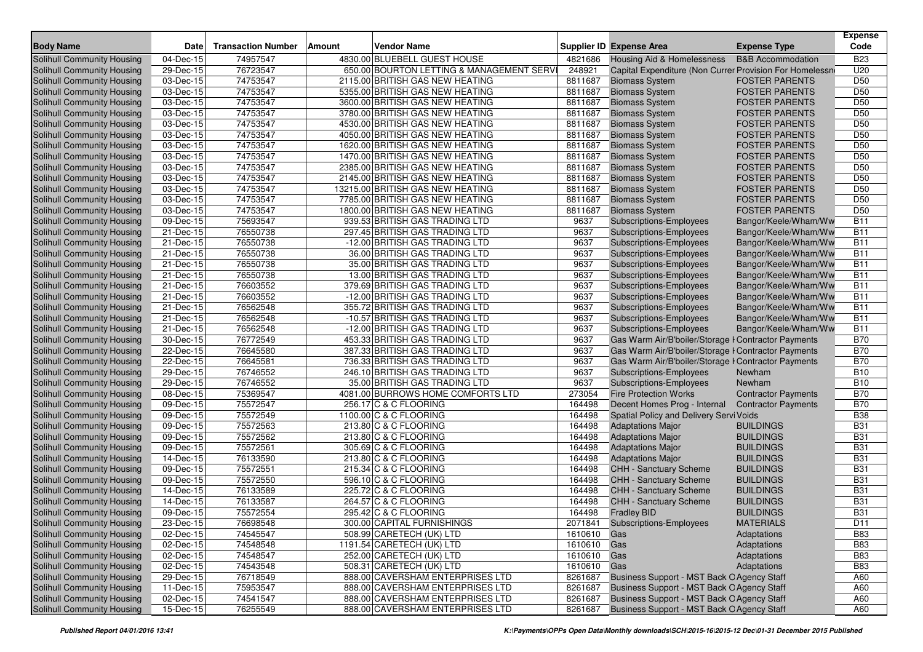| <b>Body Name</b>                                         | <b>Date</b>             | <b>Transaction Number</b> | Amount | <b>Vendor Name</b>                                  |                            | <b>Supplier ID Expense Area</b>                         | <b>Expense Type</b>                  | <b>Expense</b><br>Code   |
|----------------------------------------------------------|-------------------------|---------------------------|--------|-----------------------------------------------------|----------------------------|---------------------------------------------------------|--------------------------------------|--------------------------|
| Solihull Community Housing                               | 04-Dec-15               | 74957547                  |        | 4830.00 BLUEBELL GUEST HOUSE                        | 4821686                    | Housing Aid & Homelessness                              | <b>B&amp;B</b> Accommodation         | <b>B23</b>               |
| <b>Solihull Community Housing</b>                        | 29-Dec-15               | 76723547                  |        | 650.00 BOURTON LETTING & MANAGEMENT SERV            | 248921                     | Capital Expenditure (Non Currer Provision For Homelessn |                                      | U20                      |
| Solihull Community Housing                               | 03-Dec-15               | 74753547                  |        | 2115.00 BRITISH GAS NEW HEATING                     | 8811687                    | <b>Biomass System</b>                                   | <b>FOSTER PARENTS</b>                | D <sub>50</sub>          |
| Solihull Community Housing                               | 03-Dec-15               | 74753547                  |        | 5355.00 BRITISH GAS NEW HEATING                     | 8811687                    | <b>Biomass System</b>                                   | <b>FOSTER PARENTS</b>                | D <sub>50</sub>          |
| Solihull Community Housing                               | 03-Dec-15               | 74753547                  |        | 3600.00 BRITISH GAS NEW HEATING                     | 8811687                    | <b>Biomass System</b>                                   | <b>FOSTER PARENTS</b>                | D <sub>50</sub>          |
| Solihull Community Housing                               | 03-Dec-15               | 74753547                  |        | 3780.00 BRITISH GAS NEW HEATING                     | 8811687                    | <b>Biomass System</b>                                   | <b>FOSTER PARENTS</b>                | D <sub>50</sub>          |
| Solihull Community Housing                               | $\overline{0}$ 3-Dec-15 | 74753547                  |        | 4530.00 BRITISH GAS NEW HEATING                     | 8811687                    | <b>Biomass System</b>                                   | <b>FOSTER PARENTS</b>                | D <sub>50</sub>          |
| Solihull Community Housing                               | 03-Dec-15               | 74753547                  |        | 4050.00 BRITISH GAS NEW HEATING                     | 8811687                    | <b>Biomass System</b>                                   | <b>FOSTER PARENTS</b>                | D <sub>50</sub>          |
| Solihull Community Housing                               | 03-Dec-15               | 74753547                  |        | 1620.00 BRITISH GAS NEW HEATING                     | 8811687                    | <b>Biomass System</b>                                   | <b>FOSTER PARENTS</b>                | D <sub>50</sub>          |
| Solihull Community Housing                               | 03-Dec-15               | 74753547                  |        | 1470.00 BRITISH GAS NEW HEATING                     | 8811687                    | <b>Biomass System</b>                                   | <b>FOSTER PARENTS</b>                | D <sub>50</sub>          |
| Solihull Community Housing                               | 03-Dec-15               | 74753547                  |        | 2385.00 BRITISH GAS NEW HEATING                     | 8811687                    | <b>Biomass System</b>                                   | <b>FOSTER PARENTS</b>                | D <sub>50</sub>          |
| Solihull Community Housing                               | 03-Dec-15               | 74753547                  |        | 2145.00 BRITISH GAS NEW HEATING                     | 8811687                    | <b>Biomass System</b>                                   | <b>FOSTER PARENTS</b>                | D <sub>50</sub>          |
| Solihull Community Housing                               | 03-Dec-15               | 74753547                  |        | 13215.00 BRITISH GAS NEW HEATING                    | 8811687                    | <b>Biomass System</b>                                   | <b>FOSTER PARENTS</b>                | D <sub>50</sub>          |
| Solihull Community Housing                               | 03-Dec-15               | 74753547                  |        | 7785.00 BRITISH GAS NEW HEATING                     | 8811687                    | <b>Biomass System</b>                                   | <b>FOSTER PARENTS</b>                | D <sub>50</sub>          |
| Solihull Community Housing                               | 03-Dec-15               | 74753547                  |        | 1800.00 BRITISH GAS NEW HEATING                     | 8811687                    | <b>Biomass System</b>                                   | <b>FOSTER PARENTS</b>                | D <sub>50</sub>          |
| Solihull Community Housing                               | 09-Dec-15               | 75693547                  |        | 939.53 BRITISH GAS TRADING LTD                      | 9637                       | Subscriptions-Employees                                 | Bangor/Keele/Wham/Ww                 | <b>B11</b>               |
| Solihull Community Housing                               | 21-Dec-15               | 76550738                  |        | 297.45 BRITISH GAS TRADING LTD                      | 9637                       | Subscriptions-Employees                                 | Bangor/Keele/Wham/Ww                 | <b>B11</b>               |
| Solihull Community Housing                               | 21-Dec-15               | 76550738                  |        | -12.00 BRITISH GAS TRADING LTD                      | 9637                       | Subscriptions-Employees                                 | Bangor/Keele/Wham/Ww                 | <b>B11</b>               |
| Solihull Community Housing                               | 21-Dec-15               | 76550738                  |        | 36.00 BRITISH GAS TRADING LTD                       | 9637                       | <b>Subscriptions-Employees</b>                          | Bangor/Keele/Wham/Ww                 | <b>B11</b>               |
| Solihull Community Housing                               | 21-Dec-15               | 76550738                  |        | 35.00 BRITISH GAS TRADING LTD                       | 9637                       | Subscriptions-Employees                                 | Bangor/Keele/Wham/Ww                 | <b>B11</b>               |
| Solihull Community Housing                               | 21-Dec-15               | 76550738                  |        | 13.00 BRITISH GAS TRADING LTD                       | 9637                       | Subscriptions-Employees                                 | Bangor/Keele/Wham/Ww                 | <b>B11</b>               |
| Solihull Community Housing                               | 21-Dec-15               | 76603552                  |        | 379.69 BRITISH GAS TRADING LTD                      | 9637                       | Subscriptions-Employees                                 | Bangor/Keele/Wham/Ww                 | <b>B11</b>               |
| Solihull Community Housing                               | 21-Dec-15               | 76603552                  |        | -12.00 BRITISH GAS TRADING LTD                      | 9637                       | <b>Subscriptions-Employees</b>                          | Bangor/Keele/Wham/Ww                 | <b>B11</b>               |
| Solihull Community Housing                               | 21-Dec-15               | 76562548                  |        | 355.72 BRITISH GAS TRADING LTD                      | 9637                       | <b>Subscriptions-Employees</b>                          | Bangor/Keele/Wham/Ww                 | <b>B11</b>               |
| Solihull Community Housing                               | 21-Dec-15               | 76562548                  |        | -10.57 BRITISH GAS TRADING LTD                      | 9637                       | Subscriptions-Employees                                 | Bangor/Keele/Wham/Ww                 | <b>B11</b>               |
| Solihull Community Housing                               | $\overline{21}$ -Dec-15 | 76562548                  |        | -12.00 BRITISH GAS TRADING LTD                      | 9637                       | Subscriptions-Employees                                 | Bangor/Keele/Wham/Ww                 | <b>B11</b>               |
| Solihull Community Housing                               | 30-Dec-15               | 76772549                  |        | 453.33 BRITISH GAS TRADING LTD                      | 9637                       | Gas Warm Air/B'boiler/Storage I Contractor Payments     |                                      | <b>B70</b>               |
| Solihull Community Housing                               | 22-Dec-15               | 76645580                  |        | 387.33 BRITISH GAS TRADING LTD                      | 9637                       | Gas Warm Air/B'boiler/Storage I Contractor Payments     |                                      | <b>B70</b>               |
| Solihull Community Housing                               | 22-Dec-15               | 76645581                  |        | 736.33 BRITISH GAS TRADING LTD                      | 9637                       | Gas Warm Air/B'boiler/Storage I Contractor Payments     |                                      | <b>B70</b>               |
| Solihull Community Housing                               | 29-Dec-15               | 76746552                  |        | 246.10 BRITISH GAS TRADING LTD                      | 9637                       | Subscriptions-Employees                                 | Newham                               | <b>B10</b>               |
| Solihull Community Housing                               | 29-Dec-15               | 76746552                  |        | 35.00 BRITISH GAS TRADING LTD                       | 9637                       | <b>Subscriptions-Employees</b>                          | Newham                               | <b>B10</b>               |
| Solihull Community Housing                               | 08-Dec-15               | 75369547                  |        | 4081.00 BURROWS HOME COMFORTS LTD                   | 273054                     | <b>Fire Protection Works</b>                            | <b>Contractor Payments</b>           | <b>B70</b>               |
| Solihull Community Housing                               | 09-Dec-15               | 75572547                  |        | 256.17 C & C FLOORING                               | 164498                     | Decent Homes Prog - Internal                            | <b>Contractor Payments</b>           | <b>B70</b>               |
| Solihull Community Housing                               | 09-Dec-15               | 75572549                  |        | 1100.00 C & C FLOORING                              | 164498                     | Spatial Policy and Delivery Servi Voids                 |                                      | <b>B38</b>               |
| Solihull Community Housing                               | 09-Dec-15               | 75572563                  |        | 213.80 C & C FLOORING                               | 164498                     | <b>Adaptations Major</b>                                | <b>BUILDINGS</b>                     | <b>B31</b>               |
| Solihull Community Housing                               | 09-Dec-15               | 75572562                  |        | 213.80 C & C FLOORING                               | 164498                     | <b>Adaptations Major</b>                                | <b>BUILDINGS</b>                     | <b>B31</b>               |
| Solihull Community Housing                               | 09-Dec-15               | 75572561                  |        | 305.69 C & C FLOORING                               | 164498                     | <b>Adaptations Major</b>                                | <b>BUILDINGS</b>                     | <b>B31</b>               |
| Solihull Community Housing                               | 14-Dec-15               | 76133590<br>75572551      |        | 213.80 C & C FLOORING                               | 164498<br>164498           | <b>Adaptations Major</b>                                | <b>BUILDINGS</b><br><b>BUILDINGS</b> | <b>B31</b><br><b>B31</b> |
| Solihull Community Housing<br>Solihull Community Housing | 09-Dec-15               |                           |        | 215.34 C & C FLOORING                               |                            | <b>CHH - Sanctuary Scheme</b>                           |                                      |                          |
| Solihull Community Housing                               | 09-Dec-15<br>14-Dec-15  | 75572550<br>76133589      |        | 596.10 C & C FLOORING<br>225.72 C & C FLOORING      | 164498<br>164498           | CHH - Sanctuary Scheme                                  | <b>BUILDINGS</b><br><b>BUILDINGS</b> | <b>B31</b><br><b>B31</b> |
| Solihull Community Housing                               | 14-Dec-15               | 76133587                  |        | 264.57 C & C FLOORING                               | 164498                     | CHH - Sanctuary Scheme<br>CHH - Sanctuary Scheme        | <b>BUILDINGS</b>                     | <b>B31</b>               |
|                                                          |                         | 75572554                  |        |                                                     |                            |                                                         |                                      | <b>B31</b>               |
| Solihull Community Housing<br>Solihull Community Housing | 09-Dec-15<br>23-Dec-15  | 76698548                  |        | 295.42 C & C FLOORING<br>300.00 CAPITAL FURNISHINGS | 164498                     | <b>Fradley BID</b><br>2071841 Subscriptions-Employees   | <b>BUILDINGS</b><br><b>MATERIALS</b> | D11                      |
| Solihull Community Housing                               | 02-Dec-15               | 74545547                  |        | 508.99 CARETECH (UK) LTD                            |                            |                                                         |                                      | <b>B83</b>               |
| Solihull Community Housing                               | 02-Dec-15               | 74548548                  |        | 1191.54 CARETECH (UK) LTD                           | 1610610 Gas<br>1610610 Gas |                                                         | Adaptations<br>Adaptations           | <b>B83</b>               |
| Solihull Community Housing                               | 02-Dec-15               | 74548547                  |        | 252.00 CARETECH (UK) LTD                            | 1610610 Gas                |                                                         | Adaptations                          | <b>B83</b>               |
| Solihull Community Housing                               | 02-Dec-15               | 74543548                  |        | 508.31 CARETECH (UK) LTD                            | 1610610 Gas                |                                                         | Adaptations                          | <b>B83</b>               |
| Solihull Community Housing                               | 29-Dec-15               | 76718549                  |        | 888.00 CAVERSHAM ENTERPRISES LTD                    | 8261687                    | Business Support - MST Back O Agency Staff              |                                      | A60                      |
| Solihull Community Housing                               | 11-Dec-15               | 75953547                  |        | 888.00 CAVERSHAM ENTERPRISES LTD                    | 8261687                    | Business Support - MST Back O Agency Staff              |                                      | A60                      |
| Solihull Community Housing                               | 02-Dec-15               | 74541547                  |        | 888.00 CAVERSHAM ENTERPRISES LTD                    | 8261687                    | Business Support - MST Back O Agency Staff              |                                      | A60                      |
| Solihull Community Housing                               | 15-Dec-15               | 76255549                  |        | 888.00 CAVERSHAM ENTERPRISES LTD                    | 8261687                    | Business Support - MST Back O Agency Staff              |                                      | A60                      |
|                                                          |                         |                           |        |                                                     |                            |                                                         |                                      |                          |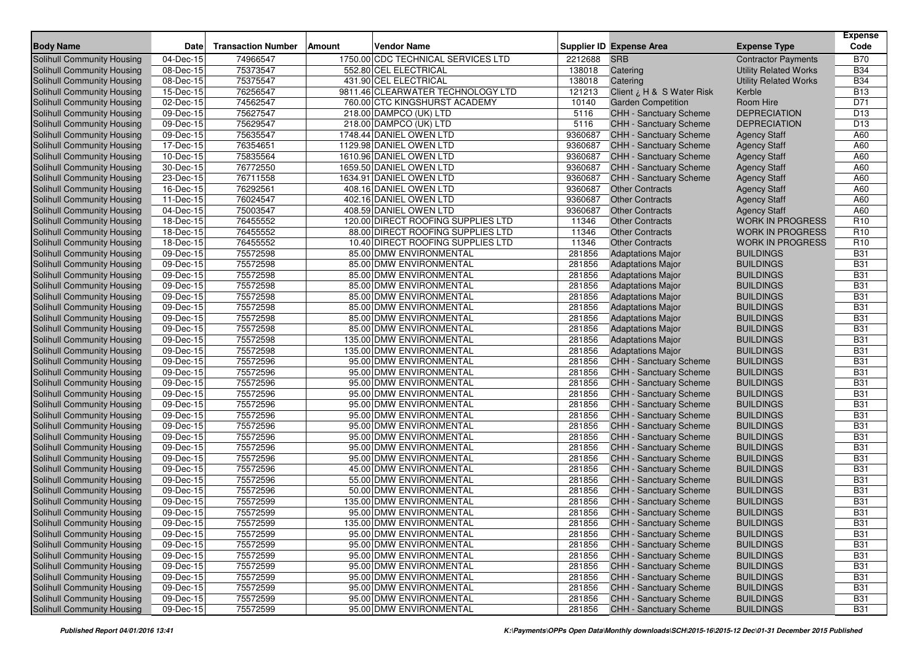| <b>Body Name</b><br><b>Date</b><br><b>Transaction Number</b><br>Amount<br><b>Vendor Name</b><br>Supplier ID Expense Area<br><b>Expense Type</b><br><b>Solihull Community Housing</b><br>1750.00 CDC TECHNICAL SERVICES LTD<br><b>SRB</b><br>$\overline{04}$ -Dec-15<br>74966547<br>2212688<br><b>Contractor Payments</b><br>08-Dec-15<br>75373547<br>552.80 CEL ELECTRICAL<br>138018<br>Solihull Community Housing<br>Catering<br><b>Utility Related Works</b><br>75375547<br>431.90 CEL ELECTRICAL<br>Solihull Community Housing<br>08-Dec-15<br>138018<br>Catering<br><b>Utility Related Works</b><br>76256547<br>9811.46 CLEARWATER TECHNOLOGY LTD<br>121213<br>Solihull Community Housing<br>15-Dec-15<br>Client ¿ H & S Water Risk<br>Kerble | Code<br><b>B70</b><br><b>B34</b><br><b>B34</b><br><b>B13</b><br>D71<br>D <sub>13</sub><br>D <sub>13</sub><br>A60 |
|---------------------------------------------------------------------------------------------------------------------------------------------------------------------------------------------------------------------------------------------------------------------------------------------------------------------------------------------------------------------------------------------------------------------------------------------------------------------------------------------------------------------------------------------------------------------------------------------------------------------------------------------------------------------------------------------------------------------------------------------------|------------------------------------------------------------------------------------------------------------------|
|                                                                                                                                                                                                                                                                                                                                                                                                                                                                                                                                                                                                                                                                                                                                                   |                                                                                                                  |
|                                                                                                                                                                                                                                                                                                                                                                                                                                                                                                                                                                                                                                                                                                                                                   |                                                                                                                  |
|                                                                                                                                                                                                                                                                                                                                                                                                                                                                                                                                                                                                                                                                                                                                                   |                                                                                                                  |
|                                                                                                                                                                                                                                                                                                                                                                                                                                                                                                                                                                                                                                                                                                                                                   |                                                                                                                  |
| 74562547<br>10140<br>Room Hire<br>Solihull Community Housing<br>02-Dec-15<br>760.00 CTC KINGSHURST ACADEMY<br><b>Garden Competition</b>                                                                                                                                                                                                                                                                                                                                                                                                                                                                                                                                                                                                           |                                                                                                                  |
| 75627547<br>Solihull Community Housing<br>09-Dec-15<br>218.00 DAMPCO (UK) LTD<br>5116<br>CHH - Sanctuary Scheme<br><b>DEPRECIATION</b>                                                                                                                                                                                                                                                                                                                                                                                                                                                                                                                                                                                                            |                                                                                                                  |
| 75629547<br>5116<br><b>DEPRECIATION</b><br>Solihull Community Housing<br>09-Dec-15<br>218.00 DAMPCO (UK) LTD<br>CHH - Sanctuary Scheme                                                                                                                                                                                                                                                                                                                                                                                                                                                                                                                                                                                                            |                                                                                                                  |
| 75635547<br>1748.44 DANIEL OWEN LTD<br>9360687<br>Solihull Community Housing<br>09-Dec-15<br><b>CHH - Sanctuary Scheme</b><br><b>Agency Staff</b>                                                                                                                                                                                                                                                                                                                                                                                                                                                                                                                                                                                                 |                                                                                                                  |
| 76354651<br>9360687<br>Solihull Community Housing<br>17-Dec-15<br>1129.98 DANIEL OWEN LTD<br><b>CHH - Sanctuary Scheme</b><br><b>Agency Staff</b>                                                                                                                                                                                                                                                                                                                                                                                                                                                                                                                                                                                                 | A60                                                                                                              |
| Solihull Community Housing<br>75835564<br>9360687<br>CHH - Sanctuary Scheme<br>10-Dec-15<br>1610.96 DANIEL OWEN LTD<br><b>Agency Staff</b>                                                                                                                                                                                                                                                                                                                                                                                                                                                                                                                                                                                                        | A60                                                                                                              |
| 76772550<br>1659.50 DANIEL OWEN LTD<br>9360687<br>Solihull Community Housing<br>30-Dec-15<br>CHH - Sanctuary Scheme<br><b>Agency Staff</b>                                                                                                                                                                                                                                                                                                                                                                                                                                                                                                                                                                                                        | A60                                                                                                              |
| 76711558<br>1634.91 DANIEL OWEN LTD<br>9360687<br>Solihull Community Housing<br>23-Dec-15<br>CHH - Sanctuary Scheme<br><b>Agency Staff</b>                                                                                                                                                                                                                                                                                                                                                                                                                                                                                                                                                                                                        | A60                                                                                                              |
| 76292561<br>9360687<br>Solihull Community Housing<br>16-Dec-15<br>408.16 DANIEL OWEN LTD<br><b>Other Contracts</b><br><b>Agency Staff</b>                                                                                                                                                                                                                                                                                                                                                                                                                                                                                                                                                                                                         | A60                                                                                                              |
| 76024547<br>402.16 DANIEL OWEN LTD<br>9360687<br>Solihull Community Housing<br>11-Dec-15<br><b>Other Contracts</b><br><b>Agency Staff</b>                                                                                                                                                                                                                                                                                                                                                                                                                                                                                                                                                                                                         | A60                                                                                                              |
| 75003547<br>408.59 DANIEL OWEN LTD<br>9360687<br>Solihull Community Housing<br>04-Dec-15<br><b>Other Contracts</b><br><b>Agency Staff</b>                                                                                                                                                                                                                                                                                                                                                                                                                                                                                                                                                                                                         | A60                                                                                                              |
| 76455552<br>120.00 DIRECT ROOFING SUPPLIES LTD<br>11346<br>Solihull Community Housing<br>18-Dec-15<br><b>Other Contracts</b><br><b>WORK IN PROGRESS</b>                                                                                                                                                                                                                                                                                                                                                                                                                                                                                                                                                                                           | R <sub>10</sub>                                                                                                  |
| 76455552<br>88.00 DIRECT ROOFING SUPPLIES LTD<br>11346<br><b>WORK IN PROGRESS</b><br>Solihull Community Housing<br>18-Dec-15<br><b>Other Contracts</b>                                                                                                                                                                                                                                                                                                                                                                                                                                                                                                                                                                                            | R <sub>10</sub>                                                                                                  |
| Solihull Community Housing<br>76455552<br>10.40 DIRECT ROOFING SUPPLIES LTD<br>11346<br><b>WORK IN PROGRESS</b><br>18-Dec-15<br><b>Other Contracts</b>                                                                                                                                                                                                                                                                                                                                                                                                                                                                                                                                                                                            | R <sub>10</sub>                                                                                                  |
| 75572598<br>Solihull Community Housing<br>09-Dec-15<br>85.00 DMW ENVIRONMENTAL<br>281856<br><b>Adaptations Major</b><br><b>BUILDINGS</b>                                                                                                                                                                                                                                                                                                                                                                                                                                                                                                                                                                                                          | <b>B31</b>                                                                                                       |
| 09-Dec-15<br>75572598<br>85.00 DMW ENVIRONMENTAL<br>281856<br><b>BUILDINGS</b><br>Solihull Community Housing<br><b>Adaptations Major</b>                                                                                                                                                                                                                                                                                                                                                                                                                                                                                                                                                                                                          | <b>B31</b>                                                                                                       |
| Solihull Community Housing<br>09-Dec-15<br>75572598<br>85.00 DMW ENVIRONMENTAL<br>281856<br><b>Adaptations Major</b><br><b>BUILDINGS</b>                                                                                                                                                                                                                                                                                                                                                                                                                                                                                                                                                                                                          | <b>B31</b>                                                                                                       |
| 75572598<br>Solihull Community Housing<br>85.00 DMW ENVIRONMENTAL<br>281856<br><b>BUILDINGS</b><br>09-Dec-15<br><b>Adaptations Major</b>                                                                                                                                                                                                                                                                                                                                                                                                                                                                                                                                                                                                          | <b>B31</b>                                                                                                       |
| 75572598<br>Solihull Community Housing<br>85.00 DMW ENVIRONMENTAL<br>281856<br><b>BUILDINGS</b><br>09-Dec-15<br><b>Adaptations Major</b>                                                                                                                                                                                                                                                                                                                                                                                                                                                                                                                                                                                                          | <b>B31</b>                                                                                                       |
| 75572598<br>Solihull Community Housing<br>09-Dec-15<br>85.00 DMW ENVIRONMENTAL<br>281856<br><b>Adaptations Major</b><br><b>BUILDINGS</b>                                                                                                                                                                                                                                                                                                                                                                                                                                                                                                                                                                                                          | <b>B31</b>                                                                                                       |
| 75572598<br>281856<br><b>BUILDINGS</b><br>Solihull Community Housing<br>09-Dec-15<br>85.00 DMW ENVIRONMENTAL<br><b>Adaptations Major</b>                                                                                                                                                                                                                                                                                                                                                                                                                                                                                                                                                                                                          | <b>B31</b>                                                                                                       |
| 75572598<br>281856<br><b>BUILDINGS</b><br>Solihull Community Housing<br>$\overline{09}$ -Dec-15<br>85.00 DMW ENVIRONMENTAL<br><b>Adaptations Major</b>                                                                                                                                                                                                                                                                                                                                                                                                                                                                                                                                                                                            | <b>B31</b>                                                                                                       |
| Solihull Community Housing<br>75572598<br>135.00 DMW ENVIRONMENTAL<br>281856<br><b>BUILDINGS</b><br>09-Dec-15<br><b>Adaptations Major</b>                                                                                                                                                                                                                                                                                                                                                                                                                                                                                                                                                                                                         | <b>B31</b>                                                                                                       |
| 75572598<br><b>BUILDINGS</b><br>Solihull Community Housing<br>09-Dec-15<br>135.00 DMW ENVIRONMENTAL<br>281856<br><b>Adaptations Major</b>                                                                                                                                                                                                                                                                                                                                                                                                                                                                                                                                                                                                         | <b>B31</b>                                                                                                       |
| 75572596<br>95.00 DMW ENVIRONMENTAL<br>281856<br><b>BUILDINGS</b><br>Solihull Community Housing<br>09-Dec-15<br>CHH - Sanctuary Scheme                                                                                                                                                                                                                                                                                                                                                                                                                                                                                                                                                                                                            | <b>B31</b>                                                                                                       |
| 75572596<br>281856<br><b>BUILDINGS</b><br>Solihull Community Housing<br>09-Dec-15<br>95.00 DMW ENVIRONMENTAL<br>CHH - Sanctuary Scheme                                                                                                                                                                                                                                                                                                                                                                                                                                                                                                                                                                                                            | <b>B31</b>                                                                                                       |
| Solihull Community Housing<br>09-Dec-15<br>75572596<br>95.00 DMW ENVIRONMENTAL<br>281856<br>CHH - Sanctuary Scheme<br><b>BUILDINGS</b>                                                                                                                                                                                                                                                                                                                                                                                                                                                                                                                                                                                                            | <b>B31</b>                                                                                                       |
| 75572596<br>281856<br>Solihull Community Housing<br>$\overline{0}9$ -Dec-15<br>95.00 DMW ENVIRONMENTAL<br>CHH - Sanctuary Scheme<br><b>BUILDINGS</b>                                                                                                                                                                                                                                                                                                                                                                                                                                                                                                                                                                                              | <b>B31</b>                                                                                                       |
| 75572596<br>281856<br><b>BUILDINGS</b><br>Solihull Community Housing<br>09-Dec-15<br>95.00 DMW ENVIRONMENTAL<br>CHH - Sanctuary Scheme                                                                                                                                                                                                                                                                                                                                                                                                                                                                                                                                                                                                            | <b>B31</b>                                                                                                       |
| 75572596<br>281856<br>09-Dec-15<br>95.00 DMW ENVIRONMENTAL<br><b>BUILDINGS</b><br>Solihull Community Housing<br>CHH - Sanctuary Scheme                                                                                                                                                                                                                                                                                                                                                                                                                                                                                                                                                                                                            | <b>B31</b>                                                                                                       |
| <b>Solihull Community Housing</b><br>75572596<br>281856<br><b>CHH - Sanctuary Scheme</b><br>09-Dec-15<br>95.00 DMW ENVIRONMENTAL<br><b>BUILDINGS</b>                                                                                                                                                                                                                                                                                                                                                                                                                                                                                                                                                                                              | <b>B31</b>                                                                                                       |
| 75572596<br>281856<br><b>BUILDINGS</b><br><b>Solihull Community Housing</b><br>09-Dec-15<br>95.00 DMW ENVIRONMENTAL<br>CHH - Sanctuary Scheme                                                                                                                                                                                                                                                                                                                                                                                                                                                                                                                                                                                                     | <b>B31</b>                                                                                                       |
| 75572596<br>281856<br><b>BUILDINGS</b><br>Solihull Community Housing<br>09-Dec-15<br>95.00 DMW ENVIRONMENTAL<br>CHH - Sanctuary Scheme                                                                                                                                                                                                                                                                                                                                                                                                                                                                                                                                                                                                            | <b>B31</b>                                                                                                       |
| 75572596<br>95.00 DMW ENVIRONMENTAL<br>281856<br>Solihull Community Housing<br>09-Dec-15<br>CHH - Sanctuary Scheme<br><b>BUILDINGS</b>                                                                                                                                                                                                                                                                                                                                                                                                                                                                                                                                                                                                            | <b>B31</b>                                                                                                       |
| 75572596<br>45.00 DMW ENVIRONMENTAL<br>281856<br><b>CHH - Sanctuary Scheme</b><br><b>BUILDINGS</b><br>Solihull Community Housing<br>09-Dec-15                                                                                                                                                                                                                                                                                                                                                                                                                                                                                                                                                                                                     | <b>B31</b>                                                                                                       |
| 75572596<br>55.00 DMW ENVIRONMENTAL<br>281856<br><b>BUILDINGS</b><br>Solihull Community Housing<br>09-Dec-15<br>CHH - Sanctuary Scheme                                                                                                                                                                                                                                                                                                                                                                                                                                                                                                                                                                                                            | <b>B31</b>                                                                                                       |
| 75572596<br>281856<br><b>BUILDINGS</b><br>Solihull Community Housing<br>09-Dec-15<br>50.00 DMW ENVIRONMENTAL<br>CHH - Sanctuary Scheme                                                                                                                                                                                                                                                                                                                                                                                                                                                                                                                                                                                                            | <b>B31</b>                                                                                                       |
| 75572599<br>281856<br><b>BUILDINGS</b><br><b>Solihull Community Housing</b><br>09-Dec-15<br>135.00 DMW ENVIRONMENTAL<br>CHH - Sanctuary Scheme                                                                                                                                                                                                                                                                                                                                                                                                                                                                                                                                                                                                    | <b>B31</b>                                                                                                       |
| 75572599<br>95.00 DMW ENVIRONMENTAL<br>281856<br><b>CHH - Sanctuary Scheme</b><br>Solihull Community Housing<br>09-Dec-15<br><b>BUILDINGS</b>                                                                                                                                                                                                                                                                                                                                                                                                                                                                                                                                                                                                     | <b>B31</b>                                                                                                       |
| <b>Solihull Community Housing</b><br>09-Dec-15<br>75572599<br>281856<br><b>BUILDINGS</b><br>135.00 DMW ENVIRONMENTAL<br>CHH - Sanctuary Scheme<br>75572599<br>09-Dec-15<br>95.00 DMW ENVIRONMENTAL<br>281856<br><b>BUILDINGS</b>                                                                                                                                                                                                                                                                                                                                                                                                                                                                                                                  | <b>B31</b><br><b>B31</b>                                                                                         |
| Solihull Community Housing<br>CHH - Sanctuary Scheme<br>Solihull Community Housing<br>09-Dec-15                                                                                                                                                                                                                                                                                                                                                                                                                                                                                                                                                                                                                                                   | <b>B31</b>                                                                                                       |
| 75572599<br><b>CHH - Sanctuary Scheme</b><br><b>BUILDINGS</b><br>95.00 DMW ENVIRONMENTAL<br>281856                                                                                                                                                                                                                                                                                                                                                                                                                                                                                                                                                                                                                                                |                                                                                                                  |
| Solihull Community Housing<br>09-Dec-15<br>75572599<br>95.00 DMW ENVIRONMENTAL<br>281856<br>CHH - Sanctuary Scheme<br><b>BUILDINGS</b><br>Solihull Community Housing<br>09-Dec-15<br>75572599<br>281856<br>CHH - Sanctuary Scheme<br><b>BUILDINGS</b><br>95.00 DMW ENVIRONMENTAL                                                                                                                                                                                                                                                                                                                                                                                                                                                                  | <b>B31</b><br><b>B31</b>                                                                                         |
| Solihull Community Housing<br>75572599<br>CHH - Sanctuary Scheme<br><b>BUILDINGS</b><br>09-Dec-15<br>95.00 DMW ENVIRONMENTAL<br>281856                                                                                                                                                                                                                                                                                                                                                                                                                                                                                                                                                                                                            | <b>B31</b>                                                                                                       |
| 75572599<br>Solihull Community Housing<br>09-Dec-15<br>95.00 DMW ENVIRONMENTAL<br>281856<br><b>CHH - Sanctuary Scheme</b><br><b>BUILDINGS</b>                                                                                                                                                                                                                                                                                                                                                                                                                                                                                                                                                                                                     | <b>B31</b>                                                                                                       |
| Solihull Community Housing<br>$\overline{09\text{-}$ Dec-15<br>95.00 DMW ENVIRONMENTAL<br>CHH - Sanctuary Scheme<br><b>BUILDINGS</b><br>75572599<br>281856                                                                                                                                                                                                                                                                                                                                                                                                                                                                                                                                                                                        | <b>B31</b>                                                                                                       |
| <b>Solihull Community Housing</b><br>09-Dec-15<br>75572599<br>95.00 DMW ENVIRONMENTAL<br>CHH - Sanctuary Scheme<br><b>BUILDINGS</b><br>281856                                                                                                                                                                                                                                                                                                                                                                                                                                                                                                                                                                                                     | <b>B31</b>                                                                                                       |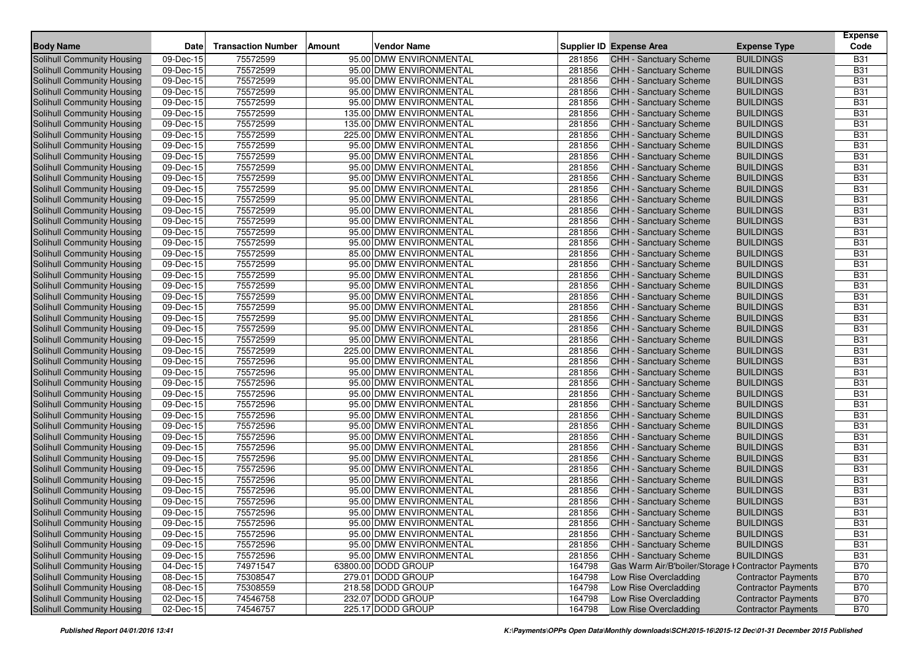| <b>Body Name</b>                  | <b>Date</b>  | <b>Transaction Number</b> | Vendor Name<br><b>Amount</b> |        | Supplier ID Expense Area                            | <b>Expense Type</b>        | <b>Expense</b><br>Code |
|-----------------------------------|--------------|---------------------------|------------------------------|--------|-----------------------------------------------------|----------------------------|------------------------|
| Solihull Community Housing        | 09-Dec-15    | 75572599                  | 95.00 DMW ENVIRONMENTAL      | 281856 | CHH - Sanctuary Scheme                              | <b>BUILDINGS</b>           | <b>B31</b>             |
| Solihull Community Housing        | 09-Dec-15    | 75572599                  | 95.00 DMW ENVIRONMENTAL      | 281856 | <b>CHH - Sanctuary Scheme</b>                       | <b>BUILDINGS</b>           | <b>B31</b>             |
| Solihull Community Housing        | 09-Dec-15    | 75572599                  | 95.00 DMW ENVIRONMENTAL      | 281856 | <b>CHH - Sanctuary Scheme</b>                       | <b>BUILDINGS</b>           | <b>B31</b>             |
| Solihull Community Housing        | 09-Dec-15    | 75572599                  | 95.00 DMW ENVIRONMENTAL      | 281856 | CHH - Sanctuary Scheme                              | <b>BUILDINGS</b>           | <b>B31</b>             |
| Solihull Community Housing        | 09-Dec-15    | 75572599                  | 95.00 DMW ENVIRONMENTAL      | 281856 | CHH - Sanctuary Scheme                              | <b>BUILDINGS</b>           | <b>B31</b>             |
| Solihull Community Housing        | 09-Dec-15    | 75572599                  | 135.00 DMW ENVIRONMENTAL     | 281856 | CHH - Sanctuary Scheme                              | <b>BUILDINGS</b>           | <b>B31</b>             |
| Solihull Community Housing        | 09-Dec-15    | 75572599                  | 135.00 DMW ENVIRONMENTAL     | 281856 | CHH - Sanctuary Scheme                              | <b>BUILDINGS</b>           | <b>B31</b>             |
| Solihull Community Housing        | 09-Dec-15    | 75572599                  | 225.00 DMW ENVIRONMENTAL     | 281856 | CHH - Sanctuary Scheme                              | <b>BUILDINGS</b>           | <b>B31</b>             |
| Solihull Community Housing        | 09-Dec-15    | 75572599                  | 95.00 DMW ENVIRONMENTAL      | 281856 | CHH - Sanctuary Scheme                              | <b>BUILDINGS</b>           | <b>B31</b>             |
| Solihull Community Housing        | 09-Dec-15    | 75572599                  | 95.00 DMW ENVIRONMENTAL      | 281856 | <b>CHH - Sanctuary Scheme</b>                       | <b>BUILDINGS</b>           | <b>B31</b>             |
| Solihull Community Housing        | 09-Dec-15    | 75572599                  | 95.00 DMW ENVIRONMENTAL      | 281856 | CHH - Sanctuary Scheme                              | <b>BUILDINGS</b>           | <b>B31</b>             |
| Solihull Community Housing        | 09-Dec-15    | 75572599                  | 95.00 DMW ENVIRONMENTAL      | 281856 | CHH - Sanctuary Scheme                              | <b>BUILDINGS</b>           | <b>B31</b>             |
| Solihull Community Housing        | 09-Dec-15    | 75572599                  | 95.00 DMW ENVIRONMENTAL      | 281856 | CHH - Sanctuary Scheme                              | <b>BUILDINGS</b>           | <b>B31</b>             |
| Solihull Community Housing        | 09-Dec-15    | 75572599                  | 95.00 DMW ENVIRONMENTAL      | 281856 | <b>CHH - Sanctuary Scheme</b>                       | <b>BUILDINGS</b>           | <b>B31</b>             |
| Solihull Community Housing        | 09-Dec-15    | 75572599                  | 95.00 DMW ENVIRONMENTAL      | 281856 | <b>CHH - Sanctuary Scheme</b>                       | <b>BUILDINGS</b>           | <b>B31</b>             |
| Solihull Community Housing        | 09-Dec-15    | 75572599                  | 95.00 DMW ENVIRONMENTAL      | 281856 | CHH - Sanctuary Scheme                              | <b>BUILDINGS</b>           | <b>B31</b>             |
| Solihull Community Housing        | 09-Dec-15    | 75572599                  | 95.00 DMW ENVIRONMENTAL      | 281856 | CHH - Sanctuary Scheme                              | <b>BUILDINGS</b>           | <b>B31</b>             |
| Solihull Community Housing        | 09-Dec-15    | 75572599                  | 95.00 DMW ENVIRONMENTAL      | 281856 | CHH - Sanctuary Scheme                              | <b>BUILDINGS</b>           | <b>B31</b>             |
| Solihull Community Housing        | 09-Dec-15    | 75572599                  | 85.00 DMW ENVIRONMENTAL      | 281856 | <b>CHH - Sanctuary Scheme</b>                       | <b>BUILDINGS</b>           | <b>B31</b>             |
| Solihull Community Housing        | 09-Dec-15    | 75572599                  | 95.00 DMW ENVIRONMENTAL      | 281856 | CHH - Sanctuary Scheme                              | <b>BUILDINGS</b>           | <b>B31</b>             |
| Solihull Community Housing        | 09-Dec-15    | 75572599                  | 95.00 DMW ENVIRONMENTAL      | 281856 | CHH - Sanctuary Scheme                              | <b>BUILDINGS</b>           | <b>B31</b>             |
| Solihull Community Housing        | 09-Dec-15    | 75572599                  | 95.00 DMW ENVIRONMENTAL      | 281856 | CHH - Sanctuary Scheme                              | <b>BUILDINGS</b>           | <b>B31</b>             |
| Solihull Community Housing        | 09-Dec-15    | 75572599                  | 95.00 DMW ENVIRONMENTAL      | 281856 | CHH - Sanctuary Scheme                              | <b>BUILDINGS</b>           | <b>B31</b>             |
| Solihull Community Housing        | 09-Dec-15    | 75572599                  | 95.00 DMW ENVIRONMENTAL      | 281856 | <b>CHH - Sanctuary Scheme</b>                       | <b>BUILDINGS</b>           | <b>B31</b>             |
| Solihull Community Housing        | 09-Dec-15    | 75572599                  | 95.00 DMW ENVIRONMENTAL      | 281856 | CHH - Sanctuary Scheme                              | <b>BUILDINGS</b>           | <b>B31</b>             |
| Solihull Community Housing        | 09-Dec-15    | 75572599                  | 95.00 DMW ENVIRONMENTAL      | 281856 | CHH - Sanctuary Scheme                              | <b>BUILDINGS</b>           | <b>B31</b>             |
| Solihull Community Housing        | 09-Dec-15    | 75572599                  | 95.00 DMW ENVIRONMENTAL      | 281856 | <b>CHH - Sanctuary Scheme</b>                       | <b>BUILDINGS</b>           | <b>B31</b>             |
| Solihull Community Housing        | 09-Dec-15    | 75572599                  | 225.00 DMW ENVIRONMENTAL     | 281856 | <b>CHH - Sanctuary Scheme</b>                       | <b>BUILDINGS</b>           | <b>B31</b>             |
| Solihull Community Housing        | 09-Dec-15    | 75572596                  | 95.00 DMW ENVIRONMENTAL      | 281856 | CHH - Sanctuary Scheme                              | <b>BUILDINGS</b>           | <b>B31</b>             |
| Solihull Community Housing        | 09-Dec-15    | 75572596                  | 95.00 DMW ENVIRONMENTAL      | 281856 | CHH - Sanctuary Scheme                              | <b>BUILDINGS</b>           | <b>B31</b>             |
| Solihull Community Housing        | 09-Dec-15    | 75572596                  | 95.00 DMW ENVIRONMENTAL      | 281856 | <b>CHH - Sanctuary Scheme</b>                       | <b>BUILDINGS</b>           | <b>B31</b>             |
| Solihull Community Housing        | 09-Dec-15    | 75572596                  | 95.00 DMW ENVIRONMENTAL      | 281856 | CHH - Sanctuary Scheme                              | <b>BUILDINGS</b>           | <b>B31</b>             |
| Solihull Community Housing        | 09-Dec-15    | 75572596                  | 95.00 DMW ENVIRONMENTAL      | 281856 | CHH - Sanctuary Scheme                              | <b>BUILDINGS</b>           | <b>B31</b>             |
| Solihull Community Housing        | 09-Dec-15    | 75572596                  | 95.00 DMW ENVIRONMENTAL      | 281856 | CHH - Sanctuary Scheme                              | <b>BUILDINGS</b>           | <b>B31</b>             |
| Solihull Community Housing        | 09-Dec-15    | 75572596                  | 95.00 DMW ENVIRONMENTAL      | 281856 | <b>CHH - Sanctuary Scheme</b>                       | <b>BUILDINGS</b>           | <b>B31</b>             |
| Solihull Community Housing        | 09-Dec-15    | 75572596                  | 95.00 DMW ENVIRONMENTAL      | 281856 | CHH - Sanctuary Scheme                              | <b>BUILDINGS</b>           | <b>B31</b>             |
| Solihull Community Housing        | 09-Dec-15    | 75572596                  | 95.00 DMW ENVIRONMENTAL      | 281856 | CHH - Sanctuary Scheme                              | <b>BUILDINGS</b>           | <b>B31</b>             |
| Solihull Community Housing        | 09-Dec-15    | 75572596                  | 95.00 DMW ENVIRONMENTAL      | 281856 | CHH - Sanctuary Scheme                              | <b>BUILDINGS</b>           | <b>B31</b>             |
| Solihull Community Housing        | 09-Dec-15    | 75572596                  | 95.00 DMW ENVIRONMENTAL      | 281856 | <b>CHH - Sanctuary Scheme</b>                       | <b>BUILDINGS</b>           | <b>B31</b>             |
| Solihull Community Housing        | 09-Dec-15    | 75572596                  | 95.00 DMW ENVIRONMENTAL      | 281856 | CHH - Sanctuary Scheme                              | <b>BUILDINGS</b>           | <b>B31</b>             |
| Solihull Community Housing        | 09-Dec-15    | 75572596                  | 95.00 DMW ENVIRONMENTAL      | 281856 | CHH - Sanctuary Scheme                              | <b>BUILDINGS</b>           | <b>B31</b>             |
| <b>Solihull Community Housing</b> | 09-Dec-15    | 75572596                  | 95.00 DMW ENVIRONMENTAL      | 281856 | CHH - Sanctuary Scheme                              | <b>BUILDINGS</b>           | <b>B31</b>             |
| Solihull Community Housing        | 09-Dec-15    | 75572596                  | 95.00 DMW ENVIRONMENTAL      | 281856 | <b>CHH - Sanctuary Scheme</b>                       | <b>BUILDINGS</b>           | <b>B31</b>             |
| Solihull Community Housing        | 09-Dec-15    | 75572596                  | 95.00 DMW ENVIRONMENTAL      | 281856 | CHH - Sanctuary Scheme                              | <b>BUILDINGS</b>           | <b>B31</b>             |
| Solihull Community Housing        | 09-Dec-15    | 75572596                  | 95.00 DMW ENVIRONMENTAL      | 281856 | CHH - Sanctuary Scheme                              | <b>BUILDINGS</b>           | <b>B31</b>             |
| Solihull Community Housing        | 09-Dec-15    | 75572596                  | 95.00 DMW ENVIRONMENTAL      | 281856 | <b>CHH - Sanctuary Scheme</b>                       | <b>BUILDINGS</b>           | <b>B31</b>             |
| Solihull Community Housing        | 09-Dec-15    | 75572596                  | 95.00 DMW ENVIRONMENTAL      | 281856 | CHH - Sanctuary Scheme                              | <b>BUILDINGS</b>           | <b>B31</b>             |
| Solihull Community Housing        | 04-Dec-15    | 74971547                  | 63800.00 DODD GROUP          | 164798 | Gas Warm Air/B'boiler/Storage I Contractor Payments |                            | <b>B70</b>             |
| Solihull Community Housing        | 08-Dec-15    | 75308547                  | 279.01 DODD GROUP            | 164798 | Low Rise Overcladding                               | <b>Contractor Payments</b> | <b>B70</b>             |
| Solihull Community Housing        | 08-Dec-15    | 75308559                  | 218.58 DODD GROUP            | 164798 | Low Rise Overcladding                               | <b>Contractor Payments</b> | <b>B70</b>             |
| Solihull Community Housing        | 02-Dec-15    | 74546758                  | 232.07 DODD GROUP            | 164798 | Low Rise Overcladding                               | <b>Contractor Payments</b> | <b>B70</b>             |
| Solihull Community Housing        | $02$ -Dec-15 | 74546757                  | 225.17 DODD GROUP            | 164798 | Low Rise Overcladding                               | <b>Contractor Payments</b> | <b>B70</b>             |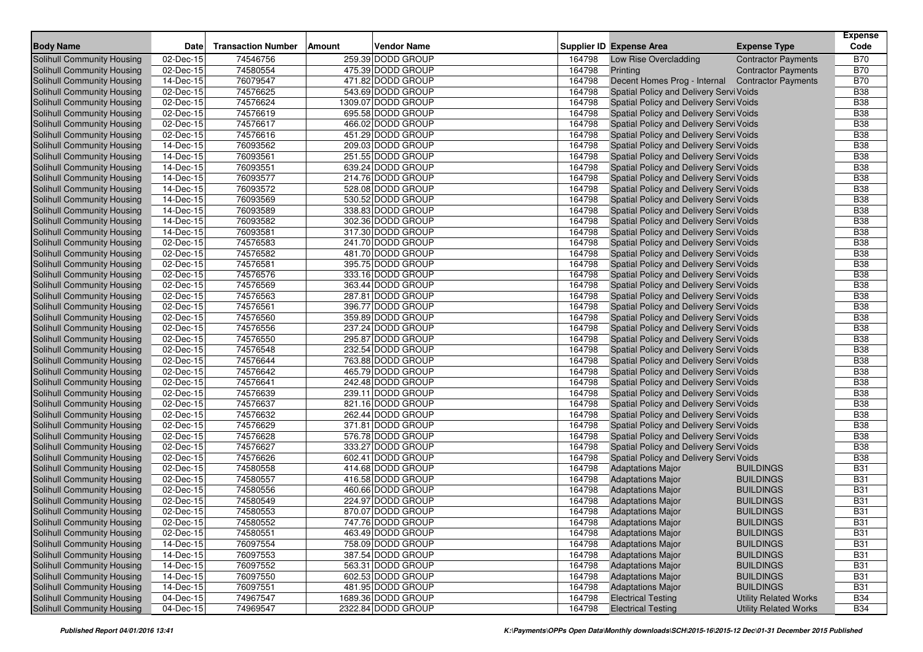|                                   |             |                           |        |                    |        |                                                  |                              | <b>Expense</b> |
|-----------------------------------|-------------|---------------------------|--------|--------------------|--------|--------------------------------------------------|------------------------------|----------------|
| <b>Body Name</b>                  | <b>Date</b> | <b>Transaction Number</b> | Amount | <b>Vendor Name</b> |        | <b>Supplier ID Expense Area</b>                  | <b>Expense Type</b>          | Code           |
| <b>Solihull Community Housing</b> | 02-Dec-15   | 74546756                  |        | 259.39 DODD GROUP  | 164798 | Low Rise Overcladding                            | <b>Contractor Payments</b>   | <b>B70</b>     |
| Solihull Community Housing        | 02-Dec-15   | 74580554                  |        | 475.39 DODD GROUP  | 164798 | Printing                                         | <b>Contractor Payments</b>   | <b>B70</b>     |
| Solihull Community Housing        | 14-Dec-15   | 76079547                  |        | 471.82 DODD GROUP  | 164798 | Decent Homes Prog - Internal Contractor Payments |                              | <b>B70</b>     |
| Solihull Community Housing        | 02-Dec-15   | 74576625                  |        | 543.69 DODD GROUP  | 164798 | Spatial Policy and Delivery Servi Voids          |                              | <b>B38</b>     |
| Solihull Community Housing        | 02-Dec-15   | 74576624                  |        | 1309.07 DODD GROUP | 164798 | Spatial Policy and Delivery Servi Voids          |                              | <b>B38</b>     |
| Solihull Community Housing        | 02-Dec-15   | 74576619                  |        | 695.58 DODD GROUP  | 164798 | Spatial Policy and Delivery Servi Voids          |                              | <b>B38</b>     |
| Solihull Community Housing        | 02-Dec-15   | 74576617                  |        | 466.02 DODD GROUP  | 164798 | Spatial Policy and Delivery Servi Voids          |                              | <b>B38</b>     |
| Solihull Community Housing        | 02-Dec-15   | 74576616                  |        | 451.29 DODD GROUP  | 164798 | Spatial Policy and Delivery Servi Voids          |                              | <b>B38</b>     |
| Solihull Community Housing        | 14-Dec-15   | 76093562                  |        | 209.03 DODD GROUP  | 164798 | Spatial Policy and Delivery Servi Voids          |                              | <b>B38</b>     |
| Solihull Community Housing        | 14-Dec-15   | 76093561                  |        | 251.55 DODD GROUP  | 164798 | Spatial Policy and Delivery Servi Voids          |                              | <b>B38</b>     |
| Solihull Community Housing        | 14-Dec-15   | 76093551                  |        | 639.24 DODD GROUP  | 164798 | Spatial Policy and Delivery Servi Voids          |                              | <b>B38</b>     |
| Solihull Community Housing        | 14-Dec-15   | 76093577                  |        | 214.76 DODD GROUP  | 164798 | Spatial Policy and Delivery Servi Voids          |                              | <b>B38</b>     |
| Solihull Community Housing        | 14-Dec-15   | 76093572                  |        | 528.08 DODD GROUP  | 164798 | Spatial Policy and Delivery Servi Voids          |                              | <b>B38</b>     |
| Solihull Community Housing        | 14-Dec-15   | 76093569                  |        | 530.52 DODD GROUP  | 164798 | Spatial Policy and Delivery Servi Voids          |                              | <b>B38</b>     |
| Solihull Community Housing        | 14-Dec-15   | 76093589                  |        | 338.83 DODD GROUP  | 164798 | Spatial Policy and Delivery Servi Voids          |                              | <b>B38</b>     |
| Solihull Community Housing        | 14-Dec-15   | 76093582                  |        | 302.36 DODD GROUP  | 164798 | Spatial Policy and Delivery Servi Voids          |                              | <b>B38</b>     |
| Solihull Community Housing        | 14-Dec-15   | 76093581                  |        | 317.30 DODD GROUP  | 164798 | Spatial Policy and Delivery Servi Voids          |                              | <b>B38</b>     |
| Solihull Community Housing        | 02-Dec-15   | 74576583                  |        | 241.70 DODD GROUP  | 164798 | Spatial Policy and Delivery Servi Voids          |                              | <b>B38</b>     |
| Solihull Community Housing        | 02-Dec-15   | 74576582                  |        | 481.70 DODD GROUP  | 164798 | Spatial Policy and Delivery Servi Voids          |                              | <b>B38</b>     |
| Solihull Community Housing        | 02-Dec-15   | 74576581                  |        | 395.75 DODD GROUP  | 164798 | Spatial Policy and Delivery Servi Voids          |                              | <b>B38</b>     |
| Solihull Community Housing        | 02-Dec-15   | 74576576                  |        | 333.16 DODD GROUP  | 164798 | Spatial Policy and Delivery Servi Voids          |                              | <b>B38</b>     |
| Solihull Community Housing        | 02-Dec-15   | 74576569                  |        | 363.44 DODD GROUP  | 164798 | Spatial Policy and Delivery Servi Voids          |                              | <b>B38</b>     |
| Solihull Community Housing        | 02-Dec-15   | 74576563                  |        | 287.81 DODD GROUP  | 164798 | Spatial Policy and Delivery Servi Voids          |                              | <b>B38</b>     |
| Solihull Community Housing        | 02-Dec-15   | 74576561                  |        | 396.77 DODD GROUP  | 164798 | Spatial Policy and Delivery Servi Voids          |                              | <b>B38</b>     |
| Solihull Community Housing        | 02-Dec-15   | 74576560                  |        | 359.89 DODD GROUP  | 164798 | Spatial Policy and Delivery Servi Voids          |                              | <b>B38</b>     |
| Solihull Community Housing        | 02-Dec-15   | 74576556                  |        | 237.24 DODD GROUP  | 164798 | Spatial Policy and Delivery Servi Voids          |                              | <b>B38</b>     |
| Solihull Community Housing        | 02-Dec-15   | 74576550                  |        | 295.87 DODD GROUP  | 164798 | Spatial Policy and Delivery Servi Voids          |                              | <b>B38</b>     |
| Solihull Community Housing        | 02-Dec-15   | 74576548                  |        | 232.54 DODD GROUP  | 164798 | Spatial Policy and Delivery Servi Voids          |                              | <b>B38</b>     |
| Solihull Community Housing        | 02-Dec-15   | 74576644                  |        | 763.88 DODD GROUP  | 164798 | Spatial Policy and Delivery Servi Voids          |                              | <b>B38</b>     |
| Solihull Community Housing        | 02-Dec-15   | 74576642                  |        | 465.79 DODD GROUP  | 164798 | Spatial Policy and Delivery Servi Voids          |                              | <b>B38</b>     |
| Solihull Community Housing        | 02-Dec-15   | 74576641                  |        | 242.48 DODD GROUP  | 164798 | Spatial Policy and Delivery Servi Voids          |                              | <b>B38</b>     |
| Solihull Community Housing        | 02-Dec-15   | 74576639                  |        | 239.11 DODD GROUP  | 164798 | Spatial Policy and Delivery Servi Voids          |                              | <b>B38</b>     |
| Solihull Community Housing        | 02-Dec-15   | 74576637                  |        | 821.16 DODD GROUP  | 164798 | Spatial Policy and Delivery Servi Voids          |                              | <b>B38</b>     |
| Solihull Community Housing        | 02-Dec-15   | 74576632                  |        | 262.44 DODD GROUP  | 164798 | Spatial Policy and Delivery Servi Voids          |                              | <b>B38</b>     |
| Solihull Community Housing        | 02-Dec-15   | 74576629                  |        | 371.81 DODD GROUP  | 164798 | Spatial Policy and Delivery Servi Voids          |                              | <b>B38</b>     |
| Solihull Community Housing        | 02-Dec-15   | 74576628                  |        | 576.78 DODD GROUP  | 164798 | Spatial Policy and Delivery Servi Voids          |                              | <b>B38</b>     |
| Solihull Community Housing        | 02-Dec-15   | 74576627                  |        | 333.27 DODD GROUP  | 164798 | <b>Spatial Policy and Delivery Servi Voids</b>   |                              | <b>B38</b>     |
| Solihull Community Housing        | 02-Dec-15   | 74576626                  |        | 602.41 DODD GROUP  | 164798 | Spatial Policy and Delivery Servi Voids          |                              | <b>B38</b>     |
| Solihull Community Housing        | 02-Dec-15   | 74580558                  |        | 414.68 DODD GROUP  | 164798 | <b>Adaptations Major</b>                         | <b>BUILDINGS</b>             | <b>B31</b>     |
| Solihull Community Housing        | 02-Dec-15   | 74580557                  |        | 416.58 DODD GROUP  | 164798 | <b>Adaptations Major</b>                         | <b>BUILDINGS</b>             | <b>B31</b>     |
| Solihull Community Housing        | 02-Dec-15   | 74580556                  |        | 460.66 DODD GROUP  | 164798 | <b>Adaptations Major</b>                         | <b>BUILDINGS</b>             | <b>B31</b>     |
| Solihull Community Housing        | 02-Dec-15   | 74580549                  |        | 224.97 DODD GROUP  | 164798 | <b>Adaptations Major</b>                         | <b>BUILDINGS</b>             | <b>B31</b>     |
| Solihull Community Housing        | 02-Dec-15   | 74580553                  |        | 870.07 DODD GROUP  | 164798 | <b>Adaptations Major</b>                         | <b>BUILDINGS</b>             | <b>B31</b>     |
| Solihull Community Housing        | 02-Dec-15   | 74580552                  |        | 747.76 DODD GROUP  | 164798 | <b>Adaptations Major</b>                         | <b>BUILDINGS</b>             | <b>B31</b>     |
| Solihull Community Housing        | 02-Dec-15   | 74580551                  |        | 463.49 DODD GROUP  | 164798 | <b>Adaptations Major</b>                         | <b>BUILDINGS</b>             | <b>B31</b>     |
| Solihull Community Housing        | 14-Dec-15   | 76097554                  |        | 758.09 DODD GROUP  | 164798 | <b>Adaptations Major</b>                         | <b>BUILDINGS</b>             | <b>B31</b>     |
| Solihull Community Housing        | 14-Dec-15   | 76097553                  |        | 387.54 DODD GROUP  | 164798 | <b>Adaptations Major</b>                         | <b>BUILDINGS</b>             | <b>B31</b>     |
| Solihull Community Housing        | 14-Dec-15   | 76097552                  |        | 563.31 DODD GROUP  | 164798 | <b>Adaptations Major</b>                         | <b>BUILDINGS</b>             | <b>B31</b>     |
| Solihull Community Housing        | 14-Dec-15   | 76097550                  |        | 602.53 DODD GROUP  | 164798 | <b>Adaptations Major</b>                         | <b>BUILDINGS</b>             | <b>B31</b>     |
| Solihull Community Housing        | 14-Dec-15   | 76097551                  |        | 481.95 DODD GROUP  | 164798 | <b>Adaptations Major</b>                         | <b>BUILDINGS</b>             | <b>B31</b>     |
| Solihull Community Housing        | 04-Dec-15   | 74967547                  |        | 1689.36 DODD GROUP | 164798 | <b>Electrical Testing</b>                        | <b>Utility Related Works</b> | <b>B34</b>     |
| <b>Solihull Community Housing</b> | 04-Dec-15   | 74969547                  |        | 2322.84 DODD GROUP | 164798 | <b>Electrical Testing</b>                        | <b>Utility Related Works</b> | <b>B34</b>     |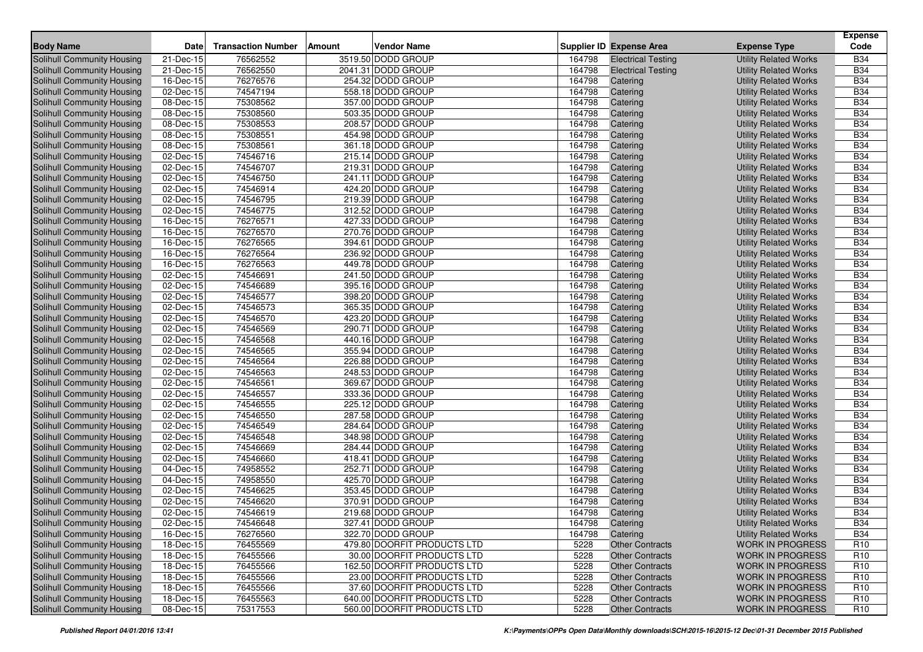|                                                          |                               | <b>Transaction Number</b> |                                        |                  |                                 |                                                              | <b>Expense</b><br>Code   |
|----------------------------------------------------------|-------------------------------|---------------------------|----------------------------------------|------------------|---------------------------------|--------------------------------------------------------------|--------------------------|
| <b>Body Name</b>                                         | <b>Date</b>                   |                           | <b>Vendor Name</b><br><b>Amount</b>    |                  | <b>Supplier ID Expense Area</b> | <b>Expense Type</b>                                          |                          |
| <b>Solihull Community Housing</b>                        | 21-Dec-15                     | 76562552                  | 3519.50 DODD GROUP                     | 164798           | <b>Electrical Testing</b>       | <b>Utility Related Works</b>                                 | <b>B34</b>               |
| Solihull Community Housing                               | 21-Dec-15                     | 76562550                  | 2041.31 DODD GROUP                     | 164798           | <b>Electrical Testing</b>       | <b>Utility Related Works</b>                                 | <b>B34</b>               |
| Solihull Community Housing                               | $16$ -Dec-15                  | 76276576                  | 254.32 DODD GROUP                      | 164798           | Catering                        | <b>Utility Related Works</b>                                 | <b>B34</b>               |
| Solihull Community Housing                               | 02-Dec-15                     | 74547194                  | 558.18 DODD GROUP                      | 164798           | Catering                        | <b>Utility Related Works</b>                                 | <b>B34</b>               |
| Solihull Community Housing                               | 08-Dec-15                     | 75308562                  | 357.00 DODD GROUP                      | 164798           | Catering                        | <b>Utility Related Works</b>                                 | <b>B34</b>               |
| Solihull Community Housing                               | 08-Dec-15                     | 75308560                  | 503.35 DODD GROUP                      | 164798           | Catering                        | <b>Utility Related Works</b>                                 | <b>B34</b>               |
| <b>Solihull Community Housing</b>                        | 08-Dec-15                     | 75308553                  | 208.57 DODD GROUP                      | 164798           | Catering                        | <b>Utility Related Works</b>                                 | <b>B34</b>               |
| Solihull Community Housing                               | 08-Dec-15                     | 75308551<br>75308561      | 454.98 DODD GROUP<br>361.18 DODD GROUP | 164798           | Catering                        | <b>Utility Related Works</b>                                 | <b>B34</b><br><b>B34</b> |
| Solihull Community Housing                               | 08-Dec-15                     |                           |                                        | 164798           | Catering                        | <b>Utility Related Works</b>                                 |                          |
| Solihull Community Housing                               | 02-Dec-15                     | 74546716<br>74546707      | 215.14 DODD GROUP<br>219.31 DODD GROUP | 164798           | Catering                        | <b>Utility Related Works</b>                                 | <b>B34</b><br><b>B34</b> |
| Solihull Community Housing<br>Solihull Community Housing | 02-Dec-15                     |                           |                                        | 164798           | Catering                        | <b>Utility Related Works</b>                                 | <b>B34</b>               |
|                                                          | 02-Dec-15<br>02-Dec-15        | 74546750<br>74546914      | 241.11 DODD GROUP<br>424.20 DODD GROUP | 164798<br>164798 | Catering                        | <b>Utility Related Works</b>                                 | <b>B34</b>               |
| Solihull Community Housing                               |                               | 74546795                  | 219.39 DODD GROUP                      | 164798           | Catering                        | <b>Utility Related Works</b>                                 | <b>B34</b>               |
| Solihull Community Housing                               | 02-Dec-15                     |                           | 312.52 DODD GROUP                      |                  | Catering                        | <b>Utility Related Works</b>                                 | <b>B34</b>               |
| Solihull Community Housing                               | 02-Dec-15<br>16-Dec-15        | 74546775<br>76276571      | 427.33 DODD GROUP                      | 164798<br>164798 | Catering                        | <b>Utility Related Works</b>                                 | <b>B34</b>               |
| Solihull Community Housing                               | 16-Dec-15                     | 76276570                  | 270.76 DODD GROUP                      | 164798           | Catering                        | <b>Utility Related Works</b>                                 | <b>B34</b>               |
| Solihull Community Housing<br>Solihull Community Housing | 16-Dec-15                     | 76276565                  | 394.61 DODD GROUP                      | 164798           | Catering<br>Catering            | <b>Utility Related Works</b>                                 | <b>B34</b>               |
| Solihull Community Housing                               | 16-Dec-15                     | 76276564                  | 236.92 DODD GROUP                      | 164798           | Catering                        | <b>Utility Related Works</b><br><b>Utility Related Works</b> | <b>B34</b>               |
| Solihull Community Housing                               | 16-Dec-15                     | 76276563                  | 449.78 DODD GROUP                      | 164798           | Catering                        | <b>Utility Related Works</b>                                 | <b>B34</b>               |
| Solihull Community Housing                               | 02-Dec-15                     | 74546691                  | 241.50 DODD GROUP                      | 164798           | Catering                        | <b>Utility Related Works</b>                                 | <b>B34</b>               |
| Solihull Community Housing                               | 02-Dec-15                     | 74546689                  | 395.16 DODD GROUP                      | 164798           | Catering                        | <b>Utility Related Works</b>                                 | <b>B34</b>               |
| Solihull Community Housing                               | 02-Dec-15                     | 74546577                  | 398.20 DODD GROUP                      | 164798           | Catering                        | <b>Utility Related Works</b>                                 | <b>B34</b>               |
| Solihull Community Housing                               | 02-Dec-15                     | 74546573                  | 365.35 DODD GROUP                      | 164798           | Catering                        | <b>Utility Related Works</b>                                 | <b>B34</b>               |
| Solihull Community Housing                               | 02-Dec-15                     | 74546570                  | 423.20 DODD GROUP                      | 164798           | Catering                        | <b>Utility Related Works</b>                                 | <b>B34</b>               |
| Solihull Community Housing                               | 02-Dec-15                     | 74546569                  | 290.71 DODD GROUP                      | 164798           | Catering                        | <b>Utility Related Works</b>                                 | <b>B34</b>               |
| Solihull Community Housing                               | 02-Dec-15                     | 74546568                  | 440.16 DODD GROUP                      | 164798           | Catering                        | <b>Utility Related Works</b>                                 | <b>B34</b>               |
| Solihull Community Housing                               | $\overline{02\text{-}$ Dec-15 | 74546565                  | 355.94 DODD GROUP                      | 164798           | Catering                        | <b>Utility Related Works</b>                                 | <b>B34</b>               |
| Solihull Community Housing                               | 02-Dec-15                     | 74546564                  | 226.88 DODD GROUP                      | 164798           | Catering                        | <b>Utility Related Works</b>                                 | <b>B34</b>               |
| Solihull Community Housing                               | 02-Dec-15                     | 74546563                  | 248.53 DODD GROUP                      | 164798           | Catering                        | <b>Utility Related Works</b>                                 | <b>B34</b>               |
| Solihull Community Housing                               | 02-Dec-15                     | 74546561                  | 369.67 DODD GROUP                      | 164798           | Catering                        | <b>Utility Related Works</b>                                 | <b>B34</b>               |
| Solihull Community Housing                               | $\overline{02}$ -Dec-15       | 74546557                  | 333.36 DODD GROUP                      | 164798           | Catering                        | <b>Utility Related Works</b>                                 | <b>B34</b>               |
| Solihull Community Housing                               | 02-Dec-15                     | 74546555                  | 225.12 DODD GROUP                      | 164798           | Catering                        | <b>Utility Related Works</b>                                 | <b>B34</b>               |
| Solihull Community Housing                               | 02-Dec-15                     | 74546550                  | 287.58 DODD GROUP                      | 164798           | Catering                        | <b>Utility Related Works</b>                                 | <b>B34</b>               |
| Solihull Community Housing                               | 02-Dec-15                     | 74546549                  | 284.64 DODD GROUP                      | 164798           | Catering                        | <b>Utility Related Works</b>                                 | <b>B34</b>               |
| Solihull Community Housing                               | 02-Dec-15                     | 74546548                  | 348.98 DODD GROUP                      | 164798           | Catering                        | <b>Utility Related Works</b>                                 | <b>B34</b>               |
| Solihull Community Housing                               | 02-Dec-15                     | 74546669                  | 284.44 DODD GROUP                      | 164798           | Catering                        | <b>Utility Related Works</b>                                 | <b>B34</b>               |
| Solihull Community Housing                               | 02-Dec-15                     | 74546660                  | 418.41 DODD GROUP                      | 164798           | Catering                        | <b>Utility Related Works</b>                                 | <b>B34</b>               |
| <b>Solihull Community Housing</b>                        | 04-Dec-15                     | 74958552                  | 252.71 DODD GROUP                      | 164798           | Catering                        | <b>Utility Related Works</b>                                 | <b>B34</b>               |
| Solihull Community Housing                               | $\overline{04}$ -Dec-15       | 74958550                  | 425.70 DODD GROUP                      | 164798           | Catering                        | <b>Utility Related Works</b>                                 | <b>B34</b>               |
| Solihull Community Housing                               | 02-Dec-15                     | 74546625                  | 353.45 DODD GROUP                      | 164798           | Catering                        | <b>Utility Related Works</b>                                 | <b>B34</b>               |
| Solihull Community Housing                               | 02-Dec-15                     | 74546620                  | 370.91 DODD GROUP                      | 164798           | Catering                        | <b>Utility Related Works</b>                                 | <b>B34</b>               |
| Solihull Community Housing                               | 02-Dec-15                     | 74546619                  | 219.68 DODD GROUP                      | 164798           | Catering                        | <b>Utility Related Works</b>                                 | <b>B34</b>               |
| Solihull Community Housing                               | 02-Dec-15                     | 74546648                  | 327.41 DODD GROUP                      | 164798           | Catering                        | <b>Utility Related Works</b>                                 | <b>B34</b>               |
| Solihull Community Housing                               | 16-Dec-15                     | 76276560                  | 322.70 DODD GROUP                      | 164798           | Catering                        | <b>Utility Related Works</b>                                 | <b>B34</b>               |
| Solihull Community Housing                               | 18-Dec-15                     | 76455569                  | 479.80 DOORFIT PRODUCTS LTD            | 5228             | <b>Other Contracts</b>          | <b>WORK IN PROGRESS</b>                                      | R <sub>10</sub>          |
| Solihull Community Housing                               | 18-Dec-15                     | 76455566                  | 30.00 DOORFIT PRODUCTS LTD             | 5228             | <b>Other Contracts</b>          | <b>WORK IN PROGRESS</b>                                      | R <sub>10</sub>          |
| Solihull Community Housing                               | 18-Dec-15                     | 76455566                  | 162.50 DOORFIT PRODUCTS LTD            | 5228             | <b>Other Contracts</b>          | <b>WORK IN PROGRESS</b>                                      | R <sub>10</sub>          |
| Solihull Community Housing                               | 18-Dec-15                     | 76455566                  | 23.00 DOORFIT PRODUCTS LTD             | 5228             | <b>Other Contracts</b>          | <b>WORK IN PROGRESS</b>                                      | R <sub>10</sub>          |
| Solihull Community Housing                               | 18-Dec-15                     | 76455566                  | 37.60 DOORFIT PRODUCTS LTD             | 5228             | <b>Other Contracts</b>          | <b>WORK IN PROGRESS</b>                                      | R <sub>10</sub>          |
| Solihull Community Housing                               | $18 - Dec - 15$               | 76455563                  | 640.00 DOORFIT PRODUCTS LTD            | 5228             | <b>Other Contracts</b>          | <b>WORK IN PROGRESS</b>                                      | R <sub>10</sub>          |
| Solihull Community Housing                               | $\overline{08}$ -Dec-15       | 75317553                  | 560.00 DOORFIT PRODUCTS LTD            | 5228             | <b>Other Contracts</b>          | <b>WORK IN PROGRESS</b>                                      | R <sub>10</sub>          |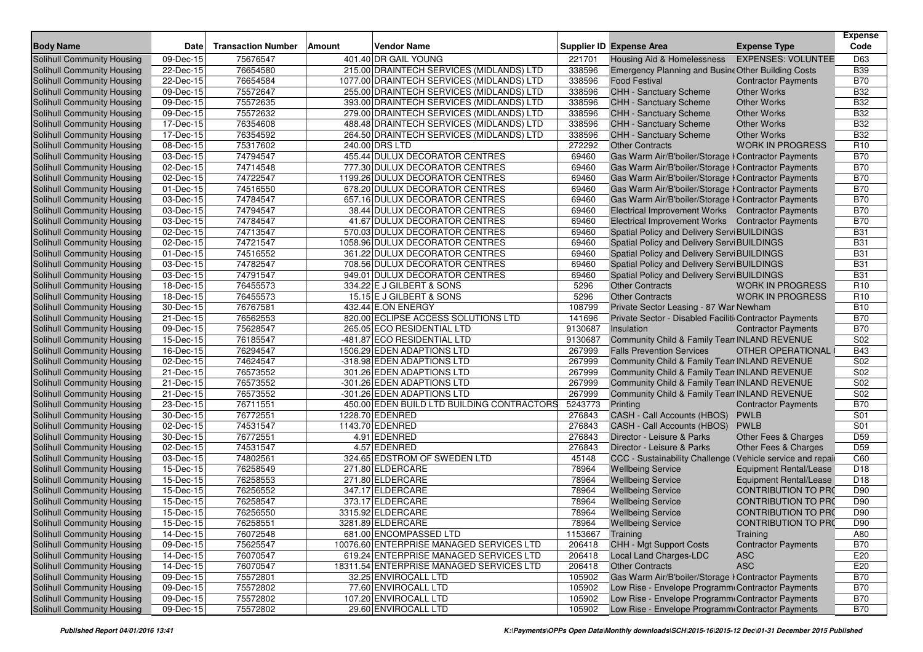| <b>Body Name</b>           | <b>Date</b>             | <b>Transaction Number</b> | <b>Vendor Name</b><br>Amount               |         | Supplier ID Expense Area                                  | <b>Expense Type</b>           | <b>Expense</b><br>Code |
|----------------------------|-------------------------|---------------------------|--------------------------------------------|---------|-----------------------------------------------------------|-------------------------------|------------------------|
| Solihull Community Housing | 09-Dec-15               | 75676547                  | 401.40 DR GAIL YOUNG                       | 221701  | Housing Aid & Homelessness                                | <b>EXPENSES: VOLUNTEE</b>     | D63                    |
| Solihull Community Housing | 22-Dec-15               | 76654580                  | 215.00 DRAINTECH SERVICES (MIDLANDS) LTD   | 338596  | Emergency Planning and Busine Other Building Costs        |                               | <b>B39</b>             |
| Solihull Community Housing | 22-Dec-15               | 76654584                  | 1077.00 DRAINTECH SERVICES (MIDLANDS) LTD  | 338596  | <b>Food Festival</b>                                      | <b>Contractor Payments</b>    | <b>B70</b>             |
| Solihull Community Housing | 09-Dec-15               | 75572647                  | 255.00 DRAINTECH SERVICES (MIDLANDS) LTD   | 338596  | CHH - Sanctuary Scheme                                    | <b>Other Works</b>            | <b>B32</b>             |
| Solihull Community Housing | 09-Dec-15               | 75572635                  | 393.00 DRAINTECH SERVICES (MIDLANDS) LTD   | 338596  | CHH - Sanctuary Scheme                                    | <b>Other Works</b>            | <b>B32</b>             |
| Solihull Community Housing | 09-Dec-15               | 75572632                  | 279.00 DRAINTECH SERVICES (MIDLANDS) LTD   | 338596  | CHH - Sanctuary Scheme                                    | <b>Other Works</b>            | <b>B32</b>             |
| Solihull Community Housing | 17-Dec-15               | 76354608                  | 488.48 DRAINTECH SERVICES (MIDLANDS) LTD   | 338596  | <b>CHH - Sanctuary Scheme</b>                             | <b>Other Works</b>            | <b>B32</b>             |
| Solihull Community Housing | 17-Dec-15               | 76354592                  | 264.50 DRAINTECH SERVICES (MIDLANDS) LTD   | 338596  | CHH - Sanctuary Scheme                                    | <b>Other Works</b>            | <b>B32</b>             |
| Solihull Community Housing | 08-Dec-15               | 75317602                  | 240.00 DRS LTD                             | 272292  | <b>Other Contracts</b>                                    | <b>WORK IN PROGRESS</b>       | R <sub>10</sub>        |
| Solihull Community Housing | 03-Dec-15               | 74794547                  | 455.44 DULUX DECORATOR CENTRES             | 69460   | Gas Warm Air/B'boiler/Storage I Contractor Payments       |                               | <b>B70</b>             |
| Solihull Community Housing | 02-Dec-15               | 74714548                  | 777.30 DULUX DECORATOR CENTRES             | 69460   | Gas Warm Air/B'boiler/Storage I Contractor Payments       |                               | <b>B70</b>             |
| Solihull Community Housing | 02-Dec-15               | 74722547                  | 1199.26 DULUX DECORATOR CENTRES            | 69460   | Gas Warm Air/B'boiler/Storage I Contractor Payments       |                               | <b>B70</b>             |
| Solihull Community Housing | 01-Dec-15               | 74516550                  | 678.20 DULUX DECORATOR CENTRES             | 69460   | Gas Warm Air/B'boiler/Storage I Contractor Payments       |                               | <b>B70</b>             |
| Solihull Community Housing | 03-Dec-15               | 74784547                  | 657.16 DULUX DECORATOR CENTRES             | 69460   | Gas Warm Air/B'boiler/Storage I Contractor Payments       |                               | <b>B70</b>             |
| Solihull Community Housing | 03-Dec-15               | 74794547                  | 38.44 DULUX DECORATOR CENTRES              | 69460   | Electrical Improvement Works Contractor Payments          |                               | <b>B70</b>             |
| Solihull Community Housing | 03-Dec-15               | 74784547                  | 41.67 DULUX DECORATOR CENTRES              | 69460   | Electrical Improvement Works Contractor Payments          |                               | <b>B70</b>             |
| Solihull Community Housing | 02-Dec-15               | 74713547                  | 570.03 DULUX DECORATOR CENTRES             | 69460   | Spatial Policy and Delivery Servi BUILDINGS               |                               | <b>B31</b>             |
| Solihull Community Housing | 02-Dec-15               | 74721547                  | 1058.96 DULUX DECORATOR CENTRES            | 69460   | Spatial Policy and Delivery Servi BUILDINGS               |                               | <b>B31</b>             |
| Solihull Community Housing | 01-Dec-15               | 74516552                  | 361.22 DULUX DECORATOR CENTRES             | 69460   | Spatial Policy and Delivery Servi BUILDINGS               |                               | <b>B31</b>             |
| Solihull Community Housing | 03-Dec-15               | 74782547                  | 708.56 DULUX DECORATOR CENTRES             | 69460   | Spatial Policy and Delivery Servi BUILDINGS               |                               | <b>B31</b>             |
| Solihull Community Housing | 03-Dec-15               | 74791547                  | 949.01 DULUX DECORATOR CENTRES             | 69460   | Spatial Policy and Delivery Servi BUILDINGS               |                               | <b>B31</b>             |
| Solihull Community Housing | 18-Dec-15               | 76455573                  | 334.22 E J GILBERT & SONS                  | 5296    | <b>Other Contracts</b>                                    | <b>WORK IN PROGRESS</b>       | R <sub>10</sub>        |
| Solihull Community Housing | 18-Dec-15               | 76455573                  | 15.15 E J GILBERT & SONS                   | 5296    | <b>Other Contracts</b>                                    | <b>WORK IN PROGRESS</b>       | R <sub>10</sub>        |
| Solihull Community Housing | 30-Dec-15               | 76767581                  | 432.44 E.ON ENERGY                         | 108799  | Private Sector Leasing - 87 War Newham                    |                               | <b>B10</b>             |
| Solihull Community Housing | 21-Dec-15               | 76562553                  | 820.00 ECLIPSE ACCESS SOLUTIONS LTD        | 141696  | Private Sector - Disabled Faciliti Contractor Payments    |                               | <b>B70</b>             |
| Solihull Community Housing | 09-Dec-15               | 75628547                  | 265.05 ECO RESIDENTIAL LTD                 | 9130687 | Insulation                                                | <b>Contractor Payments</b>    | <b>B70</b>             |
| Solihull Community Housing | 15-Dec-15               | 76185547                  | -481.87 ECO RESIDENTIAL LTD                | 9130687 | Community Child & Family Tean INLAND REVENUE              |                               | S02                    |
| Solihull Community Housing | 16-Dec-15               | 76294547                  | 1506.29 EDEN ADAPTIONS LTD                 | 267999  | <b>Falls Prevention Services</b>                          | OTHER OPERATIONAL             | <b>B43</b>             |
| Solihull Community Housing | 02-Dec-15               | 74624547                  | -318.98 EDEN ADAPTIONS LTD                 | 267999  | Community Child & Family Tean INLAND REVENUE              |                               | S02                    |
| Solihull Community Housing | 21-Dec-15               | 76573552                  | 301.26 EDEN ADAPTIONS LTD                  | 267999  | Community Child & Family Tean INLAND REVENUE              |                               | S <sub>02</sub>        |
| Solihull Community Housing | 21-Dec-15               | 76573552                  | -301.26 EDEN ADAPTIONS LTD                 | 267999  | Community Child & Family Tean INLAND REVENUE              |                               | S02                    |
| Solihull Community Housing | 21-Dec-15               | 76573552                  | -301.26 EDEN ADAPTIONS LTD                 | 267999  | Community Child & Family Tean INLAND REVENUE              |                               | S02                    |
| Solihull Community Housing | 23-Dec-15               | 76711551                  | 450.00 EDEN BUILD LTD BUILDING CONTRACTORS | 5243773 | Printing                                                  | <b>Contractor Payments</b>    | <b>B70</b>             |
| Solihull Community Housing | 30-Dec-15               | 76772551                  | 1228.70 EDENRED                            | 276843  | CASH - Call Accounts (HBOS)                               | PWLB                          | S01                    |
| Solihull Community Housing | 02-Dec-15               | 74531547                  | 1143.70 EDENRED                            | 276843  | CASH - Call Accounts (HBOS)                               | <b>PWLB</b>                   | S01                    |
| Solihull Community Housing | 30-Dec-15               | 76772551                  | 4.91 EDENRED                               | 276843  | Director - Leisure & Parks                                | Other Fees & Charges          | D <sub>59</sub>        |
| Solihull Community Housing | 02-Dec-15               | 74531547                  | 4.57 EDENRED                               | 276843  | Director - Leisure & Parks                                | Other Fees & Charges          | D <sub>59</sub>        |
| Solihull Community Housing | 03-Dec-15               | 74802561                  | 324.65 EDSTROM OF SWEDEN LTD               | 45148   | CCC - Sustainability Challenge (Vehicle service and repai |                               | C60                    |
| Solihull Community Housing | 15-Dec-15               | 76258549                  | 271.80 ELDERCARE                           | 78964   | <b>Wellbeing Service</b>                                  | <b>Equipment Rental/Lease</b> | D <sub>18</sub>        |
| Solihull Community Housing | 15-Dec-15               | 76258553                  | 271.80 ELDERCARE                           | 78964   | <b>Wellbeing Service</b>                                  | Equipment Rental/Lease        | D18                    |
| Solihull Community Housing | 15-Dec-15               | 76256552                  | 347.17 ELDERCARE                           | 78964   | <b>Wellbeing Service</b>                                  | <b>CONTRIBUTION TO PRO</b>    | D90                    |
| Solihull Community Housing | 15-Dec-15               | 76258547                  | 373.17 ELDERCARE                           | 78964   | <b>Wellbeing Service</b>                                  | <b>CONTRIBUTION TO PRO</b>    | D90                    |
| Solihull Community Housing | 15-Dec-15               | 76256550                  | 3315.92 ELDERCARE                          | 78964   | <b>Wellbeing Service</b>                                  | <b>CONTRIBUTION TO PRO</b>    | D90                    |
| Solihull Community Housing | 15-Dec-15               | 76258551                  | 3281.89 ELDERCARE                          | 78964   | <b>Wellbeing Service</b>                                  | <b>CONTRIBUTION TO PRO</b>    | D90                    |
| Solihull Community Housing | 14-Dec-15               | 76072548                  | 681.00 ENCOMPASSED LTD                     | 1153667 | Training                                                  | Training                      | A80                    |
| Solihull Community Housing | 09-Dec-15               | 75625547                  | 10076.60 ENTERPRISE MANAGED SERVICES LTD   | 206418  | CHH - Mgt Support Costs                                   | <b>Contractor Payments</b>    | <b>B70</b>             |
| Solihull Community Housing | 14-Dec-15               | 76070547                  | 619.24 ENTERPRISE MANAGED SERVICES LTD     | 206418  | Local Land Charges-LDC                                    | <b>ASC</b>                    | E20                    |
| Solihull Community Housing | 14-Dec-15               | 76070547                  | 18311.54 ENTERPRISE MANAGED SERVICES LTD   | 206418  | <b>Other Contracts</b>                                    | <b>ASC</b>                    | E20                    |
| Solihull Community Housing | 09-Dec-15               | 75572801                  | 32.25 ENVIROCALL LTD                       | 105902  | Gas Warm Air/B'boiler/Storage I Contractor Payments       |                               | <b>B70</b>             |
| Solihull Community Housing | 09-Dec-15               | 75572802                  | 77.60 ENVIROCALL LTD                       | 105902  | Low Rise - Envelope Programm Contractor Payments          |                               | <b>B70</b>             |
| Solihull Community Housing | $\overline{09}$ -Dec-15 | 75572802                  | 107.20 ENVIROCALL LTD                      | 105902  | Low Rise - Envelope Programm Contractor Payments          |                               | <b>B70</b>             |
| Solihull Community Housing | 09-Dec-15               | 75572802                  | 29.60 ENVIROCALL LTD                       | 105902  | Low Rise - Envelope Programm Contractor Payments          |                               | <b>B70</b>             |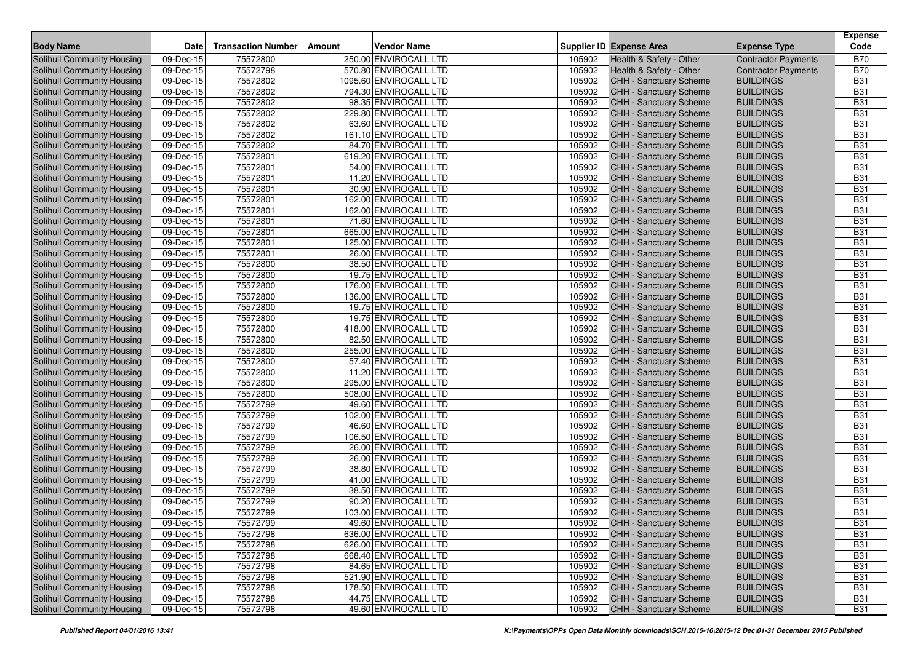|                                                          |             |                           |        |                                              |                  |                                                         |                                      | <b>Expense</b>           |
|----------------------------------------------------------|-------------|---------------------------|--------|----------------------------------------------|------------------|---------------------------------------------------------|--------------------------------------|--------------------------|
| <b>Body Name</b>                                         | <b>Date</b> | <b>Transaction Number</b> | Amount | <b>Vendor Name</b>                           |                  | <b>Supplier ID Expense Area</b>                         | <b>Expense Type</b>                  | Code                     |
| <b>Solihull Community Housing</b>                        | 09-Dec-15   | 75572800                  |        | 250.00 ENVIROCALL LTD                        | 105902           | Health & Safety - Other                                 | <b>Contractor Payments</b>           | <b>B70</b>               |
| <b>Solihull Community Housing</b>                        | 09-Dec-15   | 75572798                  |        | 570.80 ENVIROCALL LTD                        | 105902           | Health & Safety - Other                                 | <b>Contractor Payments</b>           | <b>B70</b>               |
| Solihull Community Housing                               | 09-Dec-15   | 75572802                  |        | 1095.60 ENVIROCALL LTD                       | 105902           | <b>CHH - Sanctuary Scheme</b>                           | <b>BUILDINGS</b>                     | <b>B31</b>               |
| Solihull Community Housing                               | 09-Dec-15   | 75572802                  |        | 794.30 ENVIROCALL LTD                        | 105902           | CHH - Sanctuary Scheme                                  | <b>BUILDINGS</b>                     | <b>B31</b>               |
| Solihull Community Housing                               | 09-Dec-15   | 75572802                  |        | 98.35 ENVIROCALL LTD                         | 105902           | CHH - Sanctuary Scheme                                  | <b>BUILDINGS</b>                     | <b>B31</b>               |
| Solihull Community Housing                               | 09-Dec-15   | 75572802                  |        | 229.80 ENVIROCALL LTD                        | 105902           | <b>CHH - Sanctuary Scheme</b>                           | <b>BUILDINGS</b>                     | <b>B31</b>               |
| Solihull Community Housing                               | 09-Dec-15   | 75572802                  |        | 63.60 ENVIROCALL LTD                         | 105902           | CHH - Sanctuary Scheme                                  | <b>BUILDINGS</b>                     | <b>B31</b>               |
| Solihull Community Housing                               | 09-Dec-15   | 75572802                  |        | 161.10 ENVIROCALL LTD                        | 105902           | CHH - Sanctuary Scheme                                  | <b>BUILDINGS</b>                     | <b>B31</b>               |
| Solihull Community Housing                               | 09-Dec-15   | 75572802                  |        | 84.70 ENVIROCALL LTD                         | 105902           | <b>CHH - Sanctuary Scheme</b>                           | <b>BUILDINGS</b>                     | <b>B31</b>               |
| Solihull Community Housing                               | 09-Dec-15   | 75572801                  |        | 619.20 ENVIROCALL LTD                        | 105902           | CHH - Sanctuary Scheme                                  | <b>BUILDINGS</b>                     | <b>B31</b>               |
| Solihull Community Housing                               | 09-Dec-15   | 75572801                  |        | 54.00 ENVIROCALL LTD                         | 105902           | <b>CHH - Sanctuary Scheme</b>                           | <b>BUILDINGS</b>                     | <b>B31</b>               |
| Solihull Community Housing                               | 09-Dec-15   | 75572801                  |        | 11.20 ENVIROCALL LTD                         | 105902           | <b>CHH - Sanctuary Scheme</b>                           | <b>BUILDINGS</b>                     | <b>B31</b>               |
| Solihull Community Housing                               | 09-Dec-15   | 75572801                  |        | 30.90 ENVIROCALL LTD                         | 105902           | CHH - Sanctuary Scheme                                  | <b>BUILDINGS</b>                     | <b>B31</b>               |
| Solihull Community Housing                               | 09-Dec-15   | 75572801                  |        | 162.00 ENVIROCALL LTD                        | 105902           | <b>CHH - Sanctuary Scheme</b>                           | <b>BUILDINGS</b>                     | <b>B31</b>               |
| Solihull Community Housing                               | 09-Dec-15   | 75572801                  |        | 162.00 ENVIROCALL LTD                        | 105902           | <b>CHH - Sanctuary Scheme</b>                           | <b>BUILDINGS</b>                     | <b>B31</b>               |
| Solihull Community Housing                               | 09-Dec-15   | 75572801                  |        | 71.60 ENVIROCALL LTD                         | 105902           | CHH - Sanctuary Scheme                                  | <b>BUILDINGS</b>                     | <b>B31</b>               |
| <b>Solihull Community Housing</b>                        | 09-Dec-15   | 75572801                  |        | 665.00 ENVIROCALL LTD                        | 105902           | CHH - Sanctuary Scheme                                  | <b>BUILDINGS</b>                     | <b>B31</b>               |
| Solihull Community Housing                               | 09-Dec-15   | 75572801                  |        | 125.00 ENVIROCALL LTD                        | 105902           | <b>CHH - Sanctuary Scheme</b>                           | <b>BUILDINGS</b>                     | <b>B31</b>               |
| Solihull Community Housing                               | 09-Dec-15   | 75572801                  |        | 26.00 ENVIROCALL LTD                         | 105902           | CHH - Sanctuary Scheme                                  | <b>BUILDINGS</b>                     | <b>B31</b>               |
| Solihull Community Housing                               | 09-Dec-15   | 75572800                  |        | 38.50 ENVIROCALL LTD                         | 105902           | <b>CHH - Sanctuary Scheme</b>                           | <b>BUILDINGS</b>                     | <b>B31</b>               |
| Solihull Community Housing                               | 09-Dec-15   | 75572800                  |        | 19.75 ENVIROCALL LTD                         | 105902           | CHH - Sanctuary Scheme                                  | <b>BUILDINGS</b>                     | <b>B31</b>               |
| Solihull Community Housing                               | 09-Dec-15   | 75572800                  |        | 176.00 ENVIROCALL LTD                        | 105902           | <b>CHH - Sanctuary Scheme</b>                           | <b>BUILDINGS</b>                     | <b>B31</b>               |
| Solihull Community Housing                               | 09-Dec-15   | 75572800                  |        | 136.00 ENVIROCALL LTD                        | 105902           | <b>CHH - Sanctuary Scheme</b>                           | <b>BUILDINGS</b>                     | <b>B31</b>               |
| Solihull Community Housing                               | 09-Dec-15   | 75572800                  |        | 19.75 ENVIROCALL LTD                         | 105902           | CHH - Sanctuary Scheme                                  | <b>BUILDINGS</b>                     | <b>B31</b>               |
| Solihull Community Housing                               | 09-Dec-15   | 75572800                  |        | 19.75 ENVIROCALL LTD                         | 105902           | CHH - Sanctuary Scheme                                  | <b>BUILDINGS</b>                     | <b>B31</b>               |
| Solihull Community Housing                               | 09-Dec-15   | 75572800                  |        | 418.00 ENVIROCALL LTD                        | 105902           | CHH - Sanctuary Scheme                                  | <b>BUILDINGS</b>                     | <b>B31</b>               |
| Solihull Community Housing                               | 09-Dec-15   | 75572800                  |        | 82.50 ENVIROCALL LTD                         | 105902           | <b>CHH - Sanctuary Scheme</b>                           | <b>BUILDINGS</b>                     | <b>B31</b>               |
| Solihull Community Housing                               | 09-Dec-15   | 75572800                  |        | 255.00 ENVIROCALL LTD                        | 105902           | <b>CHH - Sanctuary Scheme</b>                           | <b>BUILDINGS</b>                     | <b>B31</b>               |
| Solihull Community Housing                               | 09-Dec-15   | 75572800                  |        | 57.40 ENVIROCALL LTD                         | 105902           | CHH - Sanctuary Scheme                                  | <b>BUILDINGS</b>                     | <b>B31</b>               |
| Solihull Community Housing                               | 09-Dec-15   | 75572800                  |        | 11.20 ENVIROCALL LTD                         | 105902           | CHH - Sanctuary Scheme                                  | <b>BUILDINGS</b>                     | <b>B31</b>               |
| Solihull Community Housing                               | 09-Dec-15   | 75572800                  |        | 295.00 ENVIROCALL LTD                        | 105902           | CHH - Sanctuary Scheme                                  | <b>BUILDINGS</b>                     | <b>B31</b>               |
| Solihull Community Housing                               | 09-Dec-15   | 75572800                  |        | 508.00 ENVIROCALL LTD                        | 105902           | CHH - Sanctuary Scheme                                  | <b>BUILDINGS</b>                     | <b>B31</b>               |
| Solihull Community Housing                               | 09-Dec-15   | 75572799                  |        | 49.60 ENVIROCALL LTD                         | 105902           | CHH - Sanctuary Scheme                                  | <b>BUILDINGS</b>                     | <b>B31</b>               |
| Solihull Community Housing                               | 09-Dec-15   | 75572799                  |        | 102.00 ENVIROCALL LTD                        | 105902           | <b>CHH - Sanctuary Scheme</b>                           | <b>BUILDINGS</b>                     | <b>B31</b>               |
| Solihull Community Housing                               | 09-Dec-15   | 75572799                  |        | 46.60 ENVIROCALL LTD                         | 105902           | <b>CHH - Sanctuary Scheme</b>                           | <b>BUILDINGS</b>                     | <b>B31</b>               |
| Solihull Community Housing                               | 09-Dec-15   | 75572799                  |        | 106.50 ENVIROCALL LTD                        | 105902           | <b>CHH - Sanctuary Scheme</b>                           | <b>BUILDINGS</b>                     | <b>B31</b>               |
| Solihull Community Housing                               | 09-Dec-15   | 75572799                  |        | 26.00 ENVIROCALL LTD                         | 105902           | <b>CHH - Sanctuary Scheme</b>                           | <b>BUILDINGS</b>                     | <b>B31</b>               |
| Solihull Community Housing                               | 09-Dec-15   | 75572799                  |        | 26.00 ENVIROCALL LTD                         | 105902           | CHH - Sanctuary Scheme                                  | <b>BUILDINGS</b>                     | <b>B31</b>               |
| Solihull Community Housing                               | 09-Dec-15   | 75572799                  |        | 38.80 ENVIROCALL LTD                         | 105902           | <b>CHH - Sanctuary Scheme</b>                           | <b>BUILDINGS</b>                     | <b>B31</b>               |
| Solihull Community Housing                               | 09-Dec-15   | 75572799                  |        | 41.00 ENVIROCALL LTD                         | 105902           | CHH - Sanctuary Scheme                                  | <b>BUILDINGS</b>                     | <b>B31</b>               |
| Solihull Community Housing                               | 09-Dec-15   | 75572799                  |        | 38.50 ENVIROCALL LTD                         | 105902           | CHH - Sanctuary Scheme                                  | <b>BUILDINGS</b>                     | <b>B31</b>               |
| <b>Solihull Community Housing</b>                        | 09-Dec-15   | 75572799                  |        | 90.20 ENVIROCALL LTD                         | 105902           | CHH - Sanctuary Scheme                                  | <b>BUILDINGS</b>                     | <b>B31</b>               |
| Solihull Community Housing                               | 09-Dec-15   | 75572799                  |        | 103.00 ENVIROCALL LTD                        | 105902           | <b>CHH - Sanctuary Scheme</b>                           | <b>BUILDINGS</b>                     | <b>B31</b>               |
| Solihull Community Housing                               | 09-Dec-15   | 75572799                  |        | 49.60 ENVIROCALL LTD                         |                  | 105902 CHH - Sanctuary Scheme                           | <b>BUILDINGS</b>                     | <b>B31</b>               |
| Solihull Community Housing                               | 09-Dec-15   | 75572798                  |        | 636.00 ENVIROCALL LTD                        | 105902           | <b>CHH - Sanctuary Scheme</b>                           | <b>BUILDINGS</b>                     | <b>B31</b>               |
| Solihull Community Housing                               | 09-Dec-15   | 75572798                  |        | 626.00 ENVIROCALL LTD                        | 105902           | CHH - Sanctuary Scheme                                  | <b>BUILDINGS</b>                     | <b>B31</b>               |
| Solihull Community Housing                               | 09-Dec-15   | 75572798                  |        | 668.40 ENVIROCALL LTD                        | 105902           | CHH - Sanctuary Scheme                                  | <b>BUILDINGS</b>                     | <b>B31</b>               |
| Solihull Community Housing<br>Solihull Community Housing | 09-Dec-15   | 75572798                  |        | 84.65 ENVIROCALL LTD                         | 105902           | <b>CHH - Sanctuary Scheme</b>                           | <b>BUILDINGS</b>                     | <b>B31</b>               |
|                                                          | 09-Dec-15   | 75572798                  |        | 521.90 ENVIROCALL LTD                        | 105902           | CHH - Sanctuary Scheme                                  | <b>BUILDINGS</b>                     | <b>B31</b>               |
| Solihull Community Housing                               | 09-Dec-15   | 75572798                  |        | 178.50 ENVIROCALL LTD                        | 105902<br>105902 | <b>CHH - Sanctuary Scheme</b><br>CHH - Sanctuary Scheme | <b>BUILDINGS</b>                     | <b>B31</b>               |
| Solihull Community Housing<br>Solihull Community Housing | 09-Dec-15   | 75572798<br>75572798      |        | 44.75 ENVIROCALL LTD<br>49.60 ENVIROCALL LTD | 105902           | <b>CHH - Sanctuary Scheme</b>                           | <b>BUILDINGS</b><br><b>BUILDINGS</b> | <b>B31</b><br><b>B31</b> |
|                                                          | 09-Dec-15   |                           |        |                                              |                  |                                                         |                                      |                          |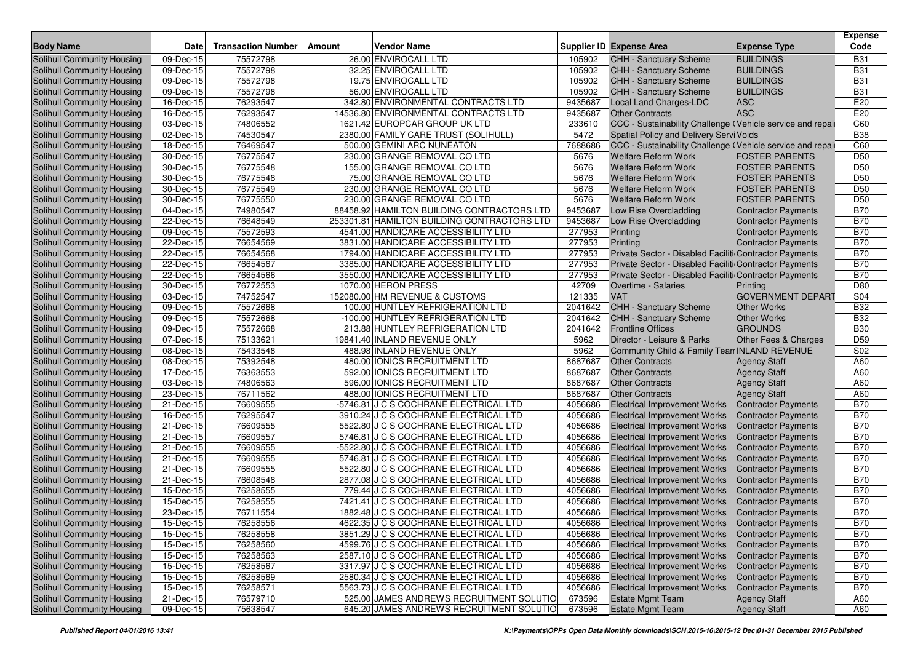| <b>Body Name</b>                  | <b>Date</b>             | <b>Transaction Number</b> | Amount | <b>Vendor Name</b>                          |         | Supplier ID Expense Area                                   | <b>Expense Type</b>        | Expense<br>Code |
|-----------------------------------|-------------------------|---------------------------|--------|---------------------------------------------|---------|------------------------------------------------------------|----------------------------|-----------------|
| <b>Solihull Community Housing</b> | $\overline{09}$ -Dec-15 | 75572798                  |        | 26.00 ENVIROCALL LTD                        | 105902  | CHH - Sanctuary Scheme                                     | <b>BUILDINGS</b>           | <b>B31</b>      |
| Solihull Community Housing        | 09-Dec-15               | 75572798                  |        | 32.25 ENVIROCALL LTD                        | 105902  | <b>CHH - Sanctuary Scheme</b>                              | <b>BUILDINGS</b>           | <b>B31</b>      |
| Solihull Community Housing        | $\overline{09}$ -Dec-15 | 75572798                  |        | 19.75 ENVIROCALL LTD                        | 105902  | CHH - Sanctuary Scheme                                     | <b>BUILDINGS</b>           | <b>B31</b>      |
| Solihull Community Housing        | 09-Dec-15               | 75572798                  |        | 56.00 ENVIROCALL LTD                        | 105902  | CHH - Sanctuary Scheme                                     | <b>BUILDINGS</b>           | <b>B31</b>      |
| Solihull Community Housing        | 16-Dec-15               | 76293547                  |        | 342.80 ENVIRONMENTAL CONTRACTS LTD          | 9435687 | Local Land Charges-LDC                                     | <b>ASC</b>                 | E20             |
| Solihull Community Housing        | 16-Dec-15               | 76293547                  |        | 14536.80 ENVIRONMENTAL CONTRACTS LTD        | 9435687 | <b>Other Contracts</b>                                     | <b>ASC</b>                 | E20             |
| Solihull Community Housing        | 03-Dec-15               | 74806552                  |        | 1621.42 EUROPCAR GROUP UK LTD               | 233610  | CCC - Sustainability Challenge (Vehicle service and repail |                            | C60             |
| Solihull Community Housing        | 02-Dec-15               | 74530547                  |        | 2380.00 FAMILY CARE TRUST (SOLIHULL)        | 5472    | Spatial Policy and Delivery Servi Voids                    |                            | <b>B38</b>      |
| Solihull Community Housing        | 18-Dec-15               | 76469547                  |        | 500.00 GEMINI ARC NUNEATON                  | 7688686 | CCC - Sustainability Challenge (Vehicle service and repail |                            | C60             |
| Solihull Community Housing        | 30-Dec-15               | 76775547                  |        | 230.00 GRANGE REMOVAL CO LTD                | 5676    | <b>Welfare Reform Work</b>                                 | <b>FOSTER PARENTS</b>      | D <sub>50</sub> |
| Solihull Community Housing        | 30-Dec-15               | 76775548                  |        | 155.00 GRANGE REMOVAL CO LTD                | 5676    | <b>Welfare Reform Work</b>                                 | <b>FOSTER PARENTS</b>      | D <sub>50</sub> |
| Solihull Community Housing        | $\overline{30}$ -Dec-15 | 76775548                  |        | 75.00 GRANGE REMOVAL CO LTD                 | 5676    | <b>Welfare Reform Work</b>                                 | <b>FOSTER PARENTS</b>      | D <sub>50</sub> |
| Solihull Community Housing        | 30-Dec-15               | 76775549                  |        | 230.00 GRANGE REMOVAL CO LTD                | 5676    | <b>Welfare Reform Work</b>                                 | <b>FOSTER PARENTS</b>      | D <sub>50</sub> |
| Solihull Community Housing        | 30-Dec-15               | 76775550                  |        | 230.00 GRANGE REMOVAL CO LTD                | 5676    | <b>Welfare Reform Work</b>                                 | <b>FOSTER PARENTS</b>      | D <sub>50</sub> |
| Solihull Community Housing        | 04-Dec-15               | 74980547                  |        | 88458.92 HAMILTON BUILDING CONTRACTORS LTD  | 9453687 | Low Rise Overcladding                                      | <b>Contractor Payments</b> | <b>B70</b>      |
| Solihull Community Housing        | 22-Dec-15               | 76648549                  |        | 253301.81 HAMILTON BUILDING CONTRACTORS LTD | 9453687 | Low Rise Overcladding                                      | <b>Contractor Payments</b> | <b>B70</b>      |
| Solihull Community Housing        | 09-Dec-15               | 75572593                  |        | 4541.00 HANDICARE ACCESSIBILITY LTD         | 277953  | Printing                                                   | <b>Contractor Payments</b> | <b>B70</b>      |
| Solihull Community Housing        | 22-Dec-15               | 76654569                  |        | 3831.00 HANDICARE ACCESSIBILITY LTD         | 277953  | Printing                                                   | <b>Contractor Payments</b> | <b>B70</b>      |
| Solihull Community Housing        | 22-Dec-15               | 76654568                  |        | 1794.00 HANDICARE ACCESSIBILITY LTD         | 277953  | Private Sector - Disabled Faciliti Contractor Payments     |                            | <b>B70</b>      |
| <b>Solihull Community Housing</b> | 22-Dec-15               | 76654567                  |        | 3385.00 HANDICARE ACCESSIBILITY LTD         | 277953  | Private Sector - Disabled Faciliti Contractor Payments     |                            | <b>B70</b>      |
| Solihull Community Housing        | 22-Dec-15               | 76654566                  |        | 3550.00 HANDICARE ACCESSIBILITY LTD         | 277953  | Private Sector - Disabled Faciliti Contractor Payments     |                            | <b>B70</b>      |
| Solihull Community Housing        | 30-Dec-15               | 76772553                  |        | 1070.00 HERON PRESS                         | 42709   | Overtime - Salaries                                        | <b>Printing</b>            | D80             |
| Solihull Community Housing        | 03-Dec-15               | 74752547                  |        | 152080.00 HM REVENUE & CUSTOMS              | 121335  | <b>VAT</b>                                                 | <b>GOVERNMENT DEPART</b>   | S04             |
| Solihull Community Housing        | 09-Dec-15               | 75572668                  |        | 100.00 HUNTLEY REFRIGERATION LTD            | 2041642 | <b>CHH - Sanctuary Scheme</b>                              | <b>Other Works</b>         | <b>B32</b>      |
| Solihull Community Housing        | 09-Dec-15               | 75572668                  |        | -100.00 HUNTLEY REFRIGERATION LTD           | 2041642 | <b>CHH - Sanctuary Scheme</b>                              | <b>Other Works</b>         | <b>B32</b>      |
| Solihull Community Housing        | $\overline{09}$ -Dec-15 | 75572668                  |        | 213.88 HUNTLEY REFRIGERATION LTD            | 2041642 | <b>Frontline Offices</b>                                   | <b>GROUNDS</b>             | <b>B30</b>      |
| Solihull Community Housing        | 07-Dec-15               | 75133621                  |        | 19841.40 INLAND REVENUE ONLY                | 5962    | Director - Leisure & Parks                                 | Other Fees & Charges       | D59             |
| Solihull Community Housing        | 08-Dec-15               | 75433548                  |        | 488.98 INLAND REVENUE ONLY                  | 5962    | Community Child & Family Tean INLAND REVENUE               |                            | S02             |
| Solihull Community Housing        | 08-Dec-15               | 75392548                  |        | 480.00 IONICS RECRUITMENT LTD               | 8687687 | <b>Other Contracts</b>                                     | <b>Agency Staff</b>        | A60             |
| Solihull Community Housing        | 17-Dec-15               | 76363553                  |        | 592.00 IONICS RECRUITMENT LTD               | 8687687 | <b>Other Contracts</b>                                     | <b>Agency Staff</b>        | A60             |
| Solihull Community Housing        | 03-Dec-15               | 74806563                  |        | 596.00 IONICS RECRUITMENT LTD               | 8687687 | <b>Other Contracts</b>                                     | <b>Agency Staff</b>        | A60             |
| Solihull Community Housing        | 23-Dec-15               | 76711562                  |        | 488.00 IONICS RECRUITMENT LTD               | 8687687 | <b>Other Contracts</b>                                     | <b>Agency Staff</b>        | A60             |
| Solihull Community Housing        | 21-Dec-15               | 76609555                  |        | -5746.81 J C S COCHRANE ELECTRICAL LTD      | 4056686 | <b>Electrical Improvement Works</b>                        | <b>Contractor Payments</b> | <b>B70</b>      |
| Solihull Community Housing        | 16-Dec-15               | 76295547                  |        | 3910.24 J C S COCHRANE ELECTRICAL LTD       | 4056686 | <b>Electrical Improvement Works</b>                        | <b>Contractor Payments</b> | <b>B70</b>      |
| Solihull Community Housing        | 21-Dec-15               | 76609555                  |        | 5522.80 J C S COCHRANE ELECTRICAL LTD       | 4056686 | <b>Electrical Improvement Works</b>                        | <b>Contractor Payments</b> | <b>B70</b>      |
| Solihull Community Housing        | 21-Dec-15               | 76609557                  |        | 5746.81 J C S COCHRANE ELECTRICAL LTD       | 4056686 | <b>Electrical Improvement Works</b>                        | <b>Contractor Payments</b> | <b>B70</b>      |
| Solihull Community Housing        | 21-Dec-15               | 76609555                  |        | -5522.80 J C S COCHRANE ELECTRICAL LTD      | 4056686 | Electrical Improvement Works                               | <b>Contractor Payments</b> | <b>B70</b>      |
| Solihull Community Housing        | 21-Dec-15               | 76609555                  |        | 5746.81 J C S COCHRANE ELECTRICAL LTD       | 4056686 | <b>Electrical Improvement Works</b>                        | <b>Contractor Payments</b> | <b>B70</b>      |
| Solihull Community Housing        | 21-Dec-15               | 76609555                  |        | 5522.80 J C S COCHRANE ELECTRICAL LTD       | 4056686 | <b>Electrical Improvement Works</b>                        | <b>Contractor Payments</b> | <b>B70</b>      |
| Solihull Community Housing        | 21-Dec-15               | 76608548                  |        | 2877.08 J C S COCHRANE ELECTRICAL LTD       | 4056686 | <b>Electrical Improvement Works</b>                        | <b>Contractor Payments</b> | <b>B70</b>      |
| Solihull Community Housing        | 15-Dec-15               | 76258555                  |        | 779.44 J C S COCHRANE ELECTRICAL LTD        | 4056686 | <b>Electrical Improvement Works</b>                        | <b>Contractor Payments</b> | <b>B70</b>      |
| <b>Solihull Community Housing</b> | 15-Dec-15               | 76258555                  |        | 7421.41 J C S COCHRANE ELECTRICAL LTD       | 4056686 | <b>Electrical Improvement Works</b>                        | <b>Contractor Payments</b> | <b>B70</b>      |
| Solihull Community Housing        | 23-Dec-15               | 76711554                  |        | 1882.48 J C S COCHRANE ELECTRICAL LTD       | 4056686 | Electrical Improvement Works Contractor Payments           |                            | <b>B70</b>      |
| Solihull Community Housing        | 15-Dec-15               | 76258556                  |        | 4622.35 J C S COCHRANE ELECTRICAL LTD       | 4056686 | Electrical Improvement Works Contractor Payments           |                            | <b>B70</b>      |
| Solihull Community Housing        | 15-Dec-15               | 76258558                  |        | 3851.29 J C S COCHRANE ELECTRICAL LTD       | 4056686 | Electrical Improvement Works Contractor Payments           |                            | <b>B70</b>      |
| Solihull Community Housing        | 15-Dec-15               | 76258560                  |        | 4599.76 J C S COCHRANE ELECTRICAL LTD       | 4056686 | <b>Electrical Improvement Works</b>                        | <b>Contractor Payments</b> | <b>B70</b>      |
| Solihull Community Housing        | 15-Dec-15               | 76258563                  |        | 2587.10 J C S COCHRANE ELECTRICAL LTD       | 4056686 | <b>Electrical Improvement Works</b>                        | <b>Contractor Payments</b> | <b>B70</b>      |
| Solihull Community Housing        | 15-Dec-15               | 76258567                  |        | 3317.97 J C S COCHRANE ELECTRICAL LTD       | 4056686 | <b>Electrical Improvement Works</b>                        | <b>Contractor Payments</b> | <b>B70</b>      |
| Solihull Community Housing        | 15-Dec-15               | 76258569                  |        | 2580.34 J C S COCHRANE ELECTRICAL LTD       | 4056686 | <b>Electrical Improvement Works</b>                        | <b>Contractor Payments</b> | <b>B70</b>      |
| Solihull Community Housing        | 15-Dec-15               | 76258571                  |        | 5563.73 J C S COCHRANE ELECTRICAL LTD       | 4056686 | <b>Electrical Improvement Works</b>                        | <b>Contractor Payments</b> | <b>B70</b>      |
| Solihull Community Housing        | $21 - Dec-15$           | 76579710                  |        | 525.00 JAMES ANDREWS RECRUITMENT SOLUTIO    | 673596  | <b>Estate Mgmt Team</b>                                    | <b>Agency Staff</b>        | A60             |
| Solihull Community Housing        | 09-Dec-15               | 75638547                  |        | 645.20 JAMES ANDREWS RECRUITMENT SOLUTIO    | 673596  | <b>Estate Mgmt Team</b>                                    | <b>Agency Staff</b>        | A60             |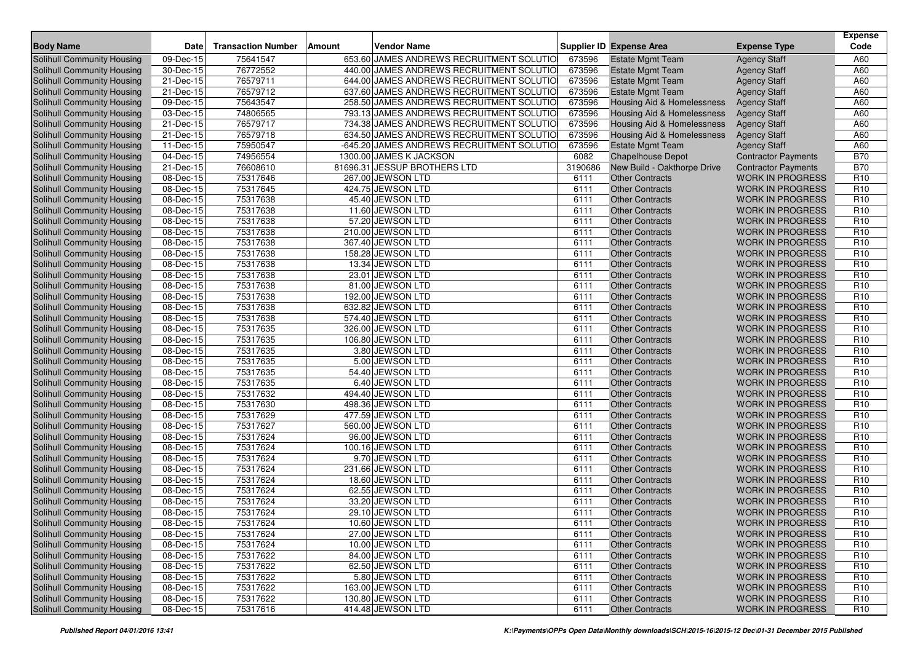| <b>Body Name</b>                  | <b>Date</b>             | <b>Transaction Number</b> | <b>Vendor Name</b><br>Amount              |         | <b>Supplier ID Expense Area</b> | <b>Expense Type</b>        | <b>Expense</b><br>Code |
|-----------------------------------|-------------------------|---------------------------|-------------------------------------------|---------|---------------------------------|----------------------------|------------------------|
| Solihull Community Housing        | 09-Dec-15               | 75641547                  | 653.60 JAMES ANDREWS RECRUITMENT SOLUTIO  | 673596  | <b>Estate Mgmt Team</b>         | <b>Agency Staff</b>        | A60                    |
| <b>Solihull Community Housing</b> | 30-Dec-15               | 76772552                  | 440.00 JAMES ANDREWS RECRUITMENT SOLUTIO  | 673596  | <b>Estate Mgmt Team</b>         | <b>Agency Staff</b>        | A60                    |
| <b>Solihull Community Housing</b> | 21-Dec-15               | 76579711                  | 644.00 JAMES ANDREWS RECRUITMENT SOLUTIO  | 673596  | <b>Estate Mgmt Team</b>         | <b>Agency Staff</b>        | A60                    |
| Solihull Community Housing        | 21-Dec-15               | 76579712                  | 637.60 JAMES ANDREWS RECRUITMENT SOLUTIO  | 673596  | <b>Estate Mgmt Team</b>         | <b>Agency Staff</b>        | A60                    |
| Solihull Community Housing        | 09-Dec-15               | 75643547                  | 258.50 JAMES ANDREWS RECRUITMENT SOLUTIO  | 673596  | Housing Aid & Homelessness      | <b>Agency Staff</b>        | A60                    |
| Solihull Community Housing        | 03-Dec-15               | 74806565                  | 793.13 JAMES ANDREWS RECRUITMENT SOLUTIO  | 673596  | Housing Aid & Homelessness      | <b>Agency Staff</b>        | A60                    |
| Solihull Community Housing        | 21-Dec-15               | 76579717                  | 734.38 JAMES ANDREWS RECRUITMENT SOLUTIO  | 673596  | Housing Aid & Homelessness      | <b>Agency Staff</b>        | A60                    |
| Solihull Community Housing        | 21-Dec-15               | 76579718                  | 634.50 JAMES ANDREWS RECRUITMENT SOLUTIO  | 673596  | Housing Aid & Homelessness      | <b>Agency Staff</b>        | A60                    |
| Solihull Community Housing        | 11-Dec-15               | 75950547                  | -645.20 JAMES ANDREWS RECRUITMENT SOLUTIO | 673596  | <b>Estate Mgmt Team</b>         | <b>Agency Staff</b>        | A60                    |
| Solihull Community Housing        | 04-Dec-15               | 74956554                  | 1300.00 JAMES K JACKSON                   | 6082    | <b>Chapelhouse Depot</b>        | <b>Contractor Payments</b> | <b>B70</b>             |
| Solihull Community Housing        | 21-Dec-15               | 76608610                  | 81696.31 JESSUP BROTHERS LTD              | 3190686 | New Build - Oakthorpe Drive     | <b>Contractor Payments</b> | <b>B70</b>             |
| Solihull Community Housing        | 08-Dec-15               | 75317646                  | 267.00 JEWSON LTD                         | 6111    | <b>Other Contracts</b>          | <b>WORK IN PROGRESS</b>    | R <sub>10</sub>        |
| <b>Solihull Community Housing</b> | 08-Dec-15               | 75317645                  | 424.75 JEWSON LTD                         | 6111    | <b>Other Contracts</b>          | <b>WORK IN PROGRESS</b>    | R <sub>10</sub>        |
| <b>Solihull Community Housing</b> | 08-Dec-15               | 75317638                  | 45.40 JEWSON LTD                          | 6111    | <b>Other Contracts</b>          | <b>WORK IN PROGRESS</b>    | R <sub>10</sub>        |
| Solihull Community Housing        | 08-Dec-15               | 75317638                  | 11.60 JEWSON LTD                          | 6111    | <b>Other Contracts</b>          | <b>WORK IN PROGRESS</b>    | R <sub>10</sub>        |
| <b>Solihull Community Housing</b> | 08-Dec-15               | 75317638                  | 57.20 JEWSON LTD                          | 6111    | <b>Other Contracts</b>          | <b>WORK IN PROGRESS</b>    | R <sub>10</sub>        |
| Solihull Community Housing        | 08-Dec-15               | 75317638                  | 210.00 JEWSON LTD                         | 6111    | <b>Other Contracts</b>          | <b>WORK IN PROGRESS</b>    | R <sub>10</sub>        |
| Solihull Community Housing        | 08-Dec-15               | 75317638                  | 367.40 JEWSON LTD                         | 6111    | <b>Other Contracts</b>          | <b>WORK IN PROGRESS</b>    | R <sub>10</sub>        |
| Solihull Community Housing        | 08-Dec-15               | 75317638                  | 158.28 JEWSON LTD                         | 6111    | <b>Other Contracts</b>          | <b>WORK IN PROGRESS</b>    | R <sub>10</sub>        |
| Solihull Community Housing        | 08-Dec-15               | 75317638                  | 13.34 JEWSON LTD                          | 6111    | <b>Other Contracts</b>          | <b>WORK IN PROGRESS</b>    | R <sub>10</sub>        |
| Solihull Community Housing        | $\overline{0}8$ -Dec-15 | 75317638                  | 23.01 JEWSON LTD                          | 6111    | <b>Other Contracts</b>          | <b>WORK IN PROGRESS</b>    | R <sub>10</sub>        |
| Solihull Community Housing        | 08-Dec-15               | 75317638                  | 81.00 JEWSON LTD                          | 6111    | <b>Other Contracts</b>          | <b>WORK IN PROGRESS</b>    | R <sub>10</sub>        |
| Solihull Community Housing        | 08-Dec-15               | 75317638                  | 192.00 JEWSON LTD                         | 6111    | <b>Other Contracts</b>          | <b>WORK IN PROGRESS</b>    | R <sub>10</sub>        |
| <b>Solihull Community Housing</b> | 08-Dec-15               | 75317638                  | 632.82 JEWSON LTD                         | 6111    | <b>Other Contracts</b>          | <b>WORK IN PROGRESS</b>    | R <sub>10</sub>        |
| Solihull Community Housing        | 08-Dec-15               | 75317638                  | 574.40 JEWSON LTD                         | 6111    | <b>Other Contracts</b>          | <b>WORK IN PROGRESS</b>    | R <sub>10</sub>        |
| Solihull Community Housing        | 08-Dec-15               | 75317635                  | 326.00 JEWSON LTD                         | 6111    | <b>Other Contracts</b>          | <b>WORK IN PROGRESS</b>    | R <sub>10</sub>        |
| <b>Solihull Community Housing</b> | 08-Dec-15               | 75317635                  | 106.80 JEWSON LTD                         | 6111    | <b>Other Contracts</b>          | <b>WORK IN PROGRESS</b>    | R <sub>10</sub>        |
| Solihull Community Housing        | 08-Dec-15               | 75317635                  | 3.80 JEWSON LTD                           | 6111    | <b>Other Contracts</b>          | <b>WORK IN PROGRESS</b>    | R <sub>10</sub>        |
| Solihull Community Housing        | 08-Dec-15               | 75317635                  | 5.00 JEWSON LTD                           | 6111    | <b>Other Contracts</b>          | <b>WORK IN PROGRESS</b>    | R <sub>10</sub>        |
| Solihull Community Housing        | 08-Dec-15               | 75317635                  | 54.40 JEWSON LTD                          | 6111    | <b>Other Contracts</b>          | <b>WORK IN PROGRESS</b>    | R <sub>10</sub>        |
| Solihull Community Housing        | $\overline{08}$ -Dec-15 | 75317635                  | 6.40 JEWSON LTD                           | 6111    | <b>Other Contracts</b>          | <b>WORK IN PROGRESS</b>    | R <sub>10</sub>        |
| Solihull Community Housing        | 08-Dec-15               | 75317632                  | 494.40 JEWSON LTD                         | 6111    | <b>Other Contracts</b>          | <b>WORK IN PROGRESS</b>    | R <sub>10</sub>        |
| Solihull Community Housing        | 08-Dec-15               | 75317630                  | 498.36 JEWSON LTD                         | 6111    | <b>Other Contracts</b>          | <b>WORK IN PROGRESS</b>    | R <sub>10</sub>        |
| Solihull Community Housing        | 08-Dec-15               | 75317629                  | 477.59 JEWSON LTD                         | 6111    | <b>Other Contracts</b>          | <b>WORK IN PROGRESS</b>    | R <sub>10</sub>        |
| Solihull Community Housing        | 08-Dec-15               | 75317627                  | 560.00 JEWSON LTD                         | 6111    | <b>Other Contracts</b>          | <b>WORK IN PROGRESS</b>    | R <sub>10</sub>        |
| Solihull Community Housing        | 08-Dec-15               | 75317624                  | 96.00 JEWSON LTD                          | 6111    | <b>Other Contracts</b>          | <b>WORK IN PROGRESS</b>    | R <sub>10</sub>        |
| <b>Solihull Community Housing</b> | 08-Dec-15               | 75317624                  | 100.16 JEWSON LTD                         | 6111    | <b>Other Contracts</b>          | <b>WORK IN PROGRESS</b>    | R <sub>10</sub>        |
| Solihull Community Housing        | 08-Dec-15               | 75317624                  | 9.70 JEWSON LTD                           | 6111    | <b>Other Contracts</b>          | <b>WORK IN PROGRESS</b>    | R <sub>10</sub>        |
| Solihull Community Housing        | 08-Dec-15               | 75317624                  | 231.66 JEWSON LTD                         | 6111    | <b>Other Contracts</b>          | <b>WORK IN PROGRESS</b>    | R <sub>10</sub>        |
| Solihull Community Housing        | $\overline{08}$ -Dec-15 | 75317624                  | 18.60 JEWSON LTD                          | 6111    | <b>Other Contracts</b>          | <b>WORK IN PROGRESS</b>    | R <sub>10</sub>        |
| <b>Solihull Community Housing</b> | 08-Dec-15               | 75317624                  | 62.55 JEWSON LTD                          | 6111    | <b>Other Contracts</b>          | <b>WORK IN PROGRESS</b>    | R <sub>10</sub>        |
| Solihull Community Housing        | 08-Dec-15               | 75317624                  | 33.20 JEWSON LTD                          | 6111    | <b>Other Contracts</b>          | <b>WORK IN PROGRESS</b>    | R <sub>10</sub>        |
| Solihull Community Housing        | $\overline{08}$ -Dec-15 | 75317624                  | 29.10 JEWSON LTD                          | 6111    | <b>Other Contracts</b>          | <b>WORK IN PROGRESS</b>    | R <sub>10</sub>        |
| Solihull Community Housing        | 08-Dec-15               | 75317624                  | 10.60 JEWSON LTD                          | 6111    | <b>Other Contracts</b>          | <b>WORK IN PROGRESS</b>    | R <sub>10</sub>        |
| Solihull Community Housing        | 08-Dec-15               | 75317624                  | 27.00 JEWSON LTD                          | 6111    | <b>Other Contracts</b>          | <b>WORK IN PROGRESS</b>    | R <sub>10</sub>        |
| Solihull Community Housing        | $\overline{08}$ -Dec-15 | 75317624                  | 10.00 JEWSON LTD                          | 6111    | <b>Other Contracts</b>          | <b>WORK IN PROGRESS</b>    | R <sub>10</sub>        |
| <b>Solihull Community Housing</b> | 08-Dec-15               | 75317622                  | 84.00 JEWSON LTD                          | 6111    | <b>Other Contracts</b>          | <b>WORK IN PROGRESS</b>    | R <sub>10</sub>        |
| <b>Solihull Community Housing</b> | 08-Dec-15               | 75317622                  | 62.50 JEWSON LTD                          | 6111    | <b>Other Contracts</b>          | <b>WORK IN PROGRESS</b>    | R <sub>10</sub>        |
| Solihull Community Housing        | 08-Dec-15               | 75317622                  | 5.80 JEWSON LTD                           | 6111    | <b>Other Contracts</b>          | <b>WORK IN PROGRESS</b>    | R <sub>10</sub>        |
| Solihull Community Housing        | 08-Dec-15               | 75317622                  | 163.00 JEWSON LTD                         | 6111    | <b>Other Contracts</b>          | <b>WORK IN PROGRESS</b>    | R <sub>10</sub>        |
| Solihull Community Housing        | 08-Dec-15               | 75317622                  | 130.80 JEWSON LTD                         | 6111    | <b>Other Contracts</b>          | <b>WORK IN PROGRESS</b>    | R <sub>10</sub>        |
| Solihull Community Housing        | 08-Dec-15               | 75317616                  | 414.48 JEWSON LTD                         | 6111    | <b>Other Contracts</b>          | WORK IN PROGRESS           | R <sub>10</sub>        |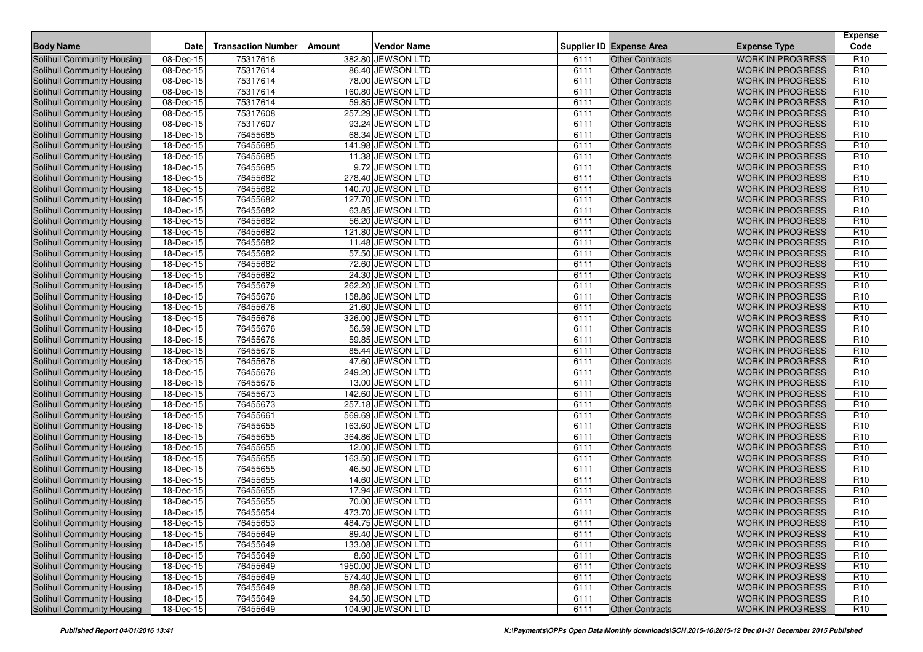| <b>Body Name</b>                  | <b>Date</b>             | <b>Transaction Number</b> | Amount | <b>Vendor Name</b> |      | <b>Supplier ID Expense Area</b> | <b>Expense Type</b>     | <b>Expense</b><br>Code |
|-----------------------------------|-------------------------|---------------------------|--------|--------------------|------|---------------------------------|-------------------------|------------------------|
| Solihull Community Housing        | 08-Dec-15               | 75317616                  |        | 382.80 JEWSON LTD  | 6111 | Other Contracts                 | <b>WORK IN PROGRESS</b> | R <sub>10</sub>        |
| <b>Solihull Community Housing</b> | 08-Dec-15               | 75317614                  |        | 86.40 JEWSON LTD   | 6111 | <b>Other Contracts</b>          | <b>WORK IN PROGRESS</b> | R <sub>10</sub>        |
| <b>Solihull Community Housing</b> | $\overline{08}$ -Dec-15 | 75317614                  |        | 78.00 JEWSON LTD   | 6111 | <b>Other Contracts</b>          | <b>WORK IN PROGRESS</b> | R <sub>10</sub>        |
| Solihull Community Housing        | 08-Dec-15               | 75317614                  |        | 160.80 JEWSON LTD  | 6111 | <b>Other Contracts</b>          | <b>WORK IN PROGRESS</b> | R <sub>10</sub>        |
| Solihull Community Housing        | 08-Dec-15               | 75317614                  |        | 59.85 JEWSON LTD   | 6111 | <b>Other Contracts</b>          | <b>WORK IN PROGRESS</b> | R <sub>10</sub>        |
| Solihull Community Housing        | 08-Dec-15               | 75317608                  |        | 257.29 JEWSON LTD  | 6111 | <b>Other Contracts</b>          | <b>WORK IN PROGRESS</b> | R <sub>10</sub>        |
| Solihull Community Housing        | 08-Dec-15               | 75317607                  |        | 93.24 JEWSON LTD   | 6111 | <b>Other Contracts</b>          | <b>WORK IN PROGRESS</b> | R <sub>10</sub>        |
| <b>Solihull Community Housing</b> | $18 - Dec - 15$         | 76455685                  |        | 68.34 JEWSON LTD   | 6111 | <b>Other Contracts</b>          | <b>WORK IN PROGRESS</b> | R <sub>10</sub>        |
| Solihull Community Housing        | 18-Dec-15               | 76455685                  |        | 141.98 JEWSON LTD  | 6111 | <b>Other Contracts</b>          | <b>WORK IN PROGRESS</b> | R <sub>10</sub>        |
| <b>Solihull Community Housing</b> | 18-Dec-15               | 76455685                  |        | 11.38 JEWSON LTD   | 6111 | <b>Other Contracts</b>          | <b>WORK IN PROGRESS</b> | R <sub>10</sub>        |
| Solihull Community Housing        | 18-Dec-15               | 76455685                  |        | 9.72 JEWSON LTD    | 6111 | <b>Other Contracts</b>          | <b>WORK IN PROGRESS</b> | R <sub>10</sub>        |
| Solihull Community Housing        | 18-Dec-15               | 76455682                  |        | 278.40 JEWSON LTD  | 6111 | <b>Other Contracts</b>          | <b>WORK IN PROGRESS</b> | R <sub>10</sub>        |
| <b>Solihull Community Housing</b> | 18-Dec-15               | 76455682                  |        | 140.70 JEWSON LTD  | 6111 | <b>Other Contracts</b>          | <b>WORK IN PROGRESS</b> | R <sub>10</sub>        |
| <b>Solihull Community Housing</b> | 18-Dec-15               | 76455682                  |        | 127.70 JEWSON LTD  | 6111 | <b>Other Contracts</b>          | <b>WORK IN PROGRESS</b> | R <sub>10</sub>        |
| Solihull Community Housing        | 18-Dec-15               | 76455682                  |        | 63.85 JEWSON LTD   | 6111 | <b>Other Contracts</b>          | <b>WORK IN PROGRESS</b> | R <sub>10</sub>        |
| Solihull Community Housing        | 18-Dec-15               | 76455682                  |        | 56.20 JEWSON LTD   | 6111 | <b>Other Contracts</b>          | <b>WORK IN PROGRESS</b> | R <sub>10</sub>        |
| Solihull Community Housing        | 18-Dec-15               | 76455682                  |        | 121.80 JEWSON LTD  | 6111 | <b>Other Contracts</b>          | <b>WORK IN PROGRESS</b> | R <sub>10</sub>        |
| Solihull Community Housing        | 18-Dec-15               | 76455682                  |        | 11.48 JEWSON LTD   | 6111 | <b>Other Contracts</b>          | <b>WORK IN PROGRESS</b> | R <sub>10</sub>        |
| Solihull Community Housing        | 18-Dec-15               | 76455682                  |        | 57.50 JEWSON LTD   | 6111 | <b>Other Contracts</b>          | <b>WORK IN PROGRESS</b> | R <sub>10</sub>        |
| Solihull Community Housing        | 18-Dec-15               | 76455682                  |        | 72.60 JEWSON LTD   | 6111 | <b>Other Contracts</b>          | <b>WORK IN PROGRESS</b> | R <sub>10</sub>        |
| Solihull Community Housing        | 18-Dec-15               | 76455682                  |        | 24.30 JEWSON LTD   | 6111 | <b>Other Contracts</b>          | <b>WORK IN PROGRESS</b> | R <sub>10</sub>        |
| Solihull Community Housing        | 18-Dec-15               | 76455679                  |        | 262.20 JEWSON LTD  | 6111 | <b>Other Contracts</b>          | <b>WORK IN PROGRESS</b> | R <sub>10</sub>        |
| Solihull Community Housing        | 18-Dec-15               | 76455676                  |        | 158.86 JEWSON LTD  | 6111 | <b>Other Contracts</b>          | <b>WORK IN PROGRESS</b> | R <sub>10</sub>        |
| <b>Solihull Community Housing</b> | 18-Dec-15               | 76455676                  |        | 21.60 JEWSON LTD   | 6111 | <b>Other Contracts</b>          | <b>WORK IN PROGRESS</b> | R <sub>10</sub>        |
| Solihull Community Housing        | 18-Dec-15               | 76455676                  |        | 326.00 JEWSON LTD  | 6111 | <b>Other Contracts</b>          | <b>WORK IN PROGRESS</b> | R <sub>10</sub>        |
| Solihull Community Housing        | 18-Dec-15               | 76455676                  |        | 56.59 JEWSON LTD   | 6111 | <b>Other Contracts</b>          | <b>WORK IN PROGRESS</b> | R <sub>10</sub>        |
| <b>Solihull Community Housing</b> | 18-Dec-15               | 76455676                  |        | 59.85 JEWSON LTD   | 6111 | <b>Other Contracts</b>          | <b>WORK IN PROGRESS</b> | R <sub>10</sub>        |
| Solihull Community Housing        | 18-Dec-15               | 76455676                  |        | 85.44 JEWSON LTD   | 6111 | <b>Other Contracts</b>          | <b>WORK IN PROGRESS</b> | R <sub>10</sub>        |
| Solihull Community Housing        | 18-Dec-15               | 76455676                  |        | 47.60 JEWSON LTD   | 6111 | <b>Other Contracts</b>          | <b>WORK IN PROGRESS</b> | R <sub>10</sub>        |
| Solihull Community Housing        | 18-Dec-15               | 76455676                  |        | 249.20 JEWSON LTD  | 6111 | <b>Other Contracts</b>          | <b>WORK IN PROGRESS</b> | R <sub>10</sub>        |
| Solihull Community Housing        | 18-Dec-15               | 76455676                  |        | 13.00 JEWSON LTD   | 6111 | <b>Other Contracts</b>          | <b>WORK IN PROGRESS</b> | R <sub>10</sub>        |
| Solihull Community Housing        | 18-Dec-15               | 76455673                  |        | 142.60 JEWSON LTD  | 6111 | <b>Other Contracts</b>          | <b>WORK IN PROGRESS</b> | R <sub>10</sub>        |
| Solihull Community Housing        | 18-Dec-15               | 76455673                  |        | 257.18 JEWSON LTD  | 6111 | <b>Other Contracts</b>          | <b>WORK IN PROGRESS</b> | R <sub>10</sub>        |
| Solihull Community Housing        | 18-Dec-15               | 76455661                  |        | 569.69 JEWSON LTD  | 6111 | <b>Other Contracts</b>          | <b>WORK IN PROGRESS</b> | R <sub>10</sub>        |
| <b>Solihull Community Housing</b> | 18-Dec-15               | 76455655                  |        | 163.60 JEWSON LTD  | 6111 | <b>Other Contracts</b>          | <b>WORK IN PROGRESS</b> | R <sub>10</sub>        |
| <b>Solihull Community Housing</b> | 18-Dec-15               | 76455655                  |        | 364.86 JEWSON LTD  | 6111 | <b>Other Contracts</b>          | <b>WORK IN PROGRESS</b> | R <sub>10</sub>        |
| Solihull Community Housing        | 18-Dec-15               | 76455655                  |        | 12.00 JEWSON LTD   | 6111 | <b>Other Contracts</b>          | <b>WORK IN PROGRESS</b> | R <sub>10</sub>        |
| <b>Solihull Community Housing</b> | 18-Dec-15               | 76455655                  |        | 163.50 JEWSON LTD  | 6111 | <b>Other Contracts</b>          | <b>WORK IN PROGRESS</b> | R <sub>10</sub>        |
| <b>Solihull Community Housing</b> | 18-Dec-15               | 76455655                  |        | 46.50 JEWSON LTD   | 6111 | <b>Other Contracts</b>          | <b>WORK IN PROGRESS</b> | R <sub>10</sub>        |
| Solihull Community Housing        | 18-Dec-15               | 76455655                  |        | 14.60 JEWSON LTD   | 6111 | <b>Other Contracts</b>          | <b>WORK IN PROGRESS</b> | R <sub>10</sub>        |
| Solihull Community Housing        | 18-Dec-15               | 76455655                  |        | 17.94 JEWSON LTD   | 6111 | <b>Other Contracts</b>          | <b>WORK IN PROGRESS</b> | R <sub>10</sub>        |
| Solihull Community Housing        | 18-Dec-15               | 76455655                  |        | 70.00 JEWSON LTD   | 6111 | <b>Other Contracts</b>          | <b>WORK IN PROGRESS</b> | R <sub>10</sub>        |
| Solihull Community Housing        | 18-Dec-15               | 76455654                  |        | 473.70 JEWSON LTD  | 6111 | <b>Other Contracts</b>          | <b>WORK IN PROGRESS</b> | R <sub>10</sub>        |
| Solihull Community Housing        | 18-Dec-15               | 76455653                  |        | 484.75 JEWSON LTD  | 6111 | Other Contracts                 | WORK IN PROGRESS        | R <sub>10</sub>        |
| Solihull Community Housing        | 18-Dec-15               | 76455649                  |        | 89.40 JEWSON LTD   | 6111 | <b>Other Contracts</b>          | <b>WORK IN PROGRESS</b> | R <sub>10</sub>        |
| Solihull Community Housing        | 18-Dec-15               | 76455649                  |        | 133.08 JEWSON LTD  | 6111 | <b>Other Contracts</b>          | <b>WORK IN PROGRESS</b> | R <sub>10</sub>        |
| Solihull Community Housing        | 18-Dec-15               | 76455649                  |        | 8.60 JEWSON LTD    | 6111 | <b>Other Contracts</b>          | <b>WORK IN PROGRESS</b> | R <sub>10</sub>        |
| Solihull Community Housing        | 18-Dec-15               | 76455649                  |        | 1950.00 JEWSON LTD | 6111 | <b>Other Contracts</b>          | <b>WORK IN PROGRESS</b> | R <sub>10</sub>        |
| Solihull Community Housing        | 18-Dec-15               | 76455649                  |        | 574.40 JEWSON LTD  | 6111 | <b>Other Contracts</b>          | <b>WORK IN PROGRESS</b> | R <sub>10</sub>        |
| Solihull Community Housing        | 18-Dec-15               | 76455649                  |        | 88.68 JEWSON LTD   | 6111 | <b>Other Contracts</b>          | <b>WORK IN PROGRESS</b> | R <sub>10</sub>        |
| Solihull Community Housing        | $\overline{18}$ -Dec-15 | 76455649                  |        | 94.50 JEWSON LTD   | 6111 | <b>Other Contracts</b>          | <b>WORK IN PROGRESS</b> | R <sub>10</sub>        |
| Solihull Community Housing        | 18-Dec-15               | 76455649                  |        | 104.90 JEWSON LTD  | 6111 | <b>Other Contracts</b>          | WORK IN PROGRESS        | R <sub>10</sub>        |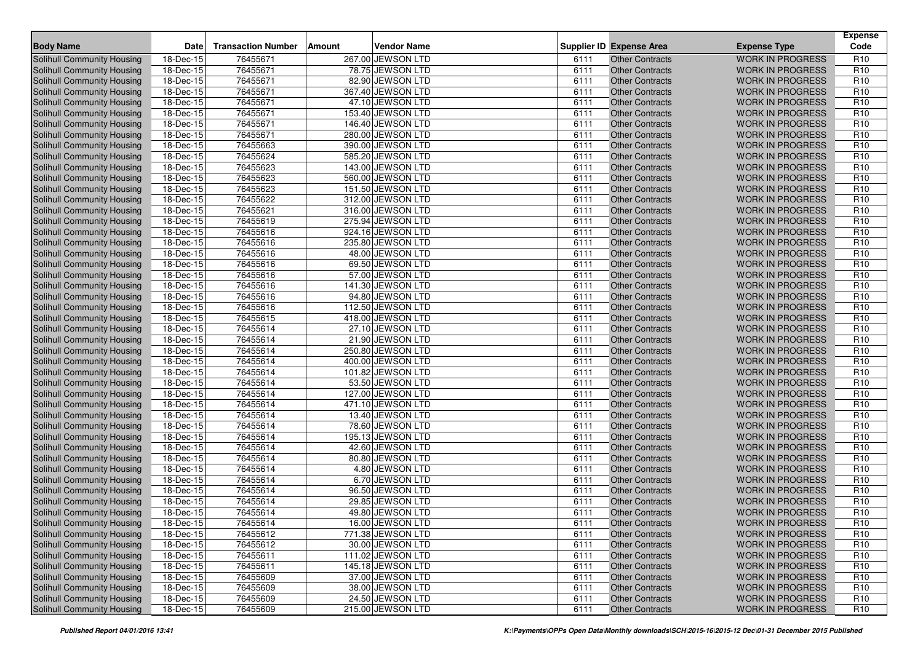| <b>Body Name</b>                  | <b>Date</b>             | <b>Transaction Number</b> | Amount | <b>Vendor Name</b> |      | <b>Supplier ID Expense Area</b> | <b>Expense Type</b>     | <b>Expense</b><br>Code |
|-----------------------------------|-------------------------|---------------------------|--------|--------------------|------|---------------------------------|-------------------------|------------------------|
| Solihull Community Housing        | 18-Dec-15               | 76455671                  |        | 267.00 JEWSON LTD  | 6111 | <b>Other Contracts</b>          | <b>WORK IN PROGRESS</b> | R <sub>10</sub>        |
| <b>Solihull Community Housing</b> | 18-Dec-15               | 76455671                  |        | 78.75 JEWSON LTD   | 6111 | <b>Other Contracts</b>          | <b>WORK IN PROGRESS</b> | R <sub>10</sub>        |
| <b>Solihull Community Housing</b> | $18 - Dec - 15$         | 76455671                  |        | 82.90 JEWSON LTD   | 6111 | <b>Other Contracts</b>          | <b>WORK IN PROGRESS</b> | R <sub>10</sub>        |
| Solihull Community Housing        | 18-Dec-15               | 76455671                  |        | 367.40 JEWSON LTD  | 6111 | <b>Other Contracts</b>          | <b>WORK IN PROGRESS</b> | R <sub>10</sub>        |
| Solihull Community Housing        | 18-Dec-15               | 76455671                  |        | 47.10 JEWSON LTD   | 6111 | <b>Other Contracts</b>          | <b>WORK IN PROGRESS</b> | R <sub>10</sub>        |
| Solihull Community Housing        | 18-Dec-15               | 76455671                  |        | 153.40 JEWSON LTD  | 6111 | <b>Other Contracts</b>          | <b>WORK IN PROGRESS</b> | R <sub>10</sub>        |
| Solihull Community Housing        | 18-Dec-15               | 76455671                  |        | 146.40 JEWSON LTD  | 6111 | <b>Other Contracts</b>          | <b>WORK IN PROGRESS</b> | R <sub>10</sub>        |
| <b>Solihull Community Housing</b> | $18 - Dec - 15$         | 76455671                  |        | 280.00 JEWSON LTD  | 6111 | <b>Other Contracts</b>          | <b>WORK IN PROGRESS</b> | R <sub>10</sub>        |
| Solihull Community Housing        | 18-Dec-15               | 76455663                  |        | 390.00 JEWSON LTD  | 6111 | <b>Other Contracts</b>          | <b>WORK IN PROGRESS</b> | R <sub>10</sub>        |
| <b>Solihull Community Housing</b> | 18-Dec-15               | 76455624                  |        | 585.20 JEWSON LTD  | 6111 | <b>Other Contracts</b>          | <b>WORK IN PROGRESS</b> | R <sub>10</sub>        |
| Solihull Community Housing        | 18-Dec-15               | 76455623                  |        | 143.00 JEWSON LTD  | 6111 | <b>Other Contracts</b>          | <b>WORK IN PROGRESS</b> | R <sub>10</sub>        |
| Solihull Community Housing        | 18-Dec-15               | 76455623                  |        | 560.00 JEWSON LTD  | 6111 | <b>Other Contracts</b>          | <b>WORK IN PROGRESS</b> | R <sub>10</sub>        |
| <b>Solihull Community Housing</b> | 18-Dec-15               | 76455623                  |        | 151.50 JEWSON LTD  | 6111 | <b>Other Contracts</b>          | <b>WORK IN PROGRESS</b> | R <sub>10</sub>        |
| <b>Solihull Community Housing</b> | 18-Dec-15               | 76455622                  |        | 312.00 JEWSON LTD  | 6111 | <b>Other Contracts</b>          | <b>WORK IN PROGRESS</b> | R <sub>10</sub>        |
| Solihull Community Housing        | 18-Dec-15               | 76455621                  |        | 316.00 JEWSON LTD  | 6111 | <b>Other Contracts</b>          | <b>WORK IN PROGRESS</b> | R <sub>10</sub>        |
| Solihull Community Housing        | 18-Dec-15               | 76455619                  |        | 275.94 JEWSON LTD  | 6111 | <b>Other Contracts</b>          | <b>WORK IN PROGRESS</b> | R <sub>10</sub>        |
| Solihull Community Housing        | 18-Dec-15               | 76455616                  |        | 924.16 JEWSON LTD  | 6111 | <b>Other Contracts</b>          | <b>WORK IN PROGRESS</b> | R <sub>10</sub>        |
| Solihull Community Housing        | 18-Dec-15               | 76455616                  |        | 235.80 JEWSON LTD  | 6111 | <b>Other Contracts</b>          | <b>WORK IN PROGRESS</b> | R <sub>10</sub>        |
| Solihull Community Housing        | 18-Dec-15               | 76455616                  |        | 48.00 JEWSON LTD   | 6111 | <b>Other Contracts</b>          | <b>WORK IN PROGRESS</b> | R <sub>10</sub>        |
| Solihull Community Housing        | 18-Dec-15               | 76455616                  |        | 69.50 JEWSON LTD   | 6111 | <b>Other Contracts</b>          | <b>WORK IN PROGRESS</b> | R <sub>10</sub>        |
| Solihull Community Housing        | 18-Dec-15               | 76455616                  |        | 57.00 JEWSON LTD   | 6111 | <b>Other Contracts</b>          | <b>WORK IN PROGRESS</b> | R <sub>10</sub>        |
| Solihull Community Housing        | 18-Dec-15               | 76455616                  |        | 141.30 JEWSON LTD  | 6111 | <b>Other Contracts</b>          | <b>WORK IN PROGRESS</b> | R <sub>10</sub>        |
| Solihull Community Housing        | 18-Dec-15               | 76455616                  |        | 94.80 JEWSON LTD   | 6111 | <b>Other Contracts</b>          | <b>WORK IN PROGRESS</b> | R <sub>10</sub>        |
| <b>Solihull Community Housing</b> | 18-Dec-15               | 76455616                  |        | 112.50 JEWSON LTD  | 6111 | <b>Other Contracts</b>          | <b>WORK IN PROGRESS</b> | R <sub>10</sub>        |
| Solihull Community Housing        | 18-Dec-15               | 76455615                  |        | 418.00 JEWSON LTD  | 6111 | <b>Other Contracts</b>          | <b>WORK IN PROGRESS</b> | R <sub>10</sub>        |
| Solihull Community Housing        | 18-Dec-15               | 76455614                  |        | 27.10 JEWSON LTD   | 6111 | <b>Other Contracts</b>          | <b>WORK IN PROGRESS</b> | R <sub>10</sub>        |
| <b>Solihull Community Housing</b> | 18-Dec-15               | 76455614                  |        | 21.90 JEWSON LTD   | 6111 | <b>Other Contracts</b>          | <b>WORK IN PROGRESS</b> | R <sub>10</sub>        |
| Solihull Community Housing        | 18-Dec-15               | 76455614                  |        | 250.80 JEWSON LTD  | 6111 | <b>Other Contracts</b>          | <b>WORK IN PROGRESS</b> | R <sub>10</sub>        |
| Solihull Community Housing        | 18-Dec-15               | 76455614                  |        | 400.00 JEWSON LTD  | 6111 | <b>Other Contracts</b>          | <b>WORK IN PROGRESS</b> | R <sub>10</sub>        |
| Solihull Community Housing        | 18-Dec-15               | 76455614                  |        | 101.82 JEWSON LTD  | 6111 | <b>Other Contracts</b>          | <b>WORK IN PROGRESS</b> | R <sub>10</sub>        |
| Solihull Community Housing        | 18-Dec-15               | 76455614                  |        | 53.50 JEWSON LTD   | 6111 | <b>Other Contracts</b>          | <b>WORK IN PROGRESS</b> | R <sub>10</sub>        |
| Solihull Community Housing        | 18-Dec-15               | 76455614                  |        | 127.00 JEWSON LTD  | 6111 | <b>Other Contracts</b>          | <b>WORK IN PROGRESS</b> | R <sub>10</sub>        |
| Solihull Community Housing        | 18-Dec-15               | 76455614                  |        | 471.10 JEWSON LTD  | 6111 | <b>Other Contracts</b>          | <b>WORK IN PROGRESS</b> | R <sub>10</sub>        |
| Solihull Community Housing        | 18-Dec-15               | 76455614                  |        | 13.40 JEWSON LTD   | 6111 | <b>Other Contracts</b>          | <b>WORK IN PROGRESS</b> | R <sub>10</sub>        |
| <b>Solihull Community Housing</b> | 18-Dec-15               | 76455614                  |        | 78.60 JEWSON LTD   | 6111 | <b>Other Contracts</b>          | <b>WORK IN PROGRESS</b> | R <sub>10</sub>        |
| <b>Solihull Community Housing</b> | 18-Dec-15               | 76455614                  |        | 195.13 JEWSON LTD  | 6111 | <b>Other Contracts</b>          | <b>WORK IN PROGRESS</b> | R <sub>10</sub>        |
| Solihull Community Housing        | 18-Dec-15               | 76455614                  |        | 42.60 JEWSON LTD   | 6111 | <b>Other Contracts</b>          | <b>WORK IN PROGRESS</b> | R <sub>10</sub>        |
| <b>Solihull Community Housing</b> | 18-Dec-15               | 76455614                  |        | 80.80 JEWSON LTD   | 6111 | <b>Other Contracts</b>          | <b>WORK IN PROGRESS</b> | R <sub>10</sub>        |
| <b>Solihull Community Housing</b> | 18-Dec-15               | 76455614                  |        | 4.80 JEWSON LTD    | 6111 | <b>Other Contracts</b>          | <b>WORK IN PROGRESS</b> | R <sub>10</sub>        |
| Solihull Community Housing        | 18-Dec-15               | 76455614                  |        | 6.70 JEWSON LTD    | 6111 | <b>Other Contracts</b>          | <b>WORK IN PROGRESS</b> | R <sub>10</sub>        |
| Solihull Community Housing        | 18-Dec-15               | 76455614                  |        | 96.50 JEWSON LTD   | 6111 | <b>Other Contracts</b>          | <b>WORK IN PROGRESS</b> | R <sub>10</sub>        |
| Solihull Community Housing        | 18-Dec-15               | 76455614                  |        | 29.85 JEWSON LTD   | 6111 | <b>Other Contracts</b>          | <b>WORK IN PROGRESS</b> | R <sub>10</sub>        |
| Solihull Community Housing        | 18-Dec-15               | 76455614                  |        | 49.80 JEWSON LTD   | 6111 | <b>Other Contracts</b>          | <b>WORK IN PROGRESS</b> | R <sub>10</sub>        |
| Solihull Community Housing        | 18-Dec-15               | 76455614                  |        | 16.00 JEWSON LTD   | 6111 | Other Contracts                 | WORK IN PROGRESS        | R <sub>10</sub>        |
| Solihull Community Housing        | 18-Dec-15               | 76455612                  |        | 771.38 JEWSON LTD  | 6111 | <b>Other Contracts</b>          | <b>WORK IN PROGRESS</b> | R <sub>10</sub>        |
| Solihull Community Housing        | 18-Dec-15               | 76455612                  |        | 30.00 JEWSON LTD   | 6111 | <b>Other Contracts</b>          | <b>WORK IN PROGRESS</b> | R <sub>10</sub>        |
| Solihull Community Housing        | 18-Dec-15               | 76455611                  |        | 111.02 JEWSON LTD  | 6111 | <b>Other Contracts</b>          | <b>WORK IN PROGRESS</b> | R <sub>10</sub>        |
| Solihull Community Housing        | 18-Dec-15               | 76455611                  |        | 145.18 JEWSON LTD  | 6111 | <b>Other Contracts</b>          | <b>WORK IN PROGRESS</b> | R <sub>10</sub>        |
| Solihull Community Housing        | 18-Dec-15               | 76455609                  |        | 37.00 JEWSON LTD   | 6111 | <b>Other Contracts</b>          | <b>WORK IN PROGRESS</b> | R <sub>10</sub>        |
| Solihull Community Housing        | 18-Dec-15               | 76455609                  |        | 38.00 JEWSON LTD   | 6111 | <b>Other Contracts</b>          | <b>WORK IN PROGRESS</b> | R <sub>10</sub>        |
| Solihull Community Housing        | $\overline{18}$ -Dec-15 | 76455609                  |        | 24.50 JEWSON LTD   | 6111 | <b>Other Contracts</b>          | <b>WORK IN PROGRESS</b> | R <sub>10</sub>        |
| Solihull Community Housing        | 18-Dec-15               | 76455609                  |        | 215.00 JEWSON LTD  | 6111 | <b>Other Contracts</b>          | WORK IN PROGRESS        | R <sub>10</sub>        |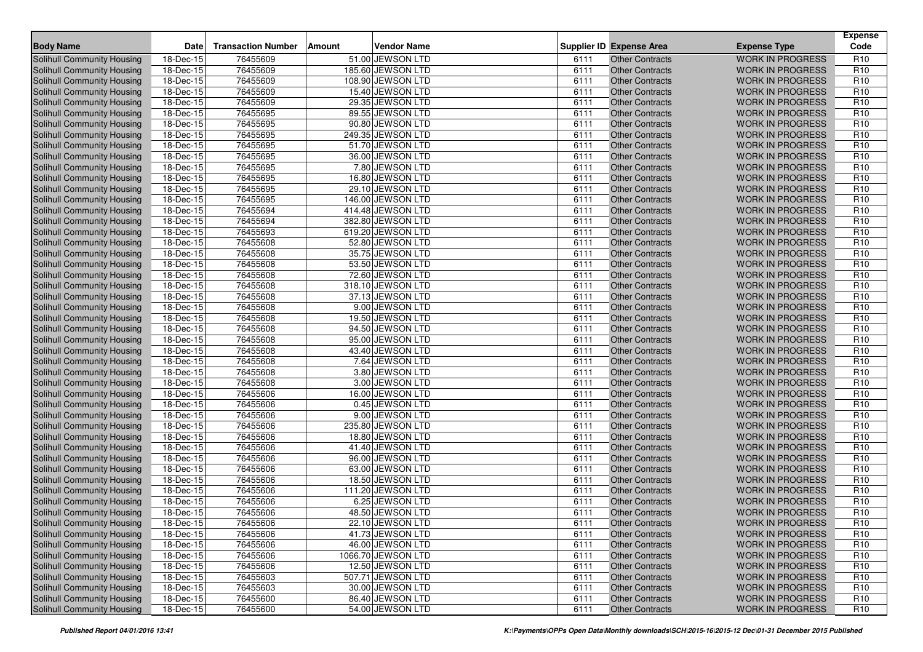| <b>Body Name</b>                  | <b>Date</b>             | <b>Transaction Number</b> | Amount | <b>Vendor Name</b> |      | <b>Supplier ID Expense Area</b> | <b>Expense Type</b>     | <b>Expense</b><br>Code |
|-----------------------------------|-------------------------|---------------------------|--------|--------------------|------|---------------------------------|-------------------------|------------------------|
| Solihull Community Housing        | 18-Dec-15               | 76455609                  |        | 51.00 JEWSON LTD   | 6111 | Other Contracts                 | <b>WORK IN PROGRESS</b> | R <sub>10</sub>        |
| <b>Solihull Community Housing</b> | 18-Dec-15               | 76455609                  |        | 185.60 JEWSON LTD  | 6111 | <b>Other Contracts</b>          | <b>WORK IN PROGRESS</b> | R <sub>10</sub>        |
| <b>Solihull Community Housing</b> | $18 - Dec - 15$         | 76455609                  |        | 108.90 JEWSON LTD  | 6111 | <b>Other Contracts</b>          | <b>WORK IN PROGRESS</b> | R <sub>10</sub>        |
| Solihull Community Housing        | 18-Dec-15               | 76455609                  |        | 15.40 JEWSON LTD   | 6111 | <b>Other Contracts</b>          | <b>WORK IN PROGRESS</b> | R <sub>10</sub>        |
| Solihull Community Housing        | 18-Dec-15               | 76455609                  |        | 29.35 JEWSON LTD   | 6111 | <b>Other Contracts</b>          | <b>WORK IN PROGRESS</b> | R <sub>10</sub>        |
| Solihull Community Housing        | 18-Dec-15               | 76455695                  |        | 89.55 JEWSON LTD   | 6111 | <b>Other Contracts</b>          | <b>WORK IN PROGRESS</b> | R <sub>10</sub>        |
| Solihull Community Housing        | 18-Dec-15               | 76455695                  |        | 90.80 JEWSON LTD   | 6111 | <b>Other Contracts</b>          | <b>WORK IN PROGRESS</b> | R <sub>10</sub>        |
| <b>Solihull Community Housing</b> | $18 - Dec - 15$         | 76455695                  |        | 249.35 JEWSON LTD  | 6111 | <b>Other Contracts</b>          | <b>WORK IN PROGRESS</b> | R <sub>10</sub>        |
| Solihull Community Housing        | 18-Dec-15               | 76455695                  |        | 51.70 JEWSON LTD   | 6111 | <b>Other Contracts</b>          | <b>WORK IN PROGRESS</b> | R <sub>10</sub>        |
| <b>Solihull Community Housing</b> | 18-Dec-15               | 76455695                  |        | 36.00 JEWSON LTD   | 6111 | <b>Other Contracts</b>          | <b>WORK IN PROGRESS</b> | R <sub>10</sub>        |
| Solihull Community Housing        | 18-Dec-15               | 76455695                  |        | 7.80 JEWSON LTD    | 6111 | <b>Other Contracts</b>          | <b>WORK IN PROGRESS</b> | R <sub>10</sub>        |
| Solihull Community Housing        | 18-Dec-15               | 76455695                  |        | 16.80 JEWSON LTD   | 6111 | <b>Other Contracts</b>          | <b>WORK IN PROGRESS</b> | R <sub>10</sub>        |
| <b>Solihull Community Housing</b> | 18-Dec-15               | 76455695                  |        | 29.10 JEWSON LTD   | 6111 | <b>Other Contracts</b>          | <b>WORK IN PROGRESS</b> | R <sub>10</sub>        |
| <b>Solihull Community Housing</b> | 18-Dec-15               | 76455695                  |        | 146.00 JEWSON LTD  | 6111 | <b>Other Contracts</b>          | <b>WORK IN PROGRESS</b> | R <sub>10</sub>        |
| Solihull Community Housing        | 18-Dec-15               | 76455694                  |        | 414.48 JEWSON LTD  | 6111 | <b>Other Contracts</b>          | <b>WORK IN PROGRESS</b> | R <sub>10</sub>        |
| Solihull Community Housing        | 18-Dec-15               | 76455694                  |        | 382.80 JEWSON LTD  | 6111 | <b>Other Contracts</b>          | <b>WORK IN PROGRESS</b> | R <sub>10</sub>        |
| Solihull Community Housing        | 18-Dec-15               | 76455693                  |        | 619.20 JEWSON LTD  | 6111 | <b>Other Contracts</b>          | <b>WORK IN PROGRESS</b> | R <sub>10</sub>        |
| Solihull Community Housing        | 18-Dec-15               | 76455608                  |        | 52.80 JEWSON LTD   | 6111 | <b>Other Contracts</b>          | <b>WORK IN PROGRESS</b> | R <sub>10</sub>        |
| Solihull Community Housing        | 18-Dec-15               | 76455608                  |        | 35.75 JEWSON LTD   | 6111 | <b>Other Contracts</b>          | <b>WORK IN PROGRESS</b> | R <sub>10</sub>        |
| Solihull Community Housing        | 18-Dec-15               | 76455608                  |        | 53.50 JEWSON LTD   | 6111 | <b>Other Contracts</b>          | <b>WORK IN PROGRESS</b> | R <sub>10</sub>        |
| Solihull Community Housing        | 18-Dec-15               | 76455608                  |        | 72.60 JEWSON LTD   | 6111 | <b>Other Contracts</b>          | <b>WORK IN PROGRESS</b> | R <sub>10</sub>        |
| Solihull Community Housing        | 18-Dec-15               | 76455608                  |        | 318.10 JEWSON LTD  | 6111 | <b>Other Contracts</b>          | <b>WORK IN PROGRESS</b> | R <sub>10</sub>        |
| Solihull Community Housing        | 18-Dec-15               | 76455608                  |        | 37.13 JEWSON LTD   | 6111 | <b>Other Contracts</b>          | <b>WORK IN PROGRESS</b> | R <sub>10</sub>        |
| <b>Solihull Community Housing</b> | 18-Dec-15               | 76455608                  |        | 9.00 JEWSON LTD    | 6111 | <b>Other Contracts</b>          | <b>WORK IN PROGRESS</b> | R <sub>10</sub>        |
| Solihull Community Housing        | 18-Dec-15               | 76455608                  |        | 19.50 JEWSON LTD   | 6111 | <b>Other Contracts</b>          | <b>WORK IN PROGRESS</b> | R <sub>10</sub>        |
| Solihull Community Housing        | 18-Dec-15               | 76455608                  |        | 94.50 JEWSON LTD   | 6111 | <b>Other Contracts</b>          | <b>WORK IN PROGRESS</b> | R <sub>10</sub>        |
| <b>Solihull Community Housing</b> | 18-Dec-15               | 76455608                  |        | 95.00 JEWSON LTD   | 6111 | <b>Other Contracts</b>          | <b>WORK IN PROGRESS</b> | R <sub>10</sub>        |
| Solihull Community Housing        | 18-Dec-15               | 76455608                  |        | 43.40 JEWSON LTD   | 6111 | <b>Other Contracts</b>          | <b>WORK IN PROGRESS</b> | R <sub>10</sub>        |
| Solihull Community Housing        | 18-Dec-15               | 76455608                  |        | 7.64 JEWSON LTD    | 6111 | <b>Other Contracts</b>          | <b>WORK IN PROGRESS</b> | R <sub>10</sub>        |
| Solihull Community Housing        | 18-Dec-15               | 76455608                  |        | 3.80 JEWSON LTD    | 6111 | <b>Other Contracts</b>          | <b>WORK IN PROGRESS</b> | R <sub>10</sub>        |
| Solihull Community Housing        | 18-Dec-15               | 76455608                  |        | 3.00 JEWSON LTD    | 6111 | <b>Other Contracts</b>          | <b>WORK IN PROGRESS</b> | R <sub>10</sub>        |
| Solihull Community Housing        | 18-Dec-15               | 76455606                  |        | 16.00 JEWSON LTD   | 6111 | <b>Other Contracts</b>          | <b>WORK IN PROGRESS</b> | R <sub>10</sub>        |
| Solihull Community Housing        | 18-Dec-15               | 76455606                  |        | 0.45 JEWSON LTD    | 6111 | <b>Other Contracts</b>          | <b>WORK IN PROGRESS</b> | R <sub>10</sub>        |
| Solihull Community Housing        | 18-Dec-15               | 76455606                  |        | 9.00 JEWSON LTD    | 6111 | <b>Other Contracts</b>          | <b>WORK IN PROGRESS</b> | R <sub>10</sub>        |
| <b>Solihull Community Housing</b> | 18-Dec-15               | 76455606                  |        | 235.80 JEWSON LTD  | 6111 | <b>Other Contracts</b>          | <b>WORK IN PROGRESS</b> | R <sub>10</sub>        |
| <b>Solihull Community Housing</b> | 18-Dec-15               | 76455606                  |        | 18.80 JEWSON LTD   | 6111 | <b>Other Contracts</b>          | <b>WORK IN PROGRESS</b> | R <sub>10</sub>        |
| Solihull Community Housing        | 18-Dec-15               | 76455606                  |        | 41.40 JEWSON LTD   | 6111 | <b>Other Contracts</b>          | <b>WORK IN PROGRESS</b> | R <sub>10</sub>        |
| <b>Solihull Community Housing</b> | 18-Dec-15               | 76455606                  |        | 96.00 JEWSON LTD   | 6111 | <b>Other Contracts</b>          | <b>WORK IN PROGRESS</b> | R <sub>10</sub>        |
| <b>Solihull Community Housing</b> | 18-Dec-15               | 76455606                  |        | 63.00 JEWSON LTD   | 6111 | <b>Other Contracts</b>          | <b>WORK IN PROGRESS</b> | R <sub>10</sub>        |
| Solihull Community Housing        | 18-Dec-15               | 76455606                  |        | 18.50 JEWSON LTD   | 6111 | <b>Other Contracts</b>          | <b>WORK IN PROGRESS</b> | R <sub>10</sub>        |
| Solihull Community Housing        | 18-Dec-15               | 76455606                  |        | 111.20 JEWSON LTD  | 6111 | <b>Other Contracts</b>          | <b>WORK IN PROGRESS</b> | R <sub>10</sub>        |
| Solihull Community Housing        | 18-Dec-15               | 76455606                  |        | 6.25 JEWSON LTD    | 6111 | <b>Other Contracts</b>          | <b>WORK IN PROGRESS</b> | R <sub>10</sub>        |
| Solihull Community Housing        | 18-Dec-15               | 76455606                  |        | 48.50 JEWSON LTD   | 6111 | <b>Other Contracts</b>          | <b>WORK IN PROGRESS</b> | R <sub>10</sub>        |
| Solihull Community Housing        | 18-Dec-15               | 76455606                  |        | 22.10 JEWSON LTD   | 6111 | Other Contracts                 | WORK IN PROGRESS        | R <sub>10</sub>        |
| Solihull Community Housing        | 18-Dec-15               | 76455606                  |        | 41.73 JEWSON LTD   | 6111 | <b>Other Contracts</b>          | <b>WORK IN PROGRESS</b> | R <sub>10</sub>        |
| Solihull Community Housing        | 18-Dec-15               | 76455606                  |        | 46.00 JEWSON LTD   | 6111 | <b>Other Contracts</b>          | <b>WORK IN PROGRESS</b> | R <sub>10</sub>        |
| Solihull Community Housing        | 18-Dec-15               | 76455606                  |        | 1066.70 JEWSON LTD | 6111 | <b>Other Contracts</b>          | <b>WORK IN PROGRESS</b> | R <sub>10</sub>        |
| Solihull Community Housing        | 18-Dec-15               | 76455606                  |        | 12.50 JEWSON LTD   | 6111 | <b>Other Contracts</b>          | <b>WORK IN PROGRESS</b> | R <sub>10</sub>        |
| Solihull Community Housing        | 18-Dec-15               | 76455603                  |        | 507.71 JEWSON LTD  | 6111 | <b>Other Contracts</b>          | <b>WORK IN PROGRESS</b> | R <sub>10</sub>        |
| Solihull Community Housing        | 18-Dec-15               | 76455603                  |        | 30.00 JEWSON LTD   | 6111 | <b>Other Contracts</b>          | <b>WORK IN PROGRESS</b> | R <sub>10</sub>        |
| Solihull Community Housing        | $\overline{18}$ -Dec-15 | 76455600                  |        | 86.40 JEWSON LTD   | 6111 | <b>Other Contracts</b>          | <b>WORK IN PROGRESS</b> | R <sub>10</sub>        |
| Solihull Community Housing        | 18-Dec-15               | 76455600                  |        | 54.00 JEWSON LTD   | 6111 | <b>Other Contracts</b>          | WORK IN PROGRESS        | R <sub>10</sub>        |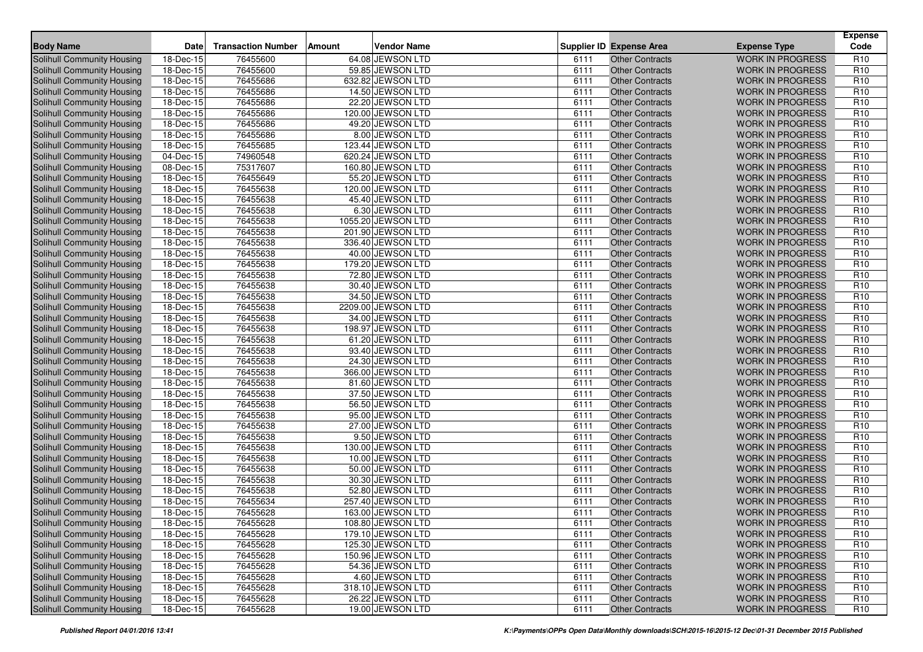| <b>Body Name</b>                  | <b>Date</b>             | <b>Transaction Number</b> | Amount | <b>Vendor Name</b> |      | <b>Supplier ID Expense Area</b> | <b>Expense Type</b>     | <b>Expense</b><br>Code |
|-----------------------------------|-------------------------|---------------------------|--------|--------------------|------|---------------------------------|-------------------------|------------------------|
| Solihull Community Housing        | 18-Dec-15               | 76455600                  |        | 64.08 JEWSON LTD   | 6111 | Other Contracts                 | <b>WORK IN PROGRESS</b> | R <sub>10</sub>        |
| <b>Solihull Community Housing</b> | 18-Dec-15               | 76455600                  |        | 59.85 JEWSON LTD   | 6111 | <b>Other Contracts</b>          | <b>WORK IN PROGRESS</b> | R <sub>10</sub>        |
| <b>Solihull Community Housing</b> | $18 - Dec - 15$         | 76455686                  |        | 632.82 JEWSON LTD  | 6111 | <b>Other Contracts</b>          | <b>WORK IN PROGRESS</b> | R <sub>10</sub>        |
| Solihull Community Housing        | 18-Dec-15               | 76455686                  |        | 14.50 JEWSON LTD   | 6111 | <b>Other Contracts</b>          | <b>WORK IN PROGRESS</b> | R <sub>10</sub>        |
| Solihull Community Housing        | 18-Dec-15               | 76455686                  |        | 22.20 JEWSON LTD   | 6111 | <b>Other Contracts</b>          | <b>WORK IN PROGRESS</b> | R <sub>10</sub>        |
| Solihull Community Housing        | 18-Dec-15               | 76455686                  |        | 120.00 JEWSON LTD  | 6111 | <b>Other Contracts</b>          | <b>WORK IN PROGRESS</b> | R <sub>10</sub>        |
| Solihull Community Housing        | 18-Dec-15               | 76455686                  |        | 49.20 JEWSON LTD   | 6111 | <b>Other Contracts</b>          | <b>WORK IN PROGRESS</b> | R <sub>10</sub>        |
| <b>Solihull Community Housing</b> | $18 - Dec - 15$         | 76455686                  |        | 8.00 JEWSON LTD    | 6111 | <b>Other Contracts</b>          | <b>WORK IN PROGRESS</b> | R <sub>10</sub>        |
| Solihull Community Housing        | 18-Dec-15               | 76455685                  |        | 123.44 JEWSON LTD  | 6111 | <b>Other Contracts</b>          | <b>WORK IN PROGRESS</b> | R <sub>10</sub>        |
| <b>Solihull Community Housing</b> | 04-Dec-15               | 74960548                  |        | 620.24 JEWSON LTD  | 6111 | <b>Other Contracts</b>          | <b>WORK IN PROGRESS</b> | R <sub>10</sub>        |
| <b>Solihull Community Housing</b> | 08-Dec-15               | 75317607                  |        | 160.80 JEWSON LTD  | 6111 | <b>Other Contracts</b>          | <b>WORK IN PROGRESS</b> | R <sub>10</sub>        |
| Solihull Community Housing        | 18-Dec-15               | 76455649                  |        | 55.20 JEWSON LTD   | 6111 | <b>Other Contracts</b>          | <b>WORK IN PROGRESS</b> | R <sub>10</sub>        |
| <b>Solihull Community Housing</b> | 18-Dec-15               | 76455638                  |        | 120.00 JEWSON LTD  | 6111 | <b>Other Contracts</b>          | <b>WORK IN PROGRESS</b> | R <sub>10</sub>        |
| <b>Solihull Community Housing</b> | 18-Dec-15               | 76455638                  |        | 45.40 JEWSON LTD   | 6111 | <b>Other Contracts</b>          | <b>WORK IN PROGRESS</b> | R <sub>10</sub>        |
| Solihull Community Housing        | 18-Dec-15               | 76455638                  |        | 6.30 JEWSON LTD    | 6111 | <b>Other Contracts</b>          | <b>WORK IN PROGRESS</b> | R <sub>10</sub>        |
| Solihull Community Housing        | 18-Dec-15               | 76455638                  |        | 1055.20 JEWSON LTD | 6111 | <b>Other Contracts</b>          | <b>WORK IN PROGRESS</b> | R <sub>10</sub>        |
| Solihull Community Housing        | 18-Dec-15               | 76455638                  |        | 201.90 JEWSON LTD  | 6111 | <b>Other Contracts</b>          | <b>WORK IN PROGRESS</b> | R <sub>10</sub>        |
| Solihull Community Housing        | 18-Dec-15               | 76455638                  |        | 336.40 JEWSON LTD  | 6111 | <b>Other Contracts</b>          | <b>WORK IN PROGRESS</b> | R <sub>10</sub>        |
| <b>Solihull Community Housing</b> | 18-Dec-15               | 76455638                  |        | 40.00 JEWSON LTD   | 6111 | <b>Other Contracts</b>          | <b>WORK IN PROGRESS</b> | R <sub>10</sub>        |
| Solihull Community Housing        | 18-Dec-15               | 76455638                  |        | 179.20 JEWSON LTD  | 6111 | <b>Other Contracts</b>          | <b>WORK IN PROGRESS</b> | R <sub>10</sub>        |
| Solihull Community Housing        | 18-Dec-15               | 76455638                  |        | 72.80 JEWSON LTD   | 6111 | <b>Other Contracts</b>          | <b>WORK IN PROGRESS</b> | R <sub>10</sub>        |
| Solihull Community Housing        | 18-Dec-15               | 76455638                  |        | 30.40 JEWSON LTD   | 6111 | <b>Other Contracts</b>          | <b>WORK IN PROGRESS</b> | R <sub>10</sub>        |
| Solihull Community Housing        | 18-Dec-15               | 76455638                  |        | 34.50 JEWSON LTD   | 6111 | <b>Other Contracts</b>          | <b>WORK IN PROGRESS</b> | R <sub>10</sub>        |
| <b>Solihull Community Housing</b> | 18-Dec-15               | 76455638                  |        | 2209.00 JEWSON LTD | 6111 | <b>Other Contracts</b>          | <b>WORK IN PROGRESS</b> | R <sub>10</sub>        |
| Solihull Community Housing        | 18-Dec-15               | 76455638                  |        | 34.00 JEWSON LTD   | 6111 | <b>Other Contracts</b>          | <b>WORK IN PROGRESS</b> | R <sub>10</sub>        |
| Solihull Community Housing        | 18-Dec-15               | 76455638                  |        | 198.97 JEWSON LTD  | 6111 | <b>Other Contracts</b>          | <b>WORK IN PROGRESS</b> | R <sub>10</sub>        |
| <b>Solihull Community Housing</b> | 18-Dec-15               | 76455638                  |        | 61.20 JEWSON LTD   | 6111 | <b>Other Contracts</b>          | <b>WORK IN PROGRESS</b> | R <sub>10</sub>        |
| Solihull Community Housing        | 18-Dec-15               | 76455638                  |        | 93.40 JEWSON LTD   | 6111 | <b>Other Contracts</b>          | <b>WORK IN PROGRESS</b> | R <sub>10</sub>        |
| Solihull Community Housing        | 18-Dec-15               | 76455638                  |        | 24.30 JEWSON LTD   | 6111 | <b>Other Contracts</b>          | <b>WORK IN PROGRESS</b> | R <sub>10</sub>        |
| Solihull Community Housing        | 18-Dec-15               | 76455638                  |        | 366.00 JEWSON LTD  | 6111 | <b>Other Contracts</b>          | <b>WORK IN PROGRESS</b> | R <sub>10</sub>        |
| Solihull Community Housing        | 18-Dec-15               | 76455638                  |        | 81.60 JEWSON LTD   | 6111 | <b>Other Contracts</b>          | <b>WORK IN PROGRESS</b> | R <sub>10</sub>        |
| Solihull Community Housing        | 18-Dec-15               | 76455638                  |        | 37.50 JEWSON LTD   | 6111 | <b>Other Contracts</b>          | <b>WORK IN PROGRESS</b> | R <sub>10</sub>        |
| Solihull Community Housing        | 18-Dec-15               | 76455638                  |        | 56.50 JEWSON LTD   | 6111 | <b>Other Contracts</b>          | <b>WORK IN PROGRESS</b> | R <sub>10</sub>        |
| Solihull Community Housing        | 18-Dec-15               | 76455638                  |        | 95.00 JEWSON LTD   | 6111 | <b>Other Contracts</b>          | <b>WORK IN PROGRESS</b> | R <sub>10</sub>        |
| <b>Solihull Community Housing</b> | 18-Dec-15               | 76455638                  |        | 27.00 JEWSON LTD   | 6111 | <b>Other Contracts</b>          | <b>WORK IN PROGRESS</b> | R <sub>10</sub>        |
| <b>Solihull Community Housing</b> | 18-Dec-15               | 76455638                  |        | 9.50 JEWSON LTD    | 6111 | <b>Other Contracts</b>          | <b>WORK IN PROGRESS</b> | R <sub>10</sub>        |
| Solihull Community Housing        | 18-Dec-15               | 76455638                  |        | 130.00 JEWSON LTD  | 6111 | <b>Other Contracts</b>          | <b>WORK IN PROGRESS</b> | R <sub>10</sub>        |
| <b>Solihull Community Housing</b> | 18-Dec-15               | 76455638                  |        | 10.00 JEWSON LTD   | 6111 | <b>Other Contracts</b>          | <b>WORK IN PROGRESS</b> | R <sub>10</sub>        |
| <b>Solihull Community Housing</b> | 18-Dec-15               | 76455638                  |        | 50.00 JEWSON LTD   | 6111 | <b>Other Contracts</b>          | <b>WORK IN PROGRESS</b> | R <sub>10</sub>        |
| Solihull Community Housing        | 18-Dec-15               | 76455638                  |        | 30.30 JEWSON LTD   | 6111 | <b>Other Contracts</b>          | <b>WORK IN PROGRESS</b> | R <sub>10</sub>        |
| Solihull Community Housing        | 18-Dec-15               | 76455638                  |        | 52.80 JEWSON LTD   | 6111 | <b>Other Contracts</b>          | <b>WORK IN PROGRESS</b> | R <sub>10</sub>        |
| Solihull Community Housing        | 18-Dec-15               | 76455634                  |        | 257.40 JEWSON LTD  | 6111 | <b>Other Contracts</b>          | <b>WORK IN PROGRESS</b> | R <sub>10</sub>        |
| Solihull Community Housing        | 18-Dec-15               | 76455628                  |        | 163.00 JEWSON LTD  | 6111 | <b>Other Contracts</b>          | <b>WORK IN PROGRESS</b> | R <sub>10</sub>        |
| Solihull Community Housing        | 18-Dec-15               | 76455628                  |        | 108.80 JEWSON LTD  | 6111 | Other Contracts                 | WORK IN PROGRESS        | R <sub>10</sub>        |
| Solihull Community Housing        | 18-Dec-15               | 76455628                  |        | 179.10 JEWSON LTD  | 6111 | <b>Other Contracts</b>          | <b>WORK IN PROGRESS</b> | R <sub>10</sub>        |
| Solihull Community Housing        | 18-Dec-15               | 76455628                  |        | 125.30 JEWSON LTD  | 6111 | <b>Other Contracts</b>          | <b>WORK IN PROGRESS</b> | R <sub>10</sub>        |
| Solihull Community Housing        | 18-Dec-15               | 76455628                  |        | 150.96 JEWSON LTD  | 6111 | <b>Other Contracts</b>          | <b>WORK IN PROGRESS</b> | R <sub>10</sub>        |
| Solihull Community Housing        | 18-Dec-15               | 76455628                  |        | 54.36 JEWSON LTD   | 6111 | <b>Other Contracts</b>          | <b>WORK IN PROGRESS</b> | R <sub>10</sub>        |
| Solihull Community Housing        | 18-Dec-15               | 76455628                  |        | 4.60 JEWSON LTD    | 6111 | <b>Other Contracts</b>          | <b>WORK IN PROGRESS</b> | R <sub>10</sub>        |
| Solihull Community Housing        | 18-Dec-15               | 76455628                  |        | 318.10 JEWSON LTD  | 6111 | <b>Other Contracts</b>          | <b>WORK IN PROGRESS</b> | R <sub>10</sub>        |
| Solihull Community Housing        | $\overline{18}$ -Dec-15 | 76455628                  |        | 26.22 JEWSON LTD   | 6111 | <b>Other Contracts</b>          | <b>WORK IN PROGRESS</b> | R <sub>10</sub>        |
| Solihull Community Housing        | 18-Dec-15               | 76455628                  |        | 19.00 JEWSON LTD   | 6111 | <b>Other Contracts</b>          | WORK IN PROGRESS        | R <sub>10</sub>        |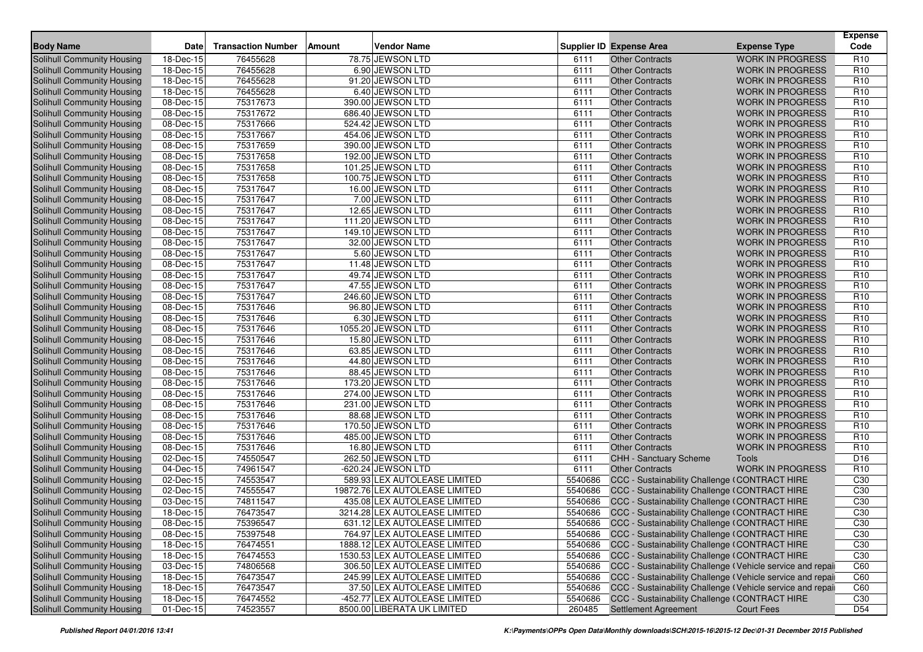| <b>Body Name</b>                  | Date                    | <b>Transaction Number</b> | Amount | <b>Vendor Name</b>             |         | <b>Supplier ID Expense Area</b>                            | <b>Expense Type</b>     | <b>Expense</b><br>Code |
|-----------------------------------|-------------------------|---------------------------|--------|--------------------------------|---------|------------------------------------------------------------|-------------------------|------------------------|
| Solihull Community Housing        | 18-Dec-15               | 76455628                  |        | 78.75 JEWSON LTD               | 6111    | <b>Other Contracts</b>                                     | <b>WORK IN PROGRESS</b> | R <sub>10</sub>        |
| Solihull Community Housing        | 18-Dec-15               | 76455628                  |        | 6.90 JEWSON LTD                | 6111    | <b>Other Contracts</b>                                     | <b>WORK IN PROGRESS</b> | R <sub>10</sub>        |
| Solihull Community Housing        | $18 - Dec-15$           | 76455628                  |        | 91.20 JEWSON LTD               | 6111    | <b>Other Contracts</b>                                     | <b>WORK IN PROGRESS</b> | R <sub>10</sub>        |
| <b>Solihull Community Housing</b> | 18-Dec-15               | 76455628                  |        | 6.40 JEWSON LTD                | 6111    | <b>Other Contracts</b>                                     | <b>WORK IN PROGRESS</b> | R <sub>10</sub>        |
| Solihull Community Housing        | 08-Dec-15               | 75317673                  |        | 390.00 JEWSON LTD              | 6111    | <b>Other Contracts</b>                                     | <b>WORK IN PROGRESS</b> | R <sub>10</sub>        |
| Solihull Community Housing        | 08-Dec-15               | 75317672                  |        | 686.40 JEWSON LTD              | 6111    | <b>Other Contracts</b>                                     | <b>WORK IN PROGRESS</b> | R <sub>10</sub>        |
| Solihull Community Housing        | $\overline{08}$ -Dec-15 | 75317666                  |        | 524.42 JEWSON LTD              | 6111    | <b>Other Contracts</b>                                     | <b>WORK IN PROGRESS</b> | R <sub>10</sub>        |
| Solihull Community Housing        | 08-Dec-15               | 75317667                  |        | 454.06 JEWSON LTD              | 6111    | <b>Other Contracts</b>                                     | <b>WORK IN PROGRESS</b> | R <sub>10</sub>        |
| Solihull Community Housing        | 08-Dec-15               | 75317659                  |        | 390.00 JEWSON LTD              | 6111    | <b>Other Contracts</b>                                     | <b>WORK IN PROGRESS</b> | R <sub>10</sub>        |
| <b>Solihull Community Housing</b> | 08-Dec-15               | 75317658                  |        | 192.00 JEWSON LTD              | 6111    | <b>Other Contracts</b>                                     | <b>WORK IN PROGRESS</b> | R <sub>10</sub>        |
| Solihull Community Housing        | 08-Dec-15               | 75317658                  |        | 101.25 JEWSON LTD              | 6111    | <b>Other Contracts</b>                                     | <b>WORK IN PROGRESS</b> | R <sub>10</sub>        |
| Solihull Community Housing        | 08-Dec-15               | 75317658                  |        | 100.75 JEWSON LTD              | 6111    | <b>Other Contracts</b>                                     | <b>WORK IN PROGRESS</b> | R <sub>10</sub>        |
| Solihull Community Housing        | 08-Dec-15               | 75317647                  |        | 16.00 JEWSON LTD               | 6111    | <b>Other Contracts</b>                                     | <b>WORK IN PROGRESS</b> | R <sub>10</sub>        |
| <b>Solihull Community Housing</b> | 08-Dec-15               | 75317647                  |        | 7.00 JEWSON LTD                | 6111    | <b>Other Contracts</b>                                     | <b>WORK IN PROGRESS</b> | R <sub>10</sub>        |
| <b>Solihull Community Housing</b> | 08-Dec-15               | 75317647                  |        | 12.65 JEWSON LTD               | 6111    | <b>Other Contracts</b>                                     | <b>WORK IN PROGRESS</b> | R <sub>10</sub>        |
| Solihull Community Housing        | 08-Dec-15               | 75317647                  |        | 111.20 JEWSON LTD              | 6111    | <b>Other Contracts</b>                                     | <b>WORK IN PROGRESS</b> | R <sub>10</sub>        |
| Solihull Community Housing        | 08-Dec-15               | 75317647                  |        | 149.10 JEWSON LTD              | 6111    | <b>Other Contracts</b>                                     | <b>WORK IN PROGRESS</b> | R <sub>10</sub>        |
| <b>Solihull Community Housing</b> | 08-Dec-15               | 75317647                  |        | 32.00 JEWSON LTD               | 6111    | <b>Other Contracts</b>                                     | <b>WORK IN PROGRESS</b> | R <sub>10</sub>        |
| Solihull Community Housing        | 08-Dec-15               | 75317647                  |        | 5.60 JEWSON LTD                | 6111    | <b>Other Contracts</b>                                     | <b>WORK IN PROGRESS</b> | R <sub>10</sub>        |
| Solihull Community Housing        | 08-Dec-15               | 75317647                  |        | 11.48 JEWSON LTD               | 6111    | <b>Other Contracts</b>                                     | <b>WORK IN PROGRESS</b> | R <sub>10</sub>        |
| Solihull Community Housing        | 08-Dec-15               | 75317647                  |        | 49.74 JEWSON LTD               | 6111    | <b>Other Contracts</b>                                     | <b>WORK IN PROGRESS</b> | R <sub>10</sub>        |
| Solihull Community Housing        | 08-Dec-15               | 75317647                  |        | 47.55 JEWSON LTD               | 6111    | <b>Other Contracts</b>                                     | <b>WORK IN PROGRESS</b> | R <sub>10</sub>        |
| Solihull Community Housing        | 08-Dec-15               | 75317647                  |        | 246.60 JEWSON LTD              | 6111    | <b>Other Contracts</b>                                     | <b>WORK IN PROGRESS</b> | R <sub>10</sub>        |
| Solihull Community Housing        | 08-Dec-15               | 75317646                  |        | 96.80 JEWSON LTD               | 6111    | <b>Other Contracts</b>                                     | <b>WORK IN PROGRESS</b> | R <sub>10</sub>        |
| Solihull Community Housing        | 08-Dec-15               | 75317646                  |        | 6.30 JEWSON LTD                | 6111    | <b>Other Contracts</b>                                     | <b>WORK IN PROGRESS</b> | R <sub>10</sub>        |
| Solihull Community Housing        | 08-Dec-15               | 75317646                  |        | 1055.20 JEWSON LTD             | 6111    | <b>Other Contracts</b>                                     | <b>WORK IN PROGRESS</b> | R <sub>10</sub>        |
| Solihull Community Housing        | 08-Dec-15               | 75317646                  |        | 15.80 JEWSON LTD               | 6111    | <b>Other Contracts</b>                                     | <b>WORK IN PROGRESS</b> | R <sub>10</sub>        |
| Solihull Community Housing        | 08-Dec-15               | 75317646                  |        | 63.85 JEWSON LTD               | 6111    | <b>Other Contracts</b>                                     | <b>WORK IN PROGRESS</b> | R <sub>10</sub>        |
| Solihull Community Housing        | $\overline{08}$ -Dec-15 | 75317646                  |        | 44.80 JEWSON LTD               | 6111    | <b>Other Contracts</b>                                     | <b>WORK IN PROGRESS</b> | R <sub>10</sub>        |
| Solihull Community Housing        | 08-Dec-15               | 75317646                  |        | 88.45 JEWSON LTD               | 6111    | <b>Other Contracts</b>                                     | <b>WORK IN PROGRESS</b> | R <sub>10</sub>        |
| Solihull Community Housing        | 08-Dec-15               | 75317646                  |        | 173.20 JEWSON LTD              | 6111    | <b>Other Contracts</b>                                     | <b>WORK IN PROGRESS</b> | R <sub>10</sub>        |
| Solihull Community Housing        | 08-Dec-15               | 75317646                  |        | 274.00 JEWSON LTD              | 6111    | <b>Other Contracts</b>                                     | <b>WORK IN PROGRESS</b> | R <sub>10</sub>        |
| Solihull Community Housing        | 08-Dec-15               | 75317646                  |        | 231.00 JEWSON LTD              | 6111    | <b>Other Contracts</b>                                     | <b>WORK IN PROGRESS</b> | R <sub>10</sub>        |
| Solihull Community Housing        | 08-Dec-15               | 75317646                  |        | 88.68 JEWSON LTD               | 6111    | <b>Other Contracts</b>                                     | <b>WORK IN PROGRESS</b> | R <sub>10</sub>        |
| <b>Solihull Community Housing</b> | 08-Dec-15               | 75317646                  |        | 170.50 JEWSON LTD              | 6111    | <b>Other Contracts</b>                                     | <b>WORK IN PROGRESS</b> | R <sub>10</sub>        |
| Solihull Community Housing        | 08-Dec-15               | 75317646                  |        | 485.00 JEWSON LTD              | 6111    | <b>Other Contracts</b>                                     | <b>WORK IN PROGRESS</b> | R <sub>10</sub>        |
| Solihull Community Housing        | 08-Dec-15               | 75317646                  |        | 16.80 JEWSON LTD               | 6111    | <b>Other Contracts</b>                                     | <b>WORK IN PROGRESS</b> | R <sub>10</sub>        |
| Solihull Community Housing        | 02-Dec-15               | 74550547                  |        | 262.50 JEWSON LTD              | 6111    | CHH - Sanctuary Scheme                                     | Tools                   | D <sub>16</sub>        |
| <b>Solihull Community Housing</b> | 04-Dec-15               | 74961547                  |        | $-620.24$ JEWSON LTD           | 6111    | <b>Other Contracts</b>                                     | <b>WORK IN PROGRESS</b> | R <sub>10</sub>        |
| <b>Solihull Community Housing</b> | 02-Dec-15               | 74553547                  |        | 589.93 LEX AUTOLEASE LIMITED   | 5540686 | CCC - Sustainability Challenge (CONTRACT HIRE              |                         | C30                    |
| Solihull Community Housing        | $02$ -Dec-15            | 74555547                  |        | 19872.76 LEX AUTOLEASE LIMITED | 5540686 | CCC - Sustainability Challenge (CONTRACT HIRE              |                         | C <sub>30</sub>        |
| Solihull Community Housing        | 03-Dec-15               | 74811547                  |        | 435.08 LEX AUTOLEASE LIMITED   | 5540686 | CCC - Sustainability Challenge (CONTRACT HIRE              |                         | C30                    |
| <b>Solihull Community Housing</b> | 18-Dec-15               | 76473547                  |        | 3214.28 LEX AUTOLEASE LIMITED  | 5540686 | CCC - Sustainability Challenge (CONTRACT HIRE              |                         | C30                    |
| Solihull Community Housing        | 08-Dec-15               | 75396547                  |        | 631.12 LEX AUTOLEASE LIMITED   |         | 5540686 CCC - Sustainability Challenge (CONTRACT HIRE      |                         | C30                    |
| <b>Solihull Community Housing</b> | 08-Dec-15               | 75397548                  |        | 764.97 LEX AUTOLEASE LIMITED   |         | 5540686 CCC - Sustainability Challenge (CONTRACT HIRE      |                         | C <sub>30</sub>        |
| Solihull Community Housing        | $18 - Dec - 15$         | 76474551                  |        | 1888.12 LEX AUTOLEASE LIMITED  | 5540686 | CCC - Sustainability Challenge (CONTRACT HIRE              |                         | C <sub>30</sub>        |
| <b>Solihull Community Housing</b> | 18-Dec-15               | 76474553                  |        | 1530.53 LEX AUTOLEASE LIMITED  |         | 5540686 CCC - Sustainability Challenge (CONTRACT HIRE      |                         | C <sub>30</sub>        |
| Solihull Community Housing        | 03-Dec-15               | 74806568                  |        | 306.50 LEX AUTOLEASE LIMITED   | 5540686 | CCC - Sustainability Challenge (Vehicle service and repail |                         | C60                    |
| <b>Solihull Community Housing</b> | 18-Dec-15               | 76473547                  |        | 245.99 LEX AUTOLEASE LIMITED   | 5540686 | CCC - Sustainability Challenge (Vehicle service and repail |                         | C60                    |
| Solihull Community Housing        | 18-Dec-15               | 76473547                  |        | 37.50 LEX AUTOLEASE LIMITED    | 5540686 | CCC - Sustainability Challenge (Vehicle service and repail |                         | C60                    |
| Solihull Community Housing        | 18-Dec-15               | 76474552                  |        | -452.77 LEX AUTOLEASE LIMITED  | 5540686 | CCC - Sustainability Challenge (CONTRACT HIRE              |                         | C <sub>30</sub>        |
| Solihull Community Housing        | $01$ -Dec-15            | 74523557                  |        | 8500.00 LIBERATA UK LIMITED    | 260485  | <b>Settlement Agreement</b>                                | <b>Court Fees</b>       | D <sub>54</sub>        |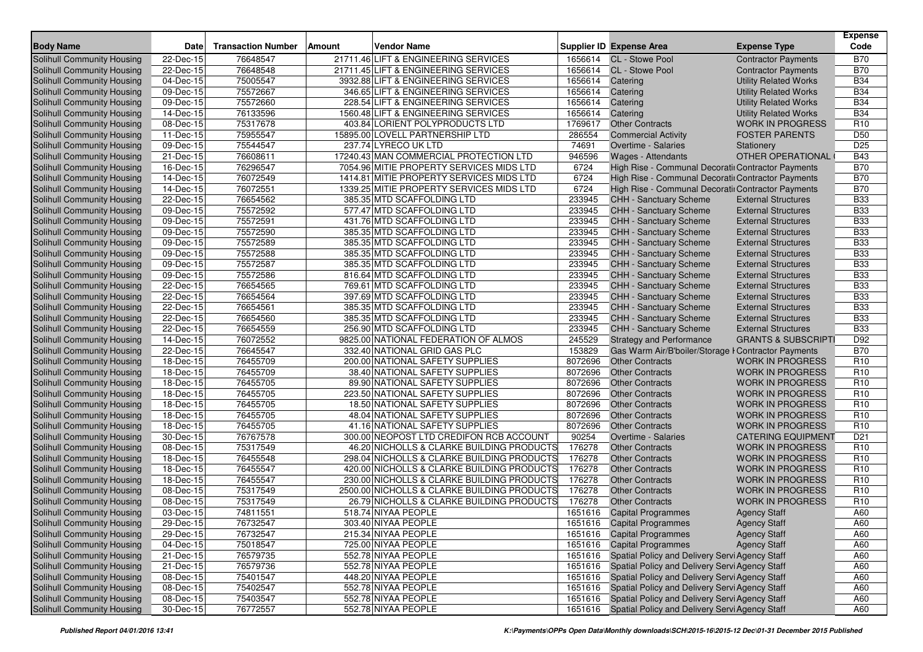| <b>Body Name</b>                                         | <b>Date</b>             | <b>Transaction Number</b> | <b>Vendor Name</b><br><b>Amount</b>                                  |                    | <b>Supplier ID Expense Area</b>                                               | <b>Expense Type</b>                                      | <b>Expense</b><br>Code             |
|----------------------------------------------------------|-------------------------|---------------------------|----------------------------------------------------------------------|--------------------|-------------------------------------------------------------------------------|----------------------------------------------------------|------------------------------------|
| <b>Solihull Community Housing</b>                        | 22-Dec-15               | 76648547                  | 21711.46 LIFT & ENGINEERING SERVICES                                 | 1656614            | <b>CL</b> - Stowe Pool                                                        | <b>Contractor Payments</b>                               | <b>B70</b>                         |
| Solihull Community Housing                               | 22-Dec-15               | 76648548                  | 21711.45 LIFT & ENGINEERING SERVICES                                 |                    | 1656614 CL - Stowe Pool                                                       | <b>Contractor Payments</b>                               | <b>B70</b>                         |
| Solihull Community Housing                               | 04-Dec-15               | 75005547                  | 3932.88 LIFT & ENGINEERING SERVICES                                  | 1656614            | Catering                                                                      | <b>Utility Related Works</b>                             | <b>B34</b>                         |
| Solihull Community Housing                               | 09-Dec-15               | 75572667                  | 346.65 LIFT & ENGINEERING SERVICES                                   | 1656614            | Catering                                                                      | <b>Utility Related Works</b>                             | <b>B34</b>                         |
| Solihull Community Housing                               | 09-Dec-15               | 75572660                  | 228.54 LIFT & ENGINEERING SERVICES                                   | 1656614            | Catering                                                                      | <b>Utility Related Works</b>                             | <b>B34</b>                         |
| Solihull Community Housing                               | 14-Dec-15               | 76133596                  | 1560.48 LIFT & ENGINEERING SERVICES                                  | 1656614            | Catering                                                                      | <b>Utility Related Works</b>                             | <b>B34</b>                         |
| Solihull Community Housing                               | 08-Dec-15               | 75317678                  | 403.84 LORIENT POLYPRODUCTS LTD                                      | 1769617            | <b>Other Contracts</b>                                                        | <b>WORK IN PROGRESS</b>                                  | R <sub>10</sub>                    |
| Solihull Community Housing                               | 11-Dec-15               | 75955547                  | 15895.00 LOVELL PARTNERSHIP LTD                                      | 286554             | <b>Commercial Activity</b>                                                    | <b>FOSTER PARENTS</b>                                    | D <sub>50</sub>                    |
| Solihull Community Housing                               | 09-Dec-15               | 75544547                  | 237.74 LYRECO UK LTD                                                 | 74691              | <b>Overtime - Salaries</b>                                                    | Stationery                                               | D <sub>25</sub>                    |
| Solihull Community Housing                               | $\overline{21}$ -Dec-15 | 76608611                  | 17240.43 MAN COMMERCIAL PROTECTION LTD                               | 946596             | <b>Wages - Attendants</b>                                                     | OTHER OPERATIONAL                                        | <b>B43</b>                         |
| Solihull Community Housing                               | 16-Dec-15               | 76296547                  | 7054.96 MITIE PROPERTY SERVICES MIDS LTD                             | 6724               | High Rise - Communal Decoratii Contractor Payments                            |                                                          | <b>B70</b>                         |
| Solihull Community Housing                               | 14-Dec-15               | 76072549                  | 1414.81 MITIE PROPERTY SERVICES MIDS LTD                             | 6724               | High Rise - Communal Decoratiı Contractor Payments                            |                                                          | <b>B70</b>                         |
| Solihull Community Housing                               | 14-Dec-15               | 76072551                  | 1339.25 MITIE PROPERTY SERVICES MIDS LTD                             | 6724               | High Rise - Communal Decoratii Contractor Payments                            |                                                          | <b>B70</b>                         |
| Solihull Community Housing                               | 22-Dec-15               | 76654562                  | 385.35 MTD SCAFFOLDING LTD                                           | 233945             | <b>CHH - Sanctuary Scheme</b>                                                 | <b>External Structures</b>                               | <b>B33</b>                         |
| Solihull Community Housing                               | 09-Dec-15               | 75572592                  | 577.47 MTD SCAFFOLDING LTD                                           | 233945             | <b>CHH - Sanctuary Scheme</b>                                                 | <b>External Structures</b>                               | <b>B33</b>                         |
| Solihull Community Housing                               | 09-Dec-15               | 75572591                  | 431.76 MTD SCAFFOLDING LTD                                           | 233945             | CHH - Sanctuary Scheme                                                        | <b>External Structures</b>                               | <b>B33</b>                         |
| Solihull Community Housing                               | 09-Dec-15               | 75572590                  | 385.35 MTD SCAFFOLDING LTD                                           | 233945             | <b>CHH - Sanctuary Scheme</b>                                                 | <b>External Structures</b>                               | <b>B33</b>                         |
| Solihull Community Housing                               | 09-Dec-15               | 75572589                  | 385.35 MTD SCAFFOLDING LTD                                           | 233945             | CHH - Sanctuary Scheme                                                        | <b>External Structures</b>                               | <b>B33</b>                         |
| Solihull Community Housing                               | 09-Dec-15               | 75572588                  | 385.35 MTD SCAFFOLDING LTD                                           | 233945             | CHH - Sanctuary Scheme                                                        | <b>External Structures</b>                               | <b>B33</b>                         |
| Solihull Community Housing                               | 09-Dec-15               | 75572587                  | 385.35 MTD SCAFFOLDING LTD                                           | 233945             | <b>CHH - Sanctuary Scheme</b>                                                 | <b>External Structures</b>                               | <b>B33</b>                         |
| Solihull Community Housing                               | $\overline{0}9$ -Dec-15 | 75572586                  | 816.64 MTD SCAFFOLDING LTD                                           | 233945             | CHH - Sanctuary Scheme                                                        | <b>External Structures</b>                               | <b>B33</b>                         |
| Solihull Community Housing                               | 22-Dec-15               | 76654565                  | 769.61 MTD SCAFFOLDING LTD                                           | 233945             | CHH - Sanctuary Scheme                                                        | <b>External Structures</b>                               | <b>B33</b>                         |
| Solihull Community Housing                               | 22-Dec-15               | 76654564                  | 397.69 MTD SCAFFOLDING LTD                                           | 233945             | <b>CHH - Sanctuary Scheme</b>                                                 | <b>External Structures</b>                               | <b>B33</b>                         |
| Solihull Community Housing                               |                         |                           |                                                                      |                    | <b>CHH - Sanctuary Scheme</b>                                                 |                                                          | <b>B33</b>                         |
|                                                          | 22-Dec-15               | 76654561                  | 385.35 MTD SCAFFOLDING LTD                                           | 233945             |                                                                               | <b>External Structures</b><br><b>External Structures</b> | <b>B33</b>                         |
| Solihull Community Housing<br>Solihull Community Housing | 22-Dec-15               | 76654560                  | 385.35 MTD SCAFFOLDING LTD<br>256.90 MTD SCAFFOLDING LTD             | 233945<br>233945   | CHH - Sanctuary Scheme                                                        |                                                          | <b>B33</b>                         |
|                                                          | 22-Dec-15               | 76654559                  |                                                                      |                    | CHH - Sanctuary Scheme                                                        | <b>External Structures</b>                               |                                    |
| Solihull Community Housing                               | 14-Dec-15               | 76072552<br>76645547      | 9825.00 NATIONAL FEDERATION OF ALMOS<br>332.40 NATIONAL GRID GAS PLC | 245529<br>153829   | <b>Strategy and Performance</b>                                               | <b>GRANTS &amp; SUBSCRIPTI</b>                           | D92<br><b>B70</b>                  |
| Solihull Community Housing                               | 22-Dec-15               |                           |                                                                      |                    | Gas Warm Air/B'boiler/Storage I Contractor Payments<br><b>Other Contracts</b> |                                                          | R <sub>10</sub>                    |
| Solihull Community Housing                               | 18-Dec-15               | 76455709                  | 200.00 NATIONAL SAFETY SUPPLIES                                      | 8072696<br>8072696 |                                                                               | <b>WORK IN PROGRESS</b>                                  | R <sub>10</sub>                    |
| Solihull Community Housing                               | 18-Dec-15               | 76455709                  | 38.40 NATIONAL SAFETY SUPPLIES                                       |                    | <b>Other Contracts</b>                                                        | <b>WORK IN PROGRESS</b>                                  |                                    |
| Solihull Community Housing                               | 18-Dec-15               | 76455705                  | 89.90 NATIONAL SAFETY SUPPLIES                                       | 8072696            | <b>Other Contracts</b>                                                        | <b>WORK IN PROGRESS</b>                                  | R <sub>10</sub>                    |
| Solihull Community Housing                               | 18-Dec-15               | 76455705                  | 223.50 NATIONAL SAFETY SUPPLIES                                      | 8072696<br>8072696 | <b>Other Contracts</b>                                                        | <b>WORK IN PROGRESS</b>                                  | R <sub>10</sub><br>R <sub>10</sub> |
| Solihull Community Housing                               | 18-Dec-15               | 76455705                  | 18.50 NATIONAL SAFETY SUPPLIES                                       | 8072696            | <b>Other Contracts</b>                                                        | <b>WORK IN PROGRESS</b>                                  |                                    |
| Solihull Community Housing                               | 18-Dec-15               | 76455705                  | 48.04 NATIONAL SAFETY SUPPLIES                                       |                    | <b>Other Contracts</b>                                                        | <b>WORK IN PROGRESS</b>                                  | R <sub>10</sub>                    |
| Solihull Community Housing                               | 18-Dec-15               | 76455705                  | 41.16 NATIONAL SAFETY SUPPLIES                                       | 8072696            | <b>Other Contracts</b>                                                        | <b>WORK IN PROGRESS</b>                                  | R <sub>10</sub>                    |
| Solihull Community Housing                               | 30-Dec-15               | 76767578                  | 300.00 NEOPOST LTD CREDIFON RCB ACCOUNT                              | 90254              | Overtime - Salaries                                                           | <b>CATERING EQUIPMENT</b>                                | D <sub>21</sub>                    |
| Solihull Community Housing                               | 08-Dec-15               | 75317549                  | 46.20 NICHOLLS & CLARKE BUILDING PRODUCTS                            | 176278             | <b>Other Contracts</b>                                                        | <b>WORK IN PROGRESS</b>                                  | R <sub>10</sub>                    |
| Solihull Community Housing                               | 18-Dec-15               | 76455548                  | 298.04 NICHOLLS & CLARKE BUILDING PRODUCTS                           | 176278             | <b>Other Contracts</b>                                                        | <b>WORK IN PROGRESS</b>                                  | R <sub>10</sub>                    |
| Solihull Community Housing                               | 18-Dec-15               | 76455547                  | 420.00 NICHOLLS & CLARKE BUILDING PRODUCTS                           | 176278             | <b>Other Contracts</b>                                                        | <b>WORK IN PROGRESS</b>                                  | R <sub>10</sub>                    |
| Solihull Community Housing                               | 18-Dec-15               | 76455547                  | 230.00 NICHOLLS & CLARKE BUILDING PRODUCTS                           | 176278             | <b>Other Contracts</b>                                                        | <b>WORK IN PROGRESS</b>                                  | R <sub>10</sub>                    |
| Solihull Community Housing                               | 08-Dec-15               | 75317549                  | 2500.00 NICHOLLS & CLARKE BUILDING PRODUCTS                          | 176278             | <b>Other Contracts</b>                                                        | <b>WORK IN PROGRESS</b>                                  | R <sub>10</sub>                    |
| <b>Solihull Community Housing</b>                        | 08-Dec-15               | 75317549                  | 26.79 NICHOLLS & CLARKE BUILDING PRODUCTS                            | 176278             | <b>Other Contracts</b>                                                        | <b>WORK IN PROGRESS</b>                                  | R <sub>10</sub>                    |
| Solihull Community Housing                               | 03-Dec-15               | 74811551                  | 518.74 NIYAA PEOPLE                                                  | 1651616            | <b>Capital Programmes</b>                                                     | <b>Agency Staff</b>                                      | A60                                |
| Solihull Community Housing                               | 29-Dec-15               | 76732547                  | 303.40 NIYAA PEOPLE                                                  |                    | 1651616 Capital Programmes                                                    | <b>Agency Staff</b>                                      | A60                                |
| Solihull Community Housing                               | 29-Dec-15               | 76732547                  | 215.34 NIYAA PEOPLE                                                  |                    | 1651616 Capital Programmes                                                    | <b>Agency Staff</b>                                      | A60                                |
| Solihull Community Housing                               | 04-Dec-15               | 75018547                  | 725.00 NIYAA PEOPLE                                                  |                    | 1651616 Capital Programmes                                                    | <b>Agency Staff</b>                                      | A60                                |
| Solihull Community Housing                               | $\overline{21}$ -Dec-15 | 76579735                  | 552.78 NIYAA PEOPLE                                                  |                    | 1651616 Spatial Policy and Delivery Servi Agency Staff                        |                                                          | A60                                |
| Solihull Community Housing                               | 21-Dec-15               | 76579736                  | 552.78 NIYAA PEOPLE                                                  |                    | 1651616 Spatial Policy and Delivery Servi Agency Staff                        |                                                          | A60                                |
| Solihull Community Housing                               | 08-Dec-15               | 75401547                  | 448.20 NIYAA PEOPLE                                                  |                    | 1651616 Spatial Policy and Delivery Servi Agency Staff                        |                                                          | A60                                |
| Solihull Community Housing                               | 08-Dec-15               | 75402547                  | 552.78 NIYAA PEOPLE                                                  |                    | 1651616 Spatial Policy and Delivery Servi Agency Staff                        |                                                          | A60                                |
| Solihull Community Housing                               | 08-Dec-15               | 75403547                  | 552.78 NIYAA PEOPLE                                                  |                    | 1651616 Spatial Policy and Delivery Servi Agency Staff                        |                                                          | A60                                |
| Solihull Community Housing                               | 30-Dec-15               | 76772557                  | 552.78 NIYAA PEOPLE                                                  |                    | 1651616 Spatial Policy and Delivery Servi Agency Staff                        |                                                          | A60                                |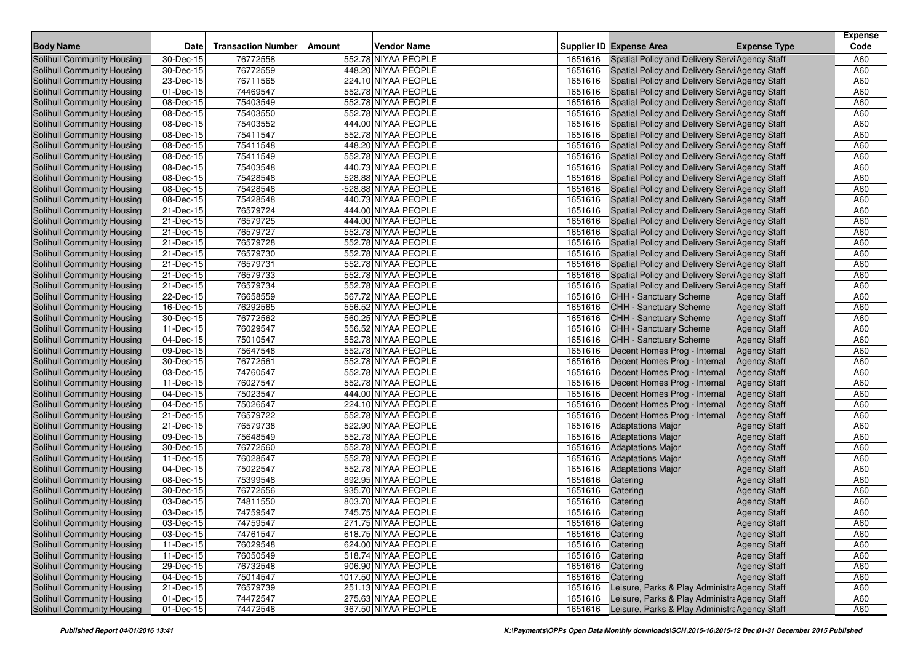| <b>Body Name</b>                                         | <b>Date</b>             | <b>Transaction Number</b> | Amount | <b>Vendor Name</b>                         |                    | <b>Supplier ID Expense Area</b>                       | <b>Expense Type</b>                        | <b>Expense</b><br>Code |
|----------------------------------------------------------|-------------------------|---------------------------|--------|--------------------------------------------|--------------------|-------------------------------------------------------|--------------------------------------------|------------------------|
| Solihull Community Housing                               | 30-Dec-15               | 76772558                  |        | 552.78 NIYAA PEOPLE                        | 1651616            | Spatial Policy and Delivery Servi Agency Staff        |                                            | A60                    |
| Solihull Community Housing                               | 30-Dec-15               | 76772559                  |        | 448.20 NIYAA PEOPLE                        | 1651616            | Spatial Policy and Delivery Servi Agency Staff        |                                            | A60                    |
| Solihull Community Housing                               | 23-Dec-15               | 76711565                  |        | 224.10 NIYAA PEOPLE                        | 1651616            | Spatial Policy and Delivery Servi Agency Staff        |                                            | A60                    |
| Solihull Community Housing                               | 01-Dec-15               | 74469547                  |        | 552.78 NIYAA PEOPLE                        | 1651616            | Spatial Policy and Delivery Servi Agency Staff        |                                            | A60                    |
| Solihull Community Housing                               | 08-Dec-15               | 75403549                  |        | 552.78 NIYAA PEOPLE                        | 1651616            | Spatial Policy and Delivery Servi Agency Staff        |                                            | A60                    |
| Solihull Community Housing                               | 08-Dec-15               | 75403550                  |        | 552.78 NIYAA PEOPLE                        | 1651616            | Spatial Policy and Delivery Servi Agency Staff        |                                            | A60                    |
| Solihull Community Housing                               | 08-Dec-15               | 75403552                  |        | 444.00 NIYAA PEOPLE                        | 1651616            | Spatial Policy and Delivery Servi Agency Staff        |                                            | A60                    |
| Solihull Community Housing                               | 08-Dec-15               | 75411547                  |        | 552.78 NIYAA PEOPLE                        | 1651616            | Spatial Policy and Delivery Servi Agency Staff        |                                            | A60                    |
| Solihull Community Housing                               | 08-Dec-15               | 75411548                  |        | 448.20 NIYAA PEOPLE                        | 1651616            | Spatial Policy and Delivery Servi Agency Staff        |                                            | A60                    |
| Solihull Community Housing                               | 08-Dec-15               | 75411549                  |        | 552.78 NIYAA PEOPLE                        | 1651616            | Spatial Policy and Delivery Servi Agency Staff        |                                            | A60                    |
| Solihull Community Housing                               | 08-Dec-15               | 75403548                  |        | 440.73 NIYAA PEOPLE                        | 1651616            | Spatial Policy and Delivery Servi Agency Staff        |                                            | A60                    |
| Solihull Community Housing                               | 08-Dec-15               | 75428548                  |        | 528.88 NIYAA PEOPLE                        | 1651616            | Spatial Policy and Delivery Servi Agency Staff        |                                            | A60                    |
| Solihull Community Housing                               | 08-Dec-15               | 75428548                  |        | -528.88 NIYAA PEOPLE                       | 1651616            | Spatial Policy and Delivery Servi Agency Staff        |                                            | A60                    |
| Solihull Community Housing                               | 08-Dec-15               | 75428548                  |        | 440.73 NIYAA PEOPLE                        | 1651616            | Spatial Policy and Delivery Servi Agency Staff        |                                            | A60                    |
| Solihull Community Housing                               | 21-Dec-15               | 76579724                  |        | 444.00 NIYAA PEOPLE                        | 1651616            | Spatial Policy and Delivery Servi Agency Staff        |                                            | A60                    |
| Solihull Community Housing                               | 21-Dec-15               | 76579725                  |        | 444.00 NIYAA PEOPLE                        | 1651616            | Spatial Policy and Delivery Servi Agency Staff        |                                            | A60                    |
| Solihull Community Housing                               | 21-Dec-15               | 76579727                  |        | 552.78 NIYAA PEOPLE                        | 1651616            | Spatial Policy and Delivery Servi Agency Staff        |                                            | A60                    |
| Solihull Community Housing                               | 21-Dec-15               | 76579728                  |        | 552.78 NIYAA PEOPLE                        | 1651616            | Spatial Policy and Delivery Servi Agency Staff        |                                            | A60                    |
| Solihull Community Housing                               | 21-Dec-15               | 76579730                  |        | 552.78 NIYAA PEOPLE                        | 1651616            | Spatial Policy and Delivery Servi Agency Staff        |                                            | A60                    |
| Solihull Community Housing                               | 21-Dec-15               | 76579731                  |        | 552.78 NIYAA PEOPLE                        | 1651616            | Spatial Policy and Delivery Servi Agency Staff        |                                            | A60                    |
| Solihull Community Housing                               | 21-Dec-15               | 76579733                  |        | 552.78 NIYAA PEOPLE                        | 1651616            | Spatial Policy and Delivery Servi Agency Staff        |                                            | A60                    |
| Solihull Community Housing                               | 21-Dec-15               | 76579734                  |        | 552.78 NIYAA PEOPLE                        | 1651616            | Spatial Policy and Delivery Servi Agency Staff        |                                            | A60                    |
| Solihull Community Housing                               | 22-Dec-15               | 76658559                  |        | 567.72 NIYAA PEOPLE                        | 1651616            | <b>CHH - Sanctuary Scheme</b>                         | <b>Agency Staff</b>                        | A60                    |
| Solihull Community Housing                               | 16-Dec-15               | 76292565                  |        | 556.52 NIYAA PEOPLE                        | 1651616            | <b>CHH - Sanctuary Scheme</b>                         | <b>Agency Staff</b>                        | A60                    |
| Solihull Community Housing                               | 30-Dec-15               | 76772562                  |        | 560.25 NIYAA PEOPLE                        | 1651616            | <b>CHH - Sanctuary Scheme</b>                         | <b>Agency Staff</b>                        | A60                    |
| Solihull Community Housing                               | 11-Dec-15               | 76029547                  |        | 556.52 NIYAA PEOPLE                        | 1651616            | <b>CHH - Sanctuary Scheme</b>                         | <b>Agency Staff</b>                        | A60                    |
| Solihull Community Housing                               | 04-Dec-15               | 75010547                  |        | 552.78 NIYAA PEOPLE                        | 1651616            | <b>CHH - Sanctuary Scheme</b>                         | <b>Agency Staff</b>                        | A60                    |
| Solihull Community Housing                               | 09-Dec-15               | 75647548                  |        | 552.78 NIYAA PEOPLE                        | 1651616            | Decent Homes Prog - Internal                          | <b>Agency Staff</b>                        | A60                    |
| Solihull Community Housing                               | 30-Dec-15               | 76772561                  |        | 552.78 NIYAA PEOPLE                        | 1651616            | Decent Homes Prog - Internal                          | <b>Agency Staff</b>                        | A60                    |
| Solihull Community Housing                               | 03-Dec-15               | 74760547                  |        | 552.78 NIYAA PEOPLE                        | 1651616            | Decent Homes Prog - Internal                          | <b>Agency Staff</b>                        | A60                    |
| Solihull Community Housing                               | 11-Dec-15               | 76027547                  |        | 552.78 NIYAA PEOPLE                        | 1651616            | Decent Homes Prog - Internal                          | <b>Agency Staff</b>                        | A60                    |
| Solihull Community Housing                               | 04-Dec-15               | 75023547                  |        | 444.00 NIYAA PEOPLE                        | 1651616            | Decent Homes Prog - Internal                          | <b>Agency Staff</b>                        | A60                    |
| Solihull Community Housing                               | 04-Dec-15               | 75026547                  |        | 224.10 NIYAA PEOPLE                        | 1651616            | Decent Homes Prog - Internal                          | <b>Agency Staff</b>                        | A60                    |
| Solihull Community Housing                               | 21-Dec-15               | 76579722                  |        | 552.78 NIYAA PEOPLE                        | 1651616            | Decent Homes Prog - Internal                          | <b>Agency Staff</b>                        | A60                    |
| Solihull Community Housing                               | 21-Dec-15               | 76579738                  |        | 522.90 NIYAA PEOPLE                        | 1651616            | <b>Adaptations Major</b>                              | <b>Agency Staff</b>                        | A60                    |
| Solihull Community Housing                               | 09-Dec-15               | 75648549                  |        | 552.78 NIYAA PEOPLE                        | 1651616            | <b>Adaptations Major</b>                              | <b>Agency Staff</b>                        | A60                    |
| Solihull Community Housing                               | 30-Dec-15               | 76772560<br>76028547      |        | 552.78 NIYAA PEOPLE<br>552.78 NIYAA PEOPLE | 1651616<br>1651616 | <b>Adaptations Major</b>                              | <b>Agency Staff</b>                        | A60<br>A60             |
| Solihull Community Housing<br>Solihull Community Housing | 11-Dec-15<br>04-Dec-15  | 75022547                  |        | 552.78 NIYAA PEOPLE                        | 1651616            | <b>Adaptations Major</b>                              | <b>Agency Staff</b>                        | A60                    |
| Solihull Community Housing                               | $\overline{08}$ -Dec-15 | 75399548                  |        | 892.95 NIYAA PEOPLE                        | 1651616            | <b>Adaptations Major</b><br>Catering                  | <b>Agency Staff</b><br><b>Agency Staff</b> | A60                    |
| Solihull Community Housing                               | 30-Dec-15               | 76772556                  |        | 935.70 NIYAA PEOPLE                        | 1651616            | Catering                                              | <b>Agency Staff</b>                        | A60                    |
| Solihull Community Housing                               | 03-Dec-15               | 74811550                  |        | 803.70 NIYAA PEOPLE                        | 1651616            | Catering                                              | <b>Agency Staff</b>                        | A60                    |
| Solihull Community Housing                               | 03-Dec-15               | 74759547                  |        | 745.75 NIYAA PEOPLE                        | 1651616 Catering   |                                                       | <b>Agency Staff</b>                        | A60                    |
| Solihull Community Housing                               | 03-Dec-15               | 74759547                  |        | 271.75 NIYAA PEOPLE                        | 1651616 Catering   |                                                       | <b>Agency Staff</b>                        | A60                    |
| Solihull Community Housing                               | 03-Dec-15               | 74761547                  |        | 618.75 NIYAA PEOPLE                        | 1651616 Catering   |                                                       | <b>Agency Staff</b>                        | A60                    |
| Solihull Community Housing                               | 11-Dec-15               | 76029548                  |        | 624.00 NIYAA PEOPLE                        | 1651616 Catering   |                                                       | <b>Agency Staff</b>                        | A60                    |
| Solihull Community Housing                               | 11-Dec-15               | 76050549                  |        | 518.74 NIYAA PEOPLE                        | 1651616 Catering   |                                                       | <b>Agency Staff</b>                        | A60                    |
| Solihull Community Housing                               | 29-Dec-15               | 76732548                  |        | 906.90 NIYAA PEOPLE                        | 1651616 Catering   |                                                       | <b>Agency Staff</b>                        | A60                    |
| Solihull Community Housing                               | 04-Dec-15               | 75014547                  |        | 1017.50 NIYAA PEOPLE                       | 1651616 Catering   |                                                       | <b>Agency Staff</b>                        | A60                    |
| Solihull Community Housing                               | 21-Dec-15               | 76579739                  |        | 251.13 NIYAA PEOPLE                        |                    | 1651616 Leisure, Parks & Play Administra Agency Staff |                                            | A60                    |
| Solihull Community Housing                               | $01$ -Dec-15            | 74472547                  |        | 275.63 NIYAA PEOPLE                        | 1651616            | Leisure, Parks & Play Administra Agency Staff         |                                            | A60                    |
| Solihull Community Housing                               | $01$ -Dec-15            | 74472548                  |        | 367.50 NIYAA PEOPLE                        | 1651616            | Leisure, Parks & Play Administra Agency Staff         |                                            | A60                    |
|                                                          |                         |                           |        |                                            |                    |                                                       |                                            |                        |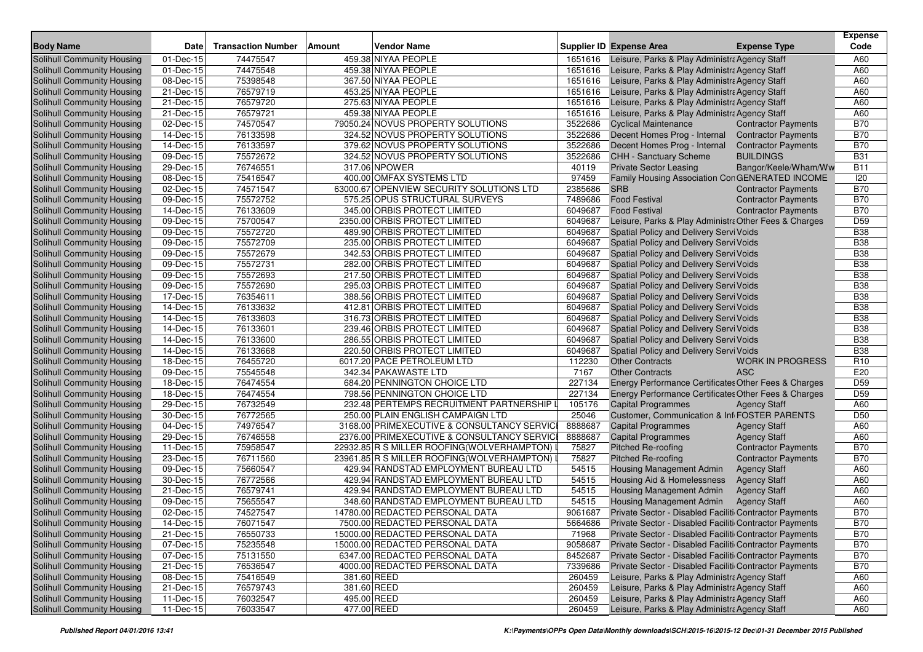| <b>Body Name</b>                  | <b>Date</b>             | <b>Transaction Number</b> | Amount      | <b>Vendor Name</b>                          |         | <b>Supplier ID Expense Area</b>                        | <b>Expense Type</b>        | <b>Expense</b><br>Code |
|-----------------------------------|-------------------------|---------------------------|-------------|---------------------------------------------|---------|--------------------------------------------------------|----------------------------|------------------------|
| Solihull Community Housing        | 01-Dec-15               | 74475547                  |             | 459.38 NIYAA PEOPLE                         | 1651616 | Leisure, Parks & Play Administra Agency Staff          |                            | A60                    |
| <b>Solihull Community Housing</b> | 01-Dec-15               | 74475548                  |             | 459.38 NIYAA PEOPLE                         | 1651616 | Leisure, Parks & Play Administra Agency Staff          |                            | A60                    |
| Solihull Community Housing        | 08-Dec-15               | 75398548                  |             | 367.50 NIYAA PEOPLE                         | 1651616 | Leisure, Parks & Play Administra Agency Staff          |                            | A60                    |
| Solihull Community Housing        | 21-Dec-15               | 76579719                  |             | 453.25 NIYAA PEOPLE                         | 1651616 | Leisure, Parks & Play Administra Agency Staff          |                            | A60                    |
| Solihull Community Housing        | 21-Dec-15               | 76579720                  |             | 275.63 NIYAA PEOPLE                         | 1651616 | Leisure, Parks & Play Administra Agency Staff          |                            | A60                    |
| Solihull Community Housing        | 21-Dec-15               | 76579721                  |             | 459.38 NIYAA PEOPLE                         | 1651616 | Leisure, Parks & Play Administra Agency Staff          |                            | A60                    |
| Solihull Community Housing        | $02$ -Dec-15            | 74570547                  |             | 79050.24 NOVUS PROPERTY SOLUTIONS           | 3522686 | <b>Cyclical Maintenance</b>                            | <b>Contractor Payments</b> | <b>B70</b>             |
| Solihull Community Housing        | 14-Dec-15               | 76133598                  |             | 324.52 NOVUS PROPERTY SOLUTIONS             | 3522686 | Decent Homes Prog - Internal                           | <b>Contractor Payments</b> | <b>B70</b>             |
| Solihull Community Housing        | 14-Dec-15               | 76133597                  |             | 379.62 NOVUS PROPERTY SOLUTIONS             | 3522686 | Decent Homes Prog - Internal                           | <b>Contractor Payments</b> | <b>B70</b>             |
| Solihull Community Housing        | 09-Dec-15               | 75572672                  |             | 324.52 NOVUS PROPERTY SOLUTIONS             | 3522686 | CHH - Sanctuary Scheme                                 | <b>BUILDINGS</b>           | <b>B31</b>             |
| Solihull Community Housing        | 29-Dec-15               | 76746551                  |             | 317.06 NPOWER                               | 40119   | <b>Private Sector Leasing</b>                          | Bangor/Keele/Wham/Ww       | <b>B11</b>             |
| Solihull Community Housing        | 08-Dec-15               | 75416547                  |             | 400.00 OMFAX SYSTEMS LTD                    | 97459   | Family Housing Association ConGENERATED INCOME         |                            | 120                    |
| Solihull Community Housing        | 02-Dec-15               | 74571547                  |             | 63000.67 OPENVIEW SECURITY SOLUTIONS LTD    | 2385686 | <b>SRB</b>                                             | <b>Contractor Payments</b> | <b>B70</b>             |
| Solihull Community Housing        | 09-Dec-15               | 75572752                  |             | 575.25 OPUS STRUCTURAL SURVEYS              | 7489686 | <b>Food Festival</b>                                   | <b>Contractor Payments</b> | <b>B70</b>             |
| Solihull Community Housing        | 14-Dec-15               | 76133609                  |             | 345.00 ORBIS PROTECT LIMITED                | 6049687 | <b>Food Festival</b>                                   | <b>Contractor Payments</b> | <b>B70</b>             |
| Solihull Community Housing        | 09-Dec-15               | 75700547                  |             | 2350.00 ORBIS PROTECT LIMITED               | 6049687 | Leisure, Parks & Play Administra Other Fees & Charges  |                            | D <sub>59</sub>        |
| Solihull Community Housing        | 09-Dec-15               | 75572720                  |             | 489.90 ORBIS PROTECT LIMITED                | 6049687 | Spatial Policy and Delivery Servi Voids                |                            | <b>B38</b>             |
| Solihull Community Housing        | 09-Dec-15               | 75572709                  |             | 235.00 ORBIS PROTECT LIMITED                | 6049687 | Spatial Policy and Delivery Servi Voids                |                            | <b>B</b> 38            |
| Solihull Community Housing        | 09-Dec-15               | 75572679                  |             | 342.53 ORBIS PROTECT LIMITED                | 6049687 | Spatial Policy and Delivery Servi Voids                |                            | <b>B38</b>             |
| Solihull Community Housing        | 09-Dec-15               | 75572731                  |             | 282.00 ORBIS PROTECT LIMITED                | 6049687 | Spatial Policy and Delivery Servi Voids                |                            | <b>B38</b>             |
| Solihull Community Housing        | 09-Dec-15               | 75572693                  |             | 217.50 ORBIS PROTECT LIMITED                | 6049687 | Spatial Policy and Delivery Servi Voids                |                            | <b>B38</b>             |
| Solihull Community Housing        | 09-Dec-15               | 75572690                  |             | 295.03 ORBIS PROTECT LIMITED                | 6049687 | Spatial Policy and Delivery Servi Voids                |                            | <b>B38</b>             |
| Solihull Community Housing        | 17-Dec-15               | 76354611                  |             | 388.56 ORBIS PROTECT LIMITED                | 6049687 | Spatial Policy and Delivery Servi Voids                |                            | <b>B38</b>             |
| Solihull Community Housing        | 14-Dec-15               | 76133632                  |             | 412.81 ORBIS PROTECT LIMITED                | 6049687 | Spatial Policy and Delivery Servi Voids                |                            | <b>B38</b>             |
| Solihull Community Housing        | 14-Dec-15               | 76133603                  |             | 316.73 ORBIS PROTECT LIMITED                | 6049687 | Spatial Policy and Delivery Servi Voids                |                            | <b>B38</b>             |
| Solihull Community Housing        | $\overline{14}$ -Dec-15 | 76133601                  |             | 239.46 ORBIS PROTECT LIMITED                | 6049687 | Spatial Policy and Delivery Servi Voids                |                            | <b>B38</b>             |
| Solihull Community Housing        | 14-Dec-15               | 76133600                  |             | 286.55 ORBIS PROTECT LIMITED                | 6049687 | Spatial Policy and Delivery Servi Voids                |                            | <b>B38</b>             |
| Solihull Community Housing        | 14-Dec-15               | 76133668                  |             | 220.50 ORBIS PROTECT LIMITED                | 6049687 | Spatial Policy and Delivery Servi Voids                |                            | <b>B38</b>             |
| Solihull Community Housing        | 18-Dec-15               | 76455720                  |             | 6017.20 PACE PETROLEUM LTD                  | 112230  | <b>Other Contracts</b>                                 | <b>WORK IN PROGRESS</b>    | R <sub>10</sub>        |
| Solihull Community Housing        | 09-Dec-15               | 75545548                  |             | 342.34 PAKAWASTE LTD                        | 7167    | <b>Other Contracts</b>                                 | <b>ASC</b>                 | E20                    |
| Solihull Community Housing        | 18-Dec-15               | 76474554                  |             | 684.20 PENNINGTON CHOICE LTD                | 227134  | Energy Performance Certificates Other Fees & Charges   |                            | D <sub>59</sub>        |
| Solihull Community Housing        | 18-Dec-15               | 76474554                  |             | 798.56 PENNINGTON CHOICE LTD                | 227134  | Energy Performance Certificates Other Fees & Charges   |                            | D <sub>59</sub>        |
| Solihull Community Housing        | 29-Dec-15               | 76732549                  |             | 232.48 PERTEMPS RECRUITMENT PARTNERSHIP     | 105176  | <b>Capital Programmes</b>                              | <b>Agency Staff</b>        | A60                    |
| Solihull Community Housing        | 30-Dec-15               | 76772565                  |             | 250.00 PLAIN ENGLISH CAMPAIGN LTD           | 25046   | Customer, Communication & Inf FOSTER PARENTS           |                            | D <sub>50</sub>        |
| Solihull Community Housing        | 04-Dec-15               | 74976547                  |             | 3168.00 PRIMEXECUTIVE & CONSULTANCY SERVIC  | 8888687 | <b>Capital Programmes</b>                              | <b>Agency Staff</b>        | A60                    |
| Solihull Community Housing        | 29-Dec-15               | 76746558                  |             | 2376.00 PRIMEXECUTIVE & CONSULTANCY SERVIC  | 8888687 | <b>Capital Programmes</b>                              | <b>Agency Staff</b>        | A60                    |
| Solihull Community Housing        | 11-Dec-15               | 75958547                  |             | 22932.85 R S MILLER ROOFING (WOLVERHAMPTON) | 75827   | <b>Pitched Re-roofing</b>                              | <b>Contractor Payments</b> | <b>B70</b>             |
| Solihull Community Housing        | 23-Dec-15               | 76711560                  |             | 23961.85 R S MILLER ROOFING(WOLVERHAMPTON)  | 75827   | Pitched Re-roofing                                     | <b>Contractor Payments</b> | <b>B70</b>             |
| Solihull Community Housing        | 09-Dec-15               | 75660547                  |             | 429.94 RANDSTAD EMPLOYMENT BUREAU LTD       | 54515   | Housing Management Admin                               | <b>Agency Staff</b>        | A60                    |
| Solihull Community Housing        | 30-Dec-15               | 76772566                  |             | 429.94 RANDSTAD EMPLOYMENT BUREAU LTD       | 54515   | Housing Aid & Homelessness                             | <b>Agency Staff</b>        | A60                    |
| Solihull Community Housing        | 21-Dec-15               | 76579741                  |             | 429.94 RANDSTAD EMPLOYMENT BUREAU LTD       | 54515   | Housing Management Admin                               | <b>Agency Staff</b>        | A60                    |
| Solihull Community Housing        | 09-Dec-15               | 75655547                  |             | 348.60 RANDSTAD EMPLOYMENT BUREAU LTD       | 54515   | Housing Management Admin                               | <b>Agency Staff</b>        | A60                    |
| Solihull Community Housing        | 02-Dec-15               | 74527547                  |             | 14780.00 REDACTED PERSONAL DATA             | 9061687 | Private Sector - Disabled Faciliti Contractor Payments |                            | <b>B70</b>             |
| Solihull Community Housing        | 14-Dec-15               | 76071547                  |             | 7500.00 REDACTED PERSONAL DATA              | 5664686 | Private Sector - Disabled Faciliti Contractor Payments |                            | <b>B70</b>             |
| Solihull Community Housing        | 21-Dec-15               | 76550733                  |             | 15000.00 REDACTED PERSONAL DATA             | 71968   | Private Sector - Disabled Faciliti Contractor Payments |                            | <b>B70</b>             |
| Solihull Community Housing        | 07-Dec-15               | 75235548                  |             | 15000.00 REDACTED PERSONAL DATA             | 9058687 | Private Sector - Disabled Faciliti Contractor Payments |                            | <b>B70</b>             |
| Solihull Community Housing        | 07-Dec-15               | 75131550                  |             | 6347.00 REDACTED PERSONAL DATA              | 8452687 | Private Sector - Disabled Faciliti Contractor Payments |                            | <b>B70</b>             |
| Solihull Community Housing        | 21-Dec-15               | 76536547                  |             | 4000.00 REDACTED PERSONAL DATA              | 7339686 | Private Sector - Disabled Faciliti Contractor Payments |                            | <b>B70</b>             |
| Solihull Community Housing        | 08-Dec-15               | 75416549                  | 381.60 REED |                                             | 260459  | Leisure, Parks & Play Administra Agency Staff          |                            | A60                    |
| Solihull Community Housing        | 21-Dec-15               | 76579743                  | 381.60 REED |                                             | 260459  | Leisure, Parks & Play Administra Agency Staff          |                            | A60                    |
| Solihull Community Housing        | 11-Dec-15               | 76032547                  | 495.00 REED |                                             | 260459  | Leisure, Parks & Play Administra Agency Staff          |                            | A60                    |
| Solihull Community Housing        | $11$ -Dec-15            | 76033547                  | 477.00 REED |                                             | 260459  | Leisure, Parks & Play Administra Agency Staff          |                            | A60                    |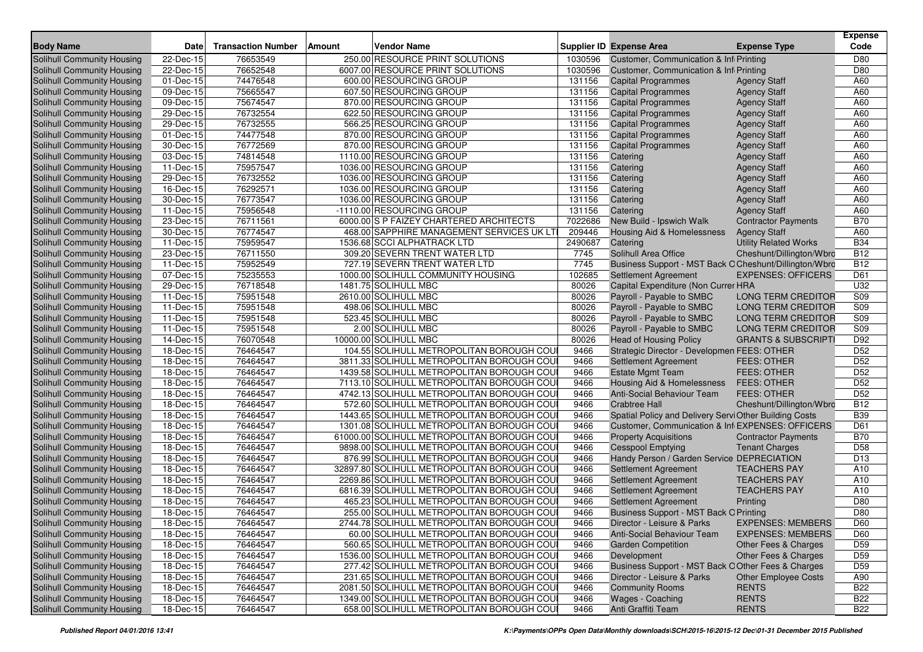| <b>Body Name</b>                  | <b>Date</b>     | <b>Transaction Number</b> | <b>Amount</b> | <b>Vendor Name</b>                         |         | <b>Supplier ID Expense Area</b>                        | <b>Expense Type</b>            | <b>Expense</b><br>Code |
|-----------------------------------|-----------------|---------------------------|---------------|--------------------------------------------|---------|--------------------------------------------------------|--------------------------------|------------------------|
| <b>Solihull Community Housing</b> | 22-Dec-15       | 76653549                  |               | 250.00 RESOURCE PRINT SOLUTIONS            | 1030596 | Customer, Communication & Inf Printing                 |                                | D80                    |
| Solihull Community Housing        | 22-Dec-15       | 76652548                  |               | 6007.00 RESOURCE PRINT SOLUTIONS           | 1030596 | Customer, Communication & Infi Printing                |                                | D80                    |
| Solihull Community Housing        | 01-Dec-15       | 74476548                  |               | 600.00 RESOURCING GROUP                    | 131156  | <b>Capital Programmes</b>                              | <b>Agency Staff</b>            | A60                    |
| Solihull Community Housing        | 09-Dec-15       | 75665547                  |               | 607.50 RESOURCING GROUP                    | 131156  | <b>Capital Programmes</b>                              | <b>Agency Staff</b>            | A60                    |
| Solihull Community Housing        | 09-Dec-15       | 75674547                  |               | 870.00 RESOURCING GROUP                    | 131156  | <b>Capital Programmes</b>                              | <b>Agency Staff</b>            | A60                    |
| Solihull Community Housing        | $29-Dec-15$     | 76732554                  |               | 622.50 RESOURCING GROUP                    | 131156  | <b>Capital Programmes</b>                              | <b>Agency Staff</b>            | A60                    |
| Solihull Community Housing        | 29-Dec-15       | 76732555                  |               | 566.25 RESOURCING GROUP                    | 131156  | <b>Capital Programmes</b>                              | <b>Agency Staff</b>            | A60                    |
| Solihull Community Housing        | 01-Dec-15       | 74477548                  |               | 870.00 RESOURCING GROUP                    | 131156  | <b>Capital Programmes</b>                              | <b>Agency Staff</b>            | A60                    |
| Solihull Community Housing        | 30-Dec-15       | 76772569                  |               | 870.00 RESOURCING GROUP                    | 131156  | <b>Capital Programmes</b>                              | <b>Agency Staff</b>            | A60                    |
| Solihull Community Housing        | 03-Dec-15       | 74814548                  |               | 1110.00 RESOURCING GROUP                   | 131156  | Catering                                               | <b>Agency Staff</b>            | A60                    |
| Solihull Community Housing        | 11-Dec-15       | 75957547                  |               | 1036.00 RESOURCING GROUP                   | 131156  | Catering                                               | <b>Agency Staff</b>            | A60                    |
| Solihull Community Housing        | 29-Dec-15       | 76732552                  |               | 1036.00 RESOURCING GROUP                   | 131156  | Catering                                               | <b>Agency Staff</b>            | A60                    |
| Solihull Community Housing        | 16-Dec-15       | 76292571                  |               | 1036.00 RESOURCING GROUP                   | 131156  | Catering                                               | <b>Agency Staff</b>            | A60                    |
| Solihull Community Housing        | 30-Dec-15       | 76773547                  |               | 1036.00 RESOURCING GROUP                   | 131156  | Catering                                               | <b>Agency Staff</b>            | A60                    |
| Solihull Community Housing        | 11-Dec-15       | 75956548                  |               | -1110.00 RESOURCING GROUP                  | 131156  | Catering                                               | <b>Agency Staff</b>            | A60                    |
| Solihull Community Housing        | 23-Dec-15       | 76711561                  |               | 6000.00 S P FAIZEY CHARTERED ARCHITECTS    | 7022686 | New Build - Ipswich Walk                               | <b>Contractor Payments</b>     | <b>B70</b>             |
| Solihull Community Housing        | 30-Dec-15       | 76774547                  |               | 468.00 SAPPHIRE MANAGEMENT SERVICES UK LTI | 209446  | Housing Aid & Homelessness                             | <b>Agency Staff</b>            | A60                    |
| Solihull Community Housing        | 11-Dec-15       | 75959547                  |               | 1536.68 SCCI ALPHATRACK LTD                | 2490687 | Catering                                               | <b>Utility Related Works</b>   | <b>B34</b>             |
| Solihull Community Housing        | 23-Dec-15       | 76711550                  |               | 309.20 SEVERN TRENT WATER LTD              | 7745    | Solihull Area Office                                   | Cheshunt/Dillington/Wbro       | <b>B12</b>             |
| Solihull Community Housing        | 11-Dec-15       | 75952549                  |               | 727.19 SEVERN TRENT WATER LTD              | 7745    | Business Support - MST Back O Cheshunt/Dillington/Wbro |                                | <b>B12</b>             |
| Solihull Community Housing        | 07-Dec-15       | 75235553                  |               | 1000.00 SOLIHULL COMMUNITY HOUSING         | 102685  | <b>Settlement Agreement</b>                            | <b>EXPENSES: OFFICERS</b>      | D61                    |
| Solihull Community Housing        | 29-Dec-15       | 76718548                  |               | 1481.75 SOLIHULL MBC                       | 80026   | Capital Expenditure (Non Currer HRA                    |                                | U32                    |
| Solihull Community Housing        | 11-Dec-15       | 75951548                  |               | 2610.00 SOLIHULL MBC                       | 80026   | Payroll - Payable to SMBC                              | <b>LONG TERM CREDITOR</b>      | S09                    |
| Solihull Community Housing        | 11-Dec-15       | 75951548                  |               | 498.06 SOLIHULL MBC                        | 80026   | Payroll - Payable to SMBC                              | <b>LONG TERM CREDITOR</b>      | S09                    |
| Solihull Community Housing        | 11-Dec-15       | 75951548                  |               | 523.45 SOLIHULL MBC                        | 80026   | Payroll - Payable to SMBC                              | <b>LONG TERM CREDITOR</b>      | S09                    |
| Solihull Community Housing        | 11-Dec-15       | 75951548                  |               | 2.00 SOLIHULL MBC                          | 80026   | Payroll - Payable to SMBC                              | <b>LONG TERM CREDITOR</b>      | S <sub>09</sub>        |
| Solihull Community Housing        | 14-Dec-15       | 76070548                  |               | 10000.00 SOLIHULL MBC                      | 80026   | <b>Head of Housing Policy</b>                          | <b>GRANTS &amp; SUBSCRIPTI</b> | D92                    |
| Solihull Community Housing        | 18-Dec-15       | 76464547                  |               | 104.55 SOLIHULL METROPOLITAN BOROUGH COU   | 9466    | Strategic Director - Developmen FEES: OTHER            |                                | D <sub>52</sub>        |
| Solihull Community Housing        | 18-Dec-15       | 76464547                  |               | 3811.33 SOLIHULL METROPOLITAN BOROUGH COU  | 9466    | Settlement Agreement                                   | <b>FEES: OTHER</b>             | D <sub>52</sub>        |
| Solihull Community Housing        | 18-Dec-15       | 76464547                  |               | 1439.58 SOLIHULL METROPOLITAN BOROUGH COU  | 9466    | <b>Estate Mgmt Team</b>                                | <b>FEES: OTHER</b>             | D52                    |
| Solihull Community Housing        | 18-Dec-15       | 76464547                  |               | 7113.10 SOLIHULL METROPOLITAN BOROUGH COU  | 9466    | Housing Aid & Homelessness                             | <b>FEES: OTHER</b>             | D <sub>52</sub>        |
| Solihull Community Housing        | 18-Dec-15       | 76464547                  |               | 4742.13 SOLIHULL METROPOLITAN BOROUGH COU  | 9466    | Anti-Social Behaviour Team                             | <b>FEES: OTHER</b>             | D <sub>52</sub>        |
| Solihull Community Housing        | 18-Dec-15       | 76464547                  |               | 572.60 SOLIHULL METROPOLITAN BOROUGH COU   | 9466    | <b>Crabtree Hall</b>                                   | Cheshunt/Dillington/Wbro       | <b>B12</b>             |
| Solihull Community Housing        | 18-Dec-15       | 76464547                  |               | 1443.65 SOLIHULL METROPOLITAN BOROUGH COU  | 9466    | Spatial Policy and Delivery ServiOther Building Costs  |                                | <b>B39</b>             |
| Solihull Community Housing        | 18-Dec-15       | 76464547                  |               | 1301.08 SOLIHULL METROPOLITAN BOROUGH COU  | 9466    | Customer, Communication & Inf EXPENSES: OFFICERS       |                                | D61                    |
| Solihull Community Housing        | 18-Dec-15       | 76464547                  |               | 61000.00 SOLIHULL METROPOLITAN BOROUGH COU | 9466    | <b>Property Acquisitions</b>                           | <b>Contractor Payments</b>     | <b>B70</b>             |
| Solihull Community Housing        | 18-Dec-15       | 76464547                  |               | 9898.00 SOLIHULL METROPOLITAN BOROUGH COU  | 9466    | <b>Cesspool Emptying</b>                               | <b>Tenant Charges</b>          | D <sub>58</sub>        |
| Solihull Community Housing        | 18-Dec-15       | 76464547                  |               | 876.99 SOLIHULL METROPOLITAN BOROUGH COU   | 9466    | Handy Person / Garden Service DEPRECIATION             |                                | D <sub>13</sub>        |
| Solihull Community Housing        | $18 - Dec - 15$ | 76464547                  |               | 32897.80 SOLIHULL METROPOLITAN BOROUGH COU | 9466    | <b>Settlement Agreement</b>                            | <b>TEACHERS PAY</b>            | A10                    |
| Solihull Community Housing        | 18-Dec-15       | 76464547                  |               | 2269.86 SOLIHULL METROPOLITAN BOROUGH COU  | 9466    | Settlement Agreement                                   | <b>TEACHERS PAY</b>            | A10                    |
| Solihull Community Housing        | 18-Dec-15       | 76464547                  |               | 6816.39 SOLIHULL METROPOLITAN BOROUGH COU  | 9466    | Settlement Agreement                                   | <b>TEACHERS PAY</b>            | A10                    |
| <b>Solihull Community Housing</b> | 18-Dec-15       | 76464547                  |               | 465.23 SOLIHULL METROPOLITAN BOROUGH COU   | 9466    | Settlement Agreement                                   | Printing                       | D80                    |
| Solihull Community Housing        | 18-Dec-15       | 76464547                  |               | 255.00 SOLIHULL METROPOLITAN BOROUGH COU   | 9466    | Business Support - MST Back O Printing                 |                                | D80                    |
| <b>Solihull Community Housing</b> | 18-Dec-15       | 76464547                  |               | 2744.78 SOLIHULL METROPOLITAN BOROUGH COU  | 9466    | Director - Leisure & Parks                             | <b>EXPENSES: MEMBERS</b>       | D60                    |
| Solihull Community Housing        | 18-Dec-15       | 76464547                  |               | 60.00 SOLIHULL METROPOLITAN BOROUGH COU    | 9466    | Anti-Social Behaviour Team                             | <b>EXPENSES: MEMBERS</b>       | D60                    |
| Solihull Community Housing        | 18-Dec-15       | 76464547                  |               | 560.65 SOLIHULL METROPOLITAN BOROUGH COU   | 9466    | <b>Garden Competition</b>                              | Other Fees & Charges           | D <sub>59</sub>        |
| Solihull Community Housing        | 18-Dec-15       | 76464547                  |               | 1536.00 SOLIHULL METROPOLITAN BOROUGH COUI | 9466    | Development                                            | Other Fees & Charges           | D <sub>59</sub>        |
| Solihull Community Housing        | 18-Dec-15       | 76464547                  |               | 277.42 SOLIHULL METROPOLITAN BOROUGH COU   | 9466    | Business Support - MST Back O Other Fees & Charges     |                                | D <sub>59</sub>        |
| Solihull Community Housing        | 18-Dec-15       | 76464547                  |               | 231.65 SOLIHULL METROPOLITAN BOROUGH COU   | 9466    | Director - Leisure & Parks                             | <b>Other Employee Costs</b>    | A90                    |
| Solihull Community Housing        | 18-Dec-15       | 76464547                  |               | 2081.50 SOLIHULL METROPOLITAN BOROUGH COUI | 9466    | <b>Community Rooms</b>                                 | <b>RENTS</b>                   | <b>B22</b>             |
| Solihull Community Housing        | $18 - Dec-15$   | 76464547                  |               | 1349.00 SOLIHULL METROPOLITAN BOROUGH COUI | 9466    | Wages - Coaching                                       | <b>RENTS</b>                   | <b>B22</b>             |
| Solihull Community Housing        | 18-Dec-15       | 76464547                  |               | 658.00 SOLIHULL METROPOLITAN BOROUGH COU   | 9466    | Anti Graffiti Team                                     | <b>RENTS</b>                   | <b>B22</b>             |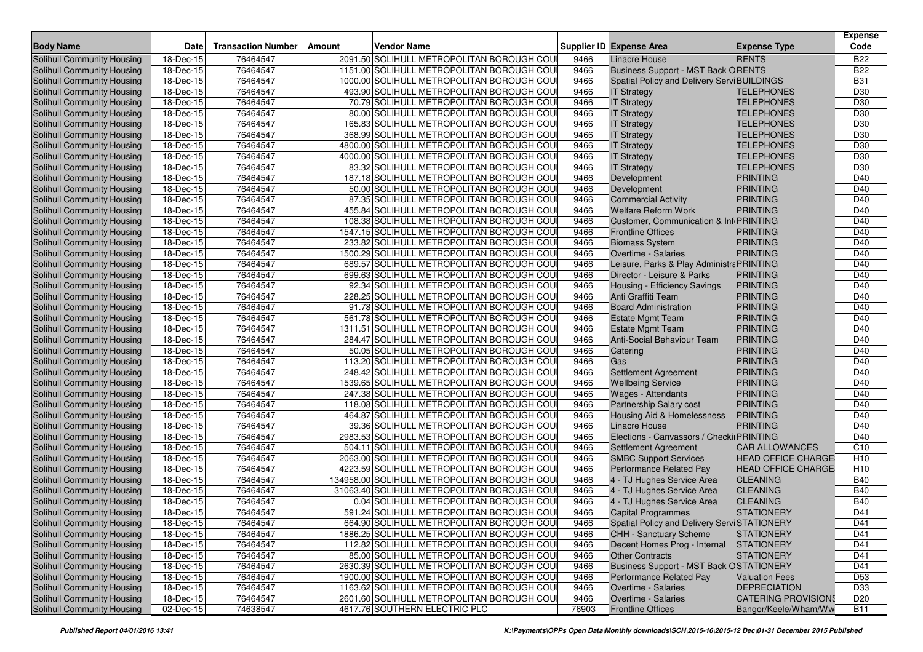| <b>Body Name</b>                                         | Date                         | <b>Transaction Number</b> | Vendor Name<br>Amount |                                                                                        |              |                                                                   |                                     | <b>Expense</b><br>Code |
|----------------------------------------------------------|------------------------------|---------------------------|-----------------------|----------------------------------------------------------------------------------------|--------------|-------------------------------------------------------------------|-------------------------------------|------------------------|
|                                                          |                              |                           |                       |                                                                                        |              | <b>Supplier ID Expense Area</b><br><b>Linacre House</b>           | <b>Expense Type</b><br><b>RENTS</b> | <b>B22</b>             |
| Solihull Community Housing<br>Solihull Community Housing | 18-Dec-15                    | 76464547<br>76464547      |                       | 2091.50 SOLIHULL METROPOLITAN BOROUGH COU<br>1151.00 SOLIHULL METROPOLITAN BOROUGH COU | 9466         |                                                                   |                                     | <b>B22</b>             |
|                                                          | 18-Dec-15                    |                           |                       |                                                                                        | 9466         | <b>Business Support - MST Back ORENTS</b>                         |                                     | <b>B31</b>             |
| Solihull Community Housing<br>Solihull Community Housing | 18-Dec-15<br>$18 - Dec - 15$ | 76464547<br>76464547      |                       | 1000.00 SOLIHULL METROPOLITAN BOROUGH COU<br>493.90 SOLIHULL METROPOLITAN BOROUGH COU  | 9466<br>9466 | Spatial Policy and Delivery Servi BUILDINGS<br><b>IT Strategy</b> | <b>TELEPHONES</b>                   | D <sub>30</sub>        |
|                                                          | 18-Dec-15                    | 76464547                  |                       | 70.79 SOLIHULL METROPOLITAN BOROUGH COU                                                | 9466         |                                                                   | <b>TELEPHONES</b>                   | D30                    |
| Solihull Community Housing<br>Solihull Community Housing | 18-Dec-15                    | 76464547                  |                       | 80.00 SOLIHULL METROPOLITAN BOROUGH COU                                                | 9466         | <b>IT Strategy</b><br><b>IT Strategy</b>                          | <b>TELEPHONES</b>                   | D30                    |
| Solihull Community Housing                               | 18-Dec-15                    | 76464547                  |                       | 165.83 SOLIHULL METROPOLITAN BOROUGH COU                                               | 9466         | <b>IT Strategy</b>                                                | <b>TELEPHONES</b>                   | D <sub>30</sub>        |
| Solihull Community Housing                               | 18-Dec-15                    | 76464547                  |                       | 368.99 SOLIHULL METROPOLITAN BOROUGH COU                                               | 9466         | <b>IT Strategy</b>                                                | <b>TELEPHONES</b>                   | D <sub>30</sub>        |
| Solihull Community Housing                               | 18-Dec-15                    | 76464547                  |                       | 4800.00 SOLIHULL METROPOLITAN BOROUGH COU                                              | 9466         | <b>IT Strategy</b>                                                | <b>TELEPHONES</b>                   | D30                    |
| Solihull Community Housing                               | 18-Dec-15                    | 76464547                  |                       | 4000.00 SOLIHULL METROPOLITAN BOROUGH COU                                              | 9466         | <b>IT Strategy</b>                                                | <b>TELEPHONES</b>                   | D30                    |
| Solihull Community Housing                               | 18-Dec-15                    | 76464547                  |                       | 83.32 SOLIHULL METROPOLITAN BOROUGH COU                                                | 9466         | <b>IT Strategy</b>                                                | <b>TELEPHONES</b>                   | D <sub>30</sub>        |
| Solihull Community Housing                               | 18-Dec-15                    | 76464547                  |                       | 187.18 SOLIHULL METROPOLITAN BOROUGH COU                                               | 9466         | Development                                                       | <b>PRINTING</b>                     | D40                    |
| Solihull Community Housing                               | 18-Dec-15                    | 76464547                  |                       | 50.00 SOLIHULL METROPOLITAN BOROUGH COU                                                | 9466         | Development                                                       | <b>PRINTING</b>                     | D40                    |
| Solihull Community Housing                               | 18-Dec-15                    | 76464547                  |                       | 87.35 SOLIHULL METROPOLITAN BOROUGH COU                                                | 9466         | <b>Commercial Activity</b>                                        | <b>PRINTING</b>                     | D40                    |
| Solihull Community Housing                               | 18-Dec-15                    | 76464547                  |                       | 455.84 SOLIHULL METROPOLITAN BOROUGH COU                                               | 9466         | <b>Welfare Reform Work</b>                                        | <b>PRINTING</b>                     | D40                    |
| Solihull Community Housing                               | 18-Dec-15                    | 76464547                  |                       | 108.38 SOLIHULL METROPOLITAN BOROUGH COU                                               | 9466         | Customer, Communication & Inf PRINTING                            |                                     | D40                    |
| Solihull Community Housing                               | 18-Dec-15                    | 76464547                  |                       | 1547.15 SOLIHULL METROPOLITAN BOROUGH COU                                              | 9466         | <b>Frontline Offices</b>                                          | <b>PRINTING</b>                     | D40                    |
| Solihull Community Housing                               | 18-Dec-15                    | 76464547                  |                       | 233.82 SOLIHULL METROPOLITAN BOROUGH COU                                               | 9466         | <b>Biomass System</b>                                             | <b>PRINTING</b>                     | D40                    |
| Solihull Community Housing                               | 18-Dec-15                    | 76464547                  |                       | 1500.29 SOLIHULL METROPOLITAN BOROUGH COU                                              | 9466         | Overtime - Salaries                                               | <b>PRINTING</b>                     | D40                    |
| Solihull Community Housing                               | 18-Dec-15                    | 76464547                  |                       | 689.57 SOLIHULL METROPOLITAN BOROUGH COU                                               | 9466         | Leisure, Parks & Play Administra PRINTING                         |                                     | D40                    |
| Solihull Community Housing                               | 18-Dec-15                    | 76464547                  |                       | 699.63 SOLIHULL METROPOLITAN BOROUGH COU                                               | 9466         | Director - Leisure & Parks                                        | <b>PRINTING</b>                     | D40                    |
| Solihull Community Housing                               | 18-Dec-15                    | 76464547                  |                       | 92.34 SOLIHULL METROPOLITAN BOROUGH COU                                                | 9466         | Housing - Efficiency Savings                                      | <b>PRINTING</b>                     | D40                    |
| Solihull Community Housing                               | 18-Dec-15                    | 76464547                  |                       | 228.25 SOLIHULL METROPOLITAN BOROUGH COU                                               | 9466         | Anti Graffiti Team                                                | <b>PRINTING</b>                     | D40                    |
| Solihull Community Housing                               | 18-Dec-15                    | 76464547                  |                       | 91.78 SOLIHULL METROPOLITAN BOROUGH COU                                                | 9466         | <b>Board Administration</b>                                       | <b>PRINTING</b>                     | D40                    |
| Solihull Community Housing                               | 18-Dec-15                    | 76464547                  |                       | 561.78 SOLIHULL METROPOLITAN BOROUGH COU                                               | 9466         | <b>Estate Mgmt Team</b>                                           | <b>PRINTING</b>                     | D40                    |
| Solihull Community Housing                               | 18-Dec-15                    | 76464547                  |                       | 1311.51 SOLIHULL METROPOLITAN BOROUGH COU                                              | 9466         | <b>Estate Mgmt Team</b>                                           | <b>PRINTING</b>                     | D40                    |
| Solihull Community Housing                               | 18-Dec-15                    | 76464547                  |                       | 284.47 SOLIHULL METROPOLITAN BOROUGH COU                                               | 9466         | <b>Anti-Social Behaviour Team</b>                                 | <b>PRINTING</b>                     | D40                    |
| Solihull Community Housing                               | 18-Dec-15                    | 76464547                  |                       | 50.05 SOLIHULL METROPOLITAN BOROUGH COU                                                | 9466         | Catering                                                          | <b>PRINTING</b>                     | D40                    |
| Solihull Community Housing                               | $18 - Dec - 15$              | 76464547                  |                       | 113.20 SOLIHULL METROPOLITAN BOROUGH COU                                               | 9466         | Gas                                                               | <b>PRINTING</b>                     | D40                    |
| Solihull Community Housing                               | 18-Dec-15                    | 76464547                  |                       | 248.42 SOLIHULL METROPOLITAN BOROUGH COU                                               | 9466         | <b>Settlement Agreement</b>                                       | <b>PRINTING</b>                     | D40                    |
| Solihull Community Housing                               | 18-Dec-15                    | 76464547                  |                       | 1539.65 SOLIHULL METROPOLITAN BOROUGH COU                                              | 9466         | <b>Wellbeing Service</b>                                          | <b>PRINTING</b>                     | D40                    |
| Solihull Community Housing                               | 18-Dec-15                    | 76464547                  |                       | 247.38 SOLIHULL METROPOLITAN BOROUGH COU                                               | 9466         | <b>Wages - Attendants</b>                                         | <b>PRINTING</b>                     | D40                    |
| Solihull Community Housing                               | 18-Dec-15                    | 76464547                  |                       | 118.08 SOLIHULL METROPOLITAN BOROUGH COU                                               | 9466         | Partnership Salary cost                                           | <b>PRINTING</b>                     | D40                    |
| Solihull Community Housing                               | 18-Dec-15                    | 76464547                  |                       | 464.87 SOLIHULL METROPOLITAN BOROUGH COU                                               | 9466         | Housing Aid & Homelessness                                        | <b>PRINTING</b>                     | D40                    |
| Solihull Community Housing                               | 18-Dec-15                    | 76464547                  |                       | 39.36 SOLIHULL METROPOLITAN BOROUGH COU                                                | 9466         | <b>Linacre House</b>                                              | <b>PRINTING</b>                     | D40                    |
| Solihull Community Housing                               | 18-Dec-15                    | 76464547                  |                       | 2983.53 SOLIHULL METROPOLITAN BOROUGH COU                                              | 9466         | Elections - Canvassors / Checki PRINTING                          |                                     | D40                    |
| Solihull Community Housing                               | 18-Dec-15                    | 76464547                  |                       | 504.11 SOLIHULL METROPOLITAN BOROUGH COU                                               | 9466         | Settlement Agreement                                              | <b>CAR ALLOWANCES</b>               | C <sub>10</sub>        |
| Solihull Community Housing                               | 18-Dec-15                    | 76464547                  |                       | 2063.00 SOLIHULL METROPOLITAN BOROUGH COU                                              | 9466         | <b>SMBC Support Services</b>                                      | <b>HEAD OFFICE CHARGE</b>           | H <sub>10</sub>        |
| Solihull Community Housing                               | 18-Dec-15                    | 76464547                  |                       | 4223.59 SOLIHULL METROPOLITAN BOROUGH COU                                              | 9466         | Performance Related Pay                                           | <b>HEAD OFFICE CHARGE</b>           | H <sub>10</sub>        |
| Solihull Community Housing                               | 18-Dec-15                    | 76464547                  |                       | 134958.00 SOLIHULL METROPOLITAN BOROUGH COU                                            | 9466         | 4 - TJ Hughes Service Area                                        | <b>CLEANING</b>                     | <b>B40</b>             |
| Solihull Community Housing                               | 18-Dec-15                    | 76464547                  |                       | 31063.40 SOLIHULL METROPOLITAN BOROUGH COU                                             | 9466         | 4 - TJ Hughes Service Area                                        | <b>CLEANING</b>                     | <b>B40</b>             |
| Solihull Community Housing                               | 18-Dec-15                    | 76464547                  |                       | 0.04 SOLIHULL METROPOLITAN BOROUGH COU                                                 | 9466         | 4 - TJ Hughes Service Area                                        | <b>CLEANING</b>                     | <b>B40</b>             |
| Solihull Community Housing                               | 18-Dec-15                    | 76464547                  |                       | 591.24 SOLIHULL METROPOLITAN BOROUGH COU                                               | 9466         | <b>Capital Programmes</b>                                         | <b>STATIONERY</b>                   | D41                    |
| Solihull Community Housing                               | 18-Dec-15                    | 76464547                  |                       | 664.90 SOLIHULL METROPOLITAN BOROUGH COU                                               | 9466         | Spatial Policy and Delivery Servi STATIONERY                      |                                     | D41                    |
| Solihull Community Housing                               | 18-Dec-15                    | 76464547                  |                       | 1886.25 SOLIHULL METROPOLITAN BOROUGH COU                                              | 9466         | <b>CHH - Sanctuary Scheme</b>                                     | <b>STATIONERY</b>                   | D41                    |
| Solihull Community Housing                               | $\overline{18}$ -Dec-15      | 76464547                  |                       | 112.82 SOLIHULL METROPOLITAN BOROUGH COU                                               | 9466         | Decent Homes Prog - Internal                                      | <b>STATIONERY</b>                   | D41                    |
| Solihull Community Housing                               | 18-Dec-15                    | 76464547                  |                       | 85.00 SOLIHULL METROPOLITAN BOROUGH COUI                                               | 9466         | <b>Other Contracts</b>                                            | <b>STATIONERY</b>                   | D41                    |
| Solihull Community Housing                               | 18-Dec-15                    | 76464547                  |                       | 2630.39 SOLIHULL METROPOLITAN BOROUGH COUI                                             | 9466         | <b>Business Support - MST Back OSTATIONERY</b>                    |                                     | D41                    |
| Solihull Community Housing                               | 18-Dec-15                    | 76464547                  |                       | 1900.00 SOLIHULL METROPOLITAN BOROUGH COU                                              | 9466         | Performance Related Pay                                           | <b>Valuation Fees</b>               | D <sub>53</sub>        |
| Solihull Community Housing                               | 18-Dec-15                    | 76464547                  |                       | 1163.62 SOLIHULL METROPOLITAN BOROUGH COU                                              | 9466         | Overtime - Salaries                                               | <b>DEPRECIATION</b>                 | D33                    |
| Solihull Community Housing                               | 18-Dec-15                    | 76464547                  |                       | 2601.60 SOLIHULL METROPOLITAN BOROUGH COUI                                             | 9466         | Overtime - Salaries                                               | <b>CATERING PROVISIONS</b>          | D <sub>20</sub>        |
| Solihull Community Housing                               | 02-Dec-15                    | 74638547                  |                       | 4617.76 SOUTHERN ELECTRIC PLC                                                          | 76903        | <b>Frontline Offices</b>                                          | Bangor/Keele/Wham/Ww                | <b>B11</b>             |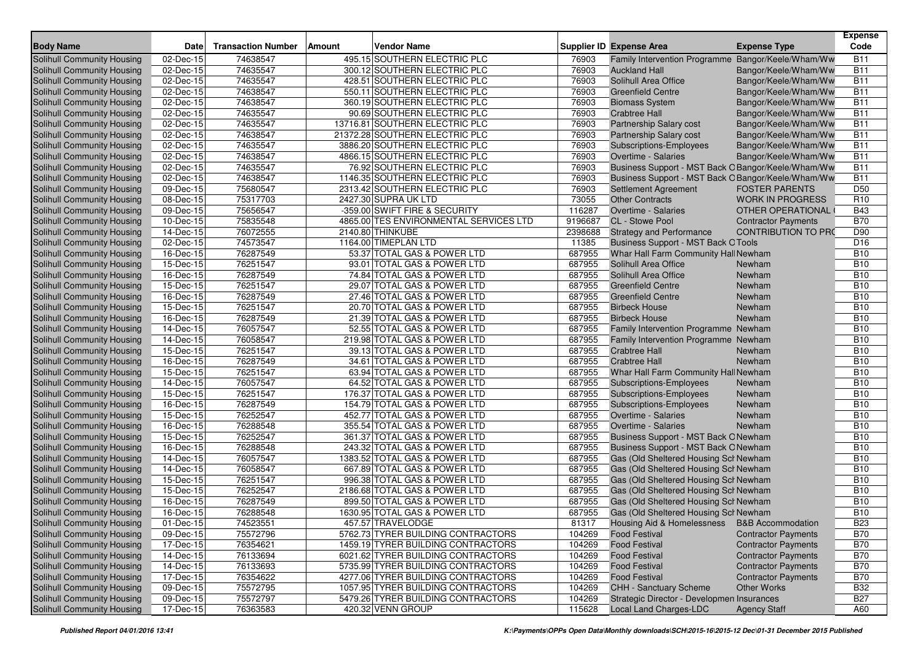| <b>Body Name</b>                                         | <b>Date</b>             | <b>Transaction Number</b> | <b>Vendor Name</b><br><b>Amount</b>                              |                | <b>Supplier ID Expense Area</b>                           | <b>Expense Type</b>                          | <b>Expense</b><br>Code   |
|----------------------------------------------------------|-------------------------|---------------------------|------------------------------------------------------------------|----------------|-----------------------------------------------------------|----------------------------------------------|--------------------------|
| <b>Solihull Community Housing</b>                        |                         |                           | 495.15 SOUTHERN ELECTRIC PLC                                     |                |                                                           |                                              |                          |
|                                                          | 02-Dec-15               | 74638547                  |                                                                  | 76903          | <b>Family Intervention Programme</b>                      | Bangor/Keele/Wham/Ww                         | <b>B11</b>               |
| Solihull Community Housing                               | 02-Dec-15               | 74635547                  | 300.12 SOUTHERN ELECTRIC PLC                                     | 76903          | <b>Auckland Hall</b>                                      | Bangor/Keele/Wham/Ww                         | <b>B11</b>               |
| Solihull Community Housing                               | 02-Dec-15               | 74635547                  | 428.51 SOUTHERN ELECTRIC PLC                                     | 76903          | Solihull Area Office                                      | Bangor/Keele/Wham/Ww                         | <b>B11</b>               |
| Solihull Community Housing                               | 02-Dec-15               | 74638547                  | 550.11 SOUTHERN ELECTRIC PLC                                     | 76903          | <b>Greenfield Centre</b>                                  | Bangor/Keele/Wham/Ww                         | <b>B11</b><br><b>B11</b> |
| Solihull Community Housing                               | 02-Dec-15               | 74638547                  | 360.19 SOUTHERN ELECTRIC PLC                                     | 76903          | <b>Biomass System</b>                                     | Bangor/Keele/Wham/Ww                         |                          |
| Solihull Community Housing<br>Solihull Community Housing | 02-Dec-15               | 74635547                  | 90.69 SOUTHERN ELECTRIC PLC                                      | 76903          | <b>Crabtree Hall</b>                                      | Bangor/Keele/Wham/Ww                         | <b>B11</b><br><b>B11</b> |
| Solihull Community Housing                               | 02-Dec-15<br>02-Dec-15  | 74635547<br>74638547      | 13716.81 SOUTHERN ELECTRIC PLC<br>21372.28 SOUTHERN ELECTRIC PLC | 76903<br>76903 | Partnership Salary cost<br><b>Partnership Salary cost</b> | Bangor/Keele/Wham/Ww                         | <b>B11</b>               |
| Solihull Community Housing                               | 02-Dec-15               | 74635547                  | 3886.20 SOUTHERN ELECTRIC PLC                                    | 76903          |                                                           | Bangor/Keele/Wham/Ww                         | <b>B11</b>               |
| Solihull Community Housing                               | 02-Dec-15               | 74638547                  | 4866.15 SOUTHERN ELECTRIC PLC                                    | 76903          | Subscriptions-Employees<br>Overtime - Salaries            | Bangor/Keele/Wham/Ww<br>Bangor/Keele/Wham/Ww | <b>B11</b>               |
| Solihull Community Housing                               | 02-Dec-15               | 74635547                  | 76.92 SOUTHERN ELECTRIC PLC                                      | 76903          | Business Support - MST Back O Bangor/Keele/Wham/Ww        |                                              | <b>B11</b>               |
| Solihull Community Housing                               | 02-Dec-15               | 74638547                  | 1146.35 SOUTHERN ELECTRIC PLC                                    | 76903          | Business Support - MST Back O Bangor/Keele/Wham/Ww        |                                              | <b>B11</b>               |
| Solihull Community Housing                               | 09-Dec-15               | 75680547                  | 2313.42 SOUTHERN ELECTRIC PLC                                    | 76903          | <b>Settlement Agreement</b>                               | <b>FOSTER PARENTS</b>                        | D <sub>50</sub>          |
| Solihull Community Housing                               | 08-Dec-15               | 75317703                  | 2427.30 SUPRA UK LTD                                             | 73055          | <b>Other Contracts</b>                                    | <b>WORK IN PROGRESS</b>                      | R <sub>10</sub>          |
| Solihull Community Housing                               | 09-Dec-15               | 75656547                  | -359.00 SWIFT FIRE & SECURITY                                    | 116287         | Overtime - Salaries                                       | OTHER OPERATIONAL                            | <b>B43</b>               |
| Solihull Community Housing                               | 10-Dec-15               | 75835548                  | 4865.00 TES ENVIRONMENTAL SERVICES LTD                           | 9196687        | CL - Stowe Pool                                           | <b>Contractor Payments</b>                   | <b>B70</b>               |
| Solihull Community Housing                               | 14-Dec-15               | 76072555                  | 2140.80 THINKUBE                                                 | 2398688        | <b>Strategy and Performance</b>                           | <b>CONTRIBUTION TO PRO</b>                   | D90                      |
| Solihull Community Housing                               | 02-Dec-15               | 74573547                  | 1164.00 TIMEPLAN LTD                                             | 11385          | <b>Business Support - MST Back OTools</b>                 |                                              | D <sub>16</sub>          |
| Solihull Community Housing                               | 16-Dec-15               | 76287549                  | 53.37 TOTAL GAS & POWER LTD                                      | 687955         | Whar Hall Farm Community Hall Newham                      |                                              | <b>B10</b>               |
| Solihull Community Housing                               | 15-Dec-15               | 76251547                  | 93.01 TOTAL GAS & POWER LTD                                      | 687955         | Solihull Area Office                                      | Newham                                       | <b>B10</b>               |
| Solihull Community Housing                               | 16-Dec-15               | 76287549                  | 74.84 TOTAL GAS & POWER LTD                                      | 687955         | Solihull Area Office                                      | Newham                                       | <b>B10</b>               |
| Solihull Community Housing                               | 15-Dec-15               | 76251547                  | 29.07 TOTAL GAS & POWER LTD                                      | 687955         | <b>Greenfield Centre</b>                                  | Newham                                       | <b>B10</b>               |
| Solihull Community Housing                               | 16-Dec-15               | 76287549                  | 27.46 TOTAL GAS & POWER LTD                                      | 687955         | <b>Greenfield Centre</b>                                  | Newham                                       | <b>B10</b>               |
| Solihull Community Housing                               | 15-Dec-15               | 76251547                  | 20.70 TOTAL GAS & POWER LTD                                      | 687955         | <b>Birbeck House</b>                                      | Newham                                       | <b>B10</b>               |
| Solihull Community Housing                               | 16-Dec-15               | 76287549                  | 21.39 TOTAL GAS & POWER LTD                                      | 687955         | <b>Birbeck House</b>                                      | Newham                                       | <b>B10</b>               |
| Solihull Community Housing                               | 14-Dec-15               | 76057547                  | 52.55 TOTAL GAS & POWER LTD                                      | 687955         | Family Intervention Programme Newham                      |                                              | <b>B10</b>               |
| Solihull Community Housing                               | 14-Dec-15               | 76058547                  | 219.98 TOTAL GAS & POWER LTD                                     | 687955         | Family Intervention Programme Newham                      |                                              | <b>B10</b>               |
| Solihull Community Housing                               | 15-Dec-15               | 76251547                  | 39.13 TOTAL GAS & POWER LTD                                      | 687955         | <b>Crabtree Hall</b>                                      | Newham                                       | <b>B10</b>               |
| Solihull Community Housing                               | 16-Dec-15               | 76287549                  | 34.61 TOTAL GAS & POWER LTD                                      | 687955         | <b>Crabtree Hall</b>                                      | Newham                                       | <b>B10</b>               |
| Solihull Community Housing                               | 15-Dec-15               | 76251547                  | 63.94 TOTAL GAS & POWER LTD                                      | 687955         | Whar Hall Farm Community Hall Newham                      |                                              | <b>B10</b>               |
| Solihull Community Housing                               | $\overline{14}$ -Dec-15 | 76057547                  | 64.52 TOTAL GAS & POWER LTD                                      | 687955         | <b>Subscriptions-Employees</b>                            | Newham                                       | <b>B10</b>               |
| Solihull Community Housing                               | 15-Dec-15               | 76251547                  | 176.37 TOTAL GAS & POWER LTD                                     | 687955         | Subscriptions-Employees                                   | Newham                                       | <b>B10</b>               |
| Solihull Community Housing                               | 16-Dec-15               | 76287549                  | 154.79 TOTAL GAS & POWER LTD                                     | 687955         | Subscriptions-Employees                                   | Newham                                       | <b>B10</b>               |
| Solihull Community Housing                               | 15-Dec-15               | 76252547                  | 452.77 TOTAL GAS & POWER LTD                                     | 687955         | Overtime - Salaries                                       | Newham                                       | <b>B10</b>               |
| Solihull Community Housing                               | 16-Dec-15               | 76288548                  | 355.54 TOTAL GAS & POWER LTD                                     | 687955         | Overtime - Salaries                                       | Newham                                       | <b>B10</b>               |
| Solihull Community Housing                               | 15-Dec-15               | 76252547                  | 361.37 TOTAL GAS & POWER LTD                                     | 687955         | Business Support - MST Back ONewham                       |                                              | <b>B10</b>               |
| Solihull Community Housing                               | 16-Dec-15               | 76288548                  | 243.32 TOTAL GAS & POWER LTD                                     | 687955         | Business Support - MST Back ONewham                       |                                              | <b>B10</b>               |
| Solihull Community Housing                               | 14-Dec-15               | 76057547                  | 1383.52 TOTAL GAS & POWER LTD                                    | 687955         | Gas (Old Sheltered Housing Scl Newham                     |                                              | <b>B10</b>               |
| Solihull Community Housing                               | 14-Dec-15               | 76058547                  | 667.89 TOTAL GAS & POWER LTD                                     | 687955         | Gas (Old Sheltered Housing Sch Newham                     |                                              | <b>B10</b>               |
| Solihull Community Housing                               | 15-Dec-15               | 76251547                  | 996.38 TOTAL GAS & POWER LTD                                     | 687955         | Gas (Old Sheltered Housing Sch Newham                     |                                              | <b>B10</b>               |
| Solihull Community Housing                               | 15-Dec-15               | 76252547                  | 2186.68 TOTAL GAS & POWER LTD                                    | 687955         | Gas (Old Sheltered Housing Scl Newham                     |                                              | <b>B10</b>               |
| <b>Solihull Community Housing</b>                        | 16-Dec-15               | 76287549                  | 899.50 TOTAL GAS & POWER LTD                                     | 687955         | Gas (Old Sheltered Housing Sch Newham                     |                                              | <b>B10</b>               |
| Solihull Community Housing                               | 16-Dec-15               | 76288548                  | 1630.95 TOTAL GAS & POWER LTD                                    | 687955         | Gas (Old Sheltered Housing Sch Newham                     |                                              | <b>B10</b>               |
| <b>Solihull Community Housing</b>                        | 01-Dec-15               | 74523551                  | 457.57 TRAVELODGE                                                | 81317          | Housing Aid & Homelessness                                | <b>B&amp;B Accommodation</b>                 | <b>B23</b>               |
| Solihull Community Housing                               | 09-Dec-15               | 75572796                  | 5762.73 TYRER BUILDING CONTRACTORS                               | 104269         | <b>Food Festival</b>                                      | <b>Contractor Payments</b>                   | <b>B70</b>               |
| Solihull Community Housing                               | $17 - Dec-15$           | 76354621                  | 1459.19 TYRER BUILDING CONTRACTORS                               | 104269         | <b>Food Festival</b>                                      | <b>Contractor Payments</b>                   | <b>B70</b>               |
| Solihull Community Housing                               | 14-Dec-15               | 76133694                  | 6021.62 TYRER BUILDING CONTRACTORS                               | 104269         | <b>Food Festival</b>                                      | <b>Contractor Payments</b>                   | <b>B70</b>               |
| Solihull Community Housing                               | 14-Dec-15               | 76133693                  | 5735.99 TYRER BUILDING CONTRACTORS                               | 104269         | <b>Food Festival</b>                                      | <b>Contractor Payments</b>                   | <b>B70</b>               |
| Solihull Community Housing                               | 17-Dec-15               | 76354622                  | 4277.06 TYRER BUILDING CONTRACTORS                               | 104269         | <b>Food Festival</b>                                      | <b>Contractor Payments</b>                   | <b>B70</b>               |
| Solihull Community Housing                               | 09-Dec-15               | 75572795                  | 1057.95 TYRER BUILDING CONTRACTORS                               | 104269         | CHH - Sanctuary Scheme                                    | Other Works                                  | <b>B32</b>               |
| <b>Solihull Community Housing</b>                        | 09-Dec-15               | 75572797                  | 5479.26 TYRER BUILDING CONTRACTORS                               | 104269         | Strategic Director - Developmen Insurances                |                                              | <b>B27</b>               |
| Solihull Community Housing                               | 17-Dec-15               | 76363583                  | 420.32 VENN GROUP                                                | 115628         | <b>Local Land Charges-LDC</b>                             | <b>Agency Staff</b>                          | A60                      |